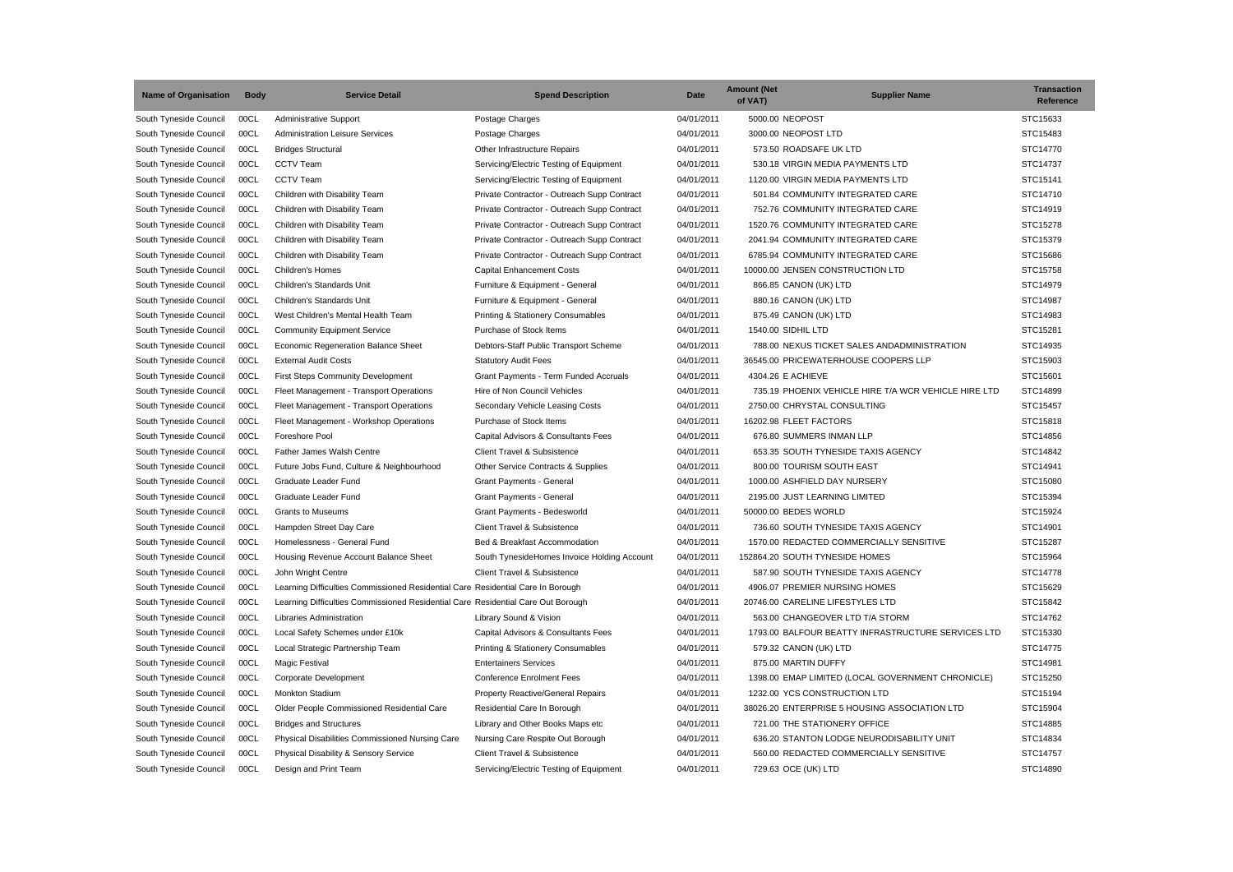| <b>Name of Organisation</b> | <b>Body</b> | <b>Service Detail</b>                                                            | <b>Spend Description</b>                     | <b>Date</b> | <b>Amount (Net</b><br>of VAT)    | <b>Supplier Name</b>                                 | <b>Transaction</b><br>Reference |
|-----------------------------|-------------|----------------------------------------------------------------------------------|----------------------------------------------|-------------|----------------------------------|------------------------------------------------------|---------------------------------|
| South Tyneside Council      | 00CL        | <b>Administrative Support</b>                                                    | Postage Charges                              | 04/01/2011  | 5000.00 NEOPOST                  |                                                      | STC15633                        |
| South Tyneside Council      | 00CL        | <b>Administration Leisure Services</b>                                           | Postage Charges                              | 04/01/2011  | 3000.00 NEOPOST LTD              |                                                      | STC15483                        |
| South Tyneside Council      | 00CL        | <b>Bridges Structural</b>                                                        | Other Infrastructure Repairs                 | 04/01/2011  | 573.50 ROADSAFE UK LTD           |                                                      | STC14770                        |
| South Tyneside Council      | 00CL        | <b>CCTV Team</b>                                                                 | Servicing/Electric Testing of Equipment      | 04/01/2011  |                                  | 530.18 VIRGIN MEDIA PAYMENTS LTD                     | STC14737                        |
| South Tyneside Council      | 00CL        | <b>CCTV Team</b>                                                                 | Servicing/Electric Testing of Equipment      | 04/01/2011  |                                  | 1120.00 VIRGIN MEDIA PAYMENTS LTD                    | STC15141                        |
| South Tyneside Council      | 00CL        | Children with Disability Team                                                    | Private Contractor - Outreach Supp Contract  | 04/01/2011  |                                  | 501.84 COMMUNITY INTEGRATED CARE                     | STC14710                        |
| South Tyneside Council      | 00CL        | Children with Disability Team                                                    | Private Contractor - Outreach Supp Contract  | 04/01/2011  |                                  | 752.76 COMMUNITY INTEGRATED CARE                     | STC14919                        |
| South Tyneside Council      | 00CL        | Children with Disability Team                                                    | Private Contractor - Outreach Supp Contract  | 04/01/2011  |                                  | 1520.76 COMMUNITY INTEGRATED CARE                    | STC15278                        |
| South Tyneside Council      | 00CL        | Children with Disability Team                                                    | Private Contractor - Outreach Supp Contract  | 04/01/2011  |                                  | 2041.94 COMMUNITY INTEGRATED CARE                    | STC15379                        |
| South Tyneside Council      | 00CL        | Children with Disability Team                                                    | Private Contractor - Outreach Supp Contract  | 04/01/2011  |                                  | 6785.94 COMMUNITY INTEGRATED CARE                    | STC15686                        |
| South Tyneside Council      | 00CL        | Children's Homes                                                                 | <b>Capital Enhancement Costs</b>             | 04/01/2011  |                                  | 10000.00 JENSEN CONSTRUCTION LTD                     | STC15758                        |
| South Tyneside Council      | 00CL        | Children's Standards Unit                                                        | Furniture & Equipment - General              | 04/01/2011  | 866.85 CANON (UK) LTD            |                                                      | STC14979                        |
| South Tyneside Council      | 00CL        | Children's Standards Unit                                                        | Furniture & Equipment - General              | 04/01/2011  | 880.16 CANON (UK) LTD            |                                                      | STC14987                        |
| South Tyneside Council      | 00CL        | West Children's Mental Health Team                                               | <b>Printing &amp; Stationery Consumables</b> | 04/01/2011  | 875.49 CANON (UK) LTD            |                                                      | STC14983                        |
| South Tyneside Council      | 00CL        | <b>Community Equipment Service</b>                                               | Purchase of Stock Items                      | 04/01/2011  | 1540.00 SIDHIL LTD               |                                                      | STC15281                        |
| South Tyneside Council      | 00CL        | Economic Regeneration Balance Sheet                                              | Debtors-Staff Public Transport Scheme        | 04/01/2011  |                                  | 788.00 NEXUS TICKET SALES ANDADMINISTRATION          | STC14935                        |
| South Tyneside Council      | 00CL        | <b>External Audit Costs</b>                                                      | <b>Statutory Audit Fees</b>                  | 04/01/2011  |                                  | 36545.00 PRICEWATERHOUSE COOPERS LLP                 | STC15903                        |
| South Tyneside Council      | 00CL        | First Steps Community Development                                                | Grant Payments - Term Funded Accruals        | 04/01/2011  | 4304.26 E ACHIEVE                |                                                      | STC15601                        |
| South Tyneside Council      | 00CL        | Fleet Management - Transport Operations                                          | Hire of Non Council Vehicles                 | 04/01/2011  |                                  | 735.19 PHOENIX VEHICLE HIRE T/A WCR VEHICLE HIRE LTD | STC14899                        |
| South Tyneside Council      | 00CL        | Fleet Management - Transport Operations                                          | Secondary Vehicle Leasing Costs              | 04/01/2011  | 2750.00 CHRYSTAL CONSULTING      |                                                      | STC15457                        |
| South Tyneside Council      | 00CL        | Fleet Management - Workshop Operations                                           | Purchase of Stock Items                      | 04/01/2011  | 16202.98 FLEET FACTORS           |                                                      | STC15818                        |
| South Tyneside Council      | 00CL        | Foreshore Pool                                                                   | Capital Advisors & Consultants Fees          | 04/01/2011  | 676.80 SUMMERS INMAN LLP         |                                                      | STC14856                        |
| South Tyneside Council      | 00CL        | Father James Walsh Centre                                                        | Client Travel & Subsistence                  | 04/01/2011  |                                  | 653.35 SOUTH TYNESIDE TAXIS AGENCY                   | STC14842                        |
| South Tyneside Council      | 00CL        | Future Jobs Fund, Culture & Neighbourhood                                        | Other Service Contracts & Supplies           | 04/01/2011  | 800.00 TOURISM SOUTH EAST        |                                                      | STC14941                        |
| South Tyneside Council      | 00CL        | Graduate Leader Fund                                                             | Grant Payments - General                     | 04/01/2011  | 1000.00 ASHFIELD DAY NURSERY     |                                                      | STC15080                        |
| South Tyneside Council      | 00CL        | Graduate Leader Fund                                                             | Grant Payments - General                     | 04/01/2011  | 2195.00 JUST LEARNING LIMITED    |                                                      | STC15394                        |
| South Tyneside Council      | 00CL        | <b>Grants to Museums</b>                                                         | Grant Payments - Bedesworld                  | 04/01/2011  | 50000.00 BEDES WORLD             |                                                      | STC15924                        |
| South Tyneside Council      | 00CL        | Hampden Street Day Care                                                          | Client Travel & Subsistence                  | 04/01/2011  |                                  | 736.60 SOUTH TYNESIDE TAXIS AGENCY                   | STC14901                        |
| South Tyneside Council      | 00CL        | Homelessness - General Fund                                                      | Bed & Breakfast Accommodation                | 04/01/2011  |                                  | 1570.00 REDACTED COMMERCIALLY SENSITIVE              | STC15287                        |
| South Tyneside Council      | 00CL        | Housing Revenue Account Balance Sheet                                            | South TynesideHomes Invoice Holding Account  | 04/01/2011  | 152864.20 SOUTH TYNESIDE HOMES   |                                                      | STC15964                        |
| South Tyneside Council      | 00CL        | John Wright Centre                                                               | Client Travel & Subsistence                  | 04/01/2011  |                                  | 587.90 SOUTH TYNESIDE TAXIS AGENCY                   | STC14778                        |
| South Tyneside Council      | 00CL        | Learning Difficulties Commissioned Residential Care Residential Care In Borough  |                                              | 04/01/2011  | 4906.07 PREMIER NURSING HOMES    |                                                      | STC15629                        |
| South Tyneside Council      | 00CL        | Learning Difficulties Commissioned Residential Care Residential Care Out Borough |                                              | 04/01/2011  | 20746.00 CARELINE LIFESTYLES LTD |                                                      | STC15842                        |
| South Tyneside Council      | 00CL        | Libraries Administration                                                         | Library Sound & Vision                       | 04/01/2011  |                                  | 563.00 CHANGEOVER LTD T/A STORM                      | STC14762                        |
| South Tyneside Council      | 00CL        | Local Safety Schemes under £10k                                                  | Capital Advisors & Consultants Fees          | 04/01/2011  |                                  | 1793.00 BALFOUR BEATTY INFRASTRUCTURE SERVICES LTD   | STC15330                        |
| South Tyneside Council      | 00CL        | Local Strategic Partnership Team                                                 | Printing & Stationery Consumables            | 04/01/2011  | 579.32 CANON (UK) LTD            |                                                      | STC14775                        |
| South Tyneside Council      | 00CL        | Magic Festival                                                                   | <b>Entertainers Services</b>                 | 04/01/2011  | 875.00 MARTIN DUFFY              |                                                      | STC14981                        |
| South Tyneside Council      | 00CL        | Corporate Development                                                            | <b>Conference Enrolment Fees</b>             | 04/01/2011  |                                  | 1398.00 EMAP LIMITED (LOCAL GOVERNMENT CHRONICLE)    | STC15250                        |
| South Tyneside Council      | 00CL        | Monkton Stadium                                                                  | Property Reactive/General Repairs            | 04/01/2011  | 1232.00 YCS CONSTRUCTION LTD     |                                                      | STC15194                        |
|                             | 00CL        |                                                                                  |                                              | 04/01/2011  |                                  | 38026.20 ENTERPRISE 5 HOUSING ASSOCIATION LTD        | STC15904                        |
| South Tyneside Council      | 00CL        | Older People Commissioned Residential Care                                       | Residential Care In Borough                  | 04/01/2011  | 721.00 THE STATIONERY OFFICE     |                                                      | STC14885                        |
| South Tyneside Council      | 00CL        | <b>Bridges and Structures</b>                                                    | Library and Other Books Maps etc             |             |                                  |                                                      | STC14834                        |
| South Tyneside Council      |             | Physical Disabilities Commissioned Nursing Care                                  | Nursing Care Respite Out Borough             | 04/01/2011  |                                  | 636.20 STANTON LODGE NEURODISABILITY UNIT            |                                 |
| South Tyneside Council      | 00CL        | Physical Disability & Sensory Service                                            | Client Travel & Subsistence                  | 04/01/2011  |                                  | 560.00 REDACTED COMMERCIALLY SENSITIVE               | STC14757                        |
| South Tyneside Council      | 00CL        | Design and Print Team                                                            | Servicing/Electric Testing of Equipment      | 04/01/2011  | 729.63 OCE (UK) LTD              |                                                      | STC14890                        |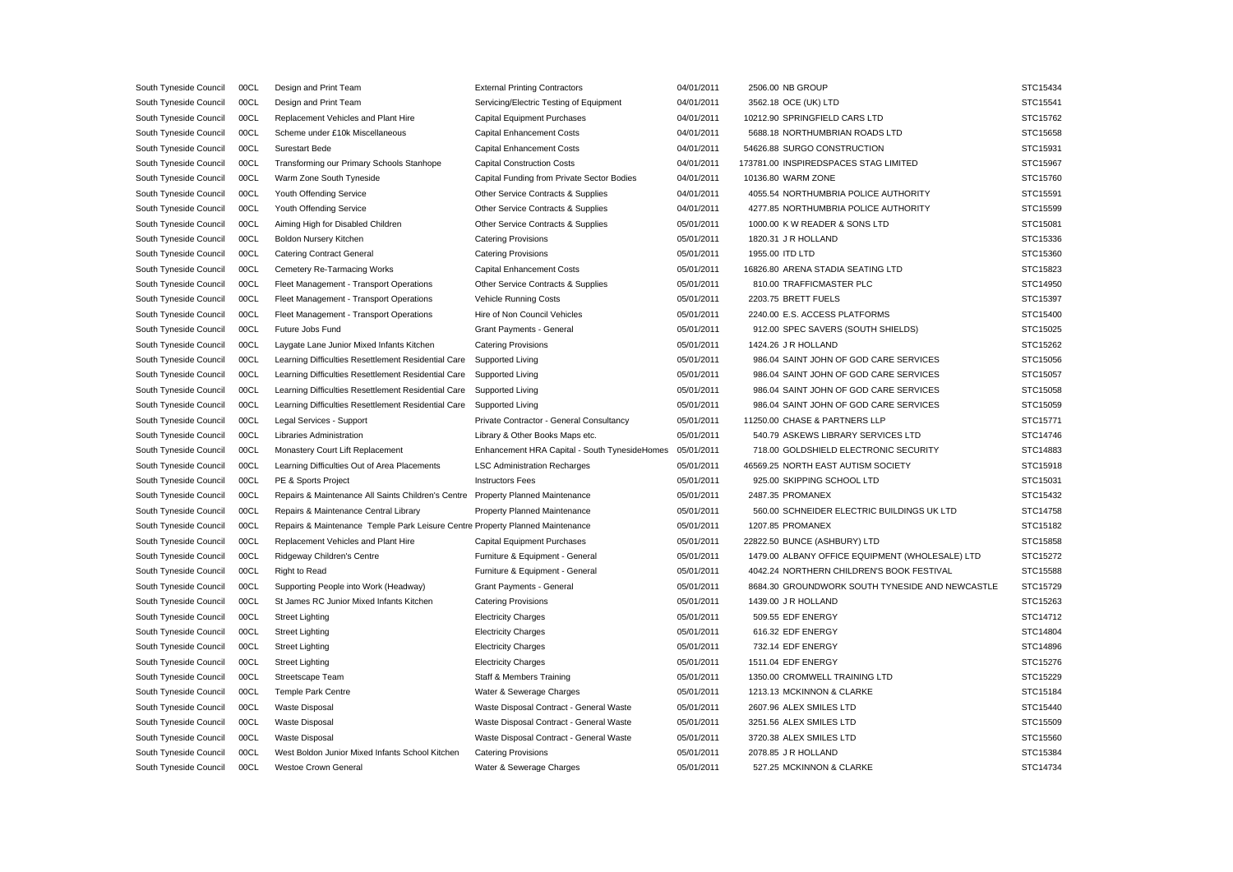| South Tyneside Council | 00CL         | Design and Print Team                                                         | <b>External Printing Contractors</b>          | 04/01/2011 | 2506.00 NB GROUP                                | STC15434 |
|------------------------|--------------|-------------------------------------------------------------------------------|-----------------------------------------------|------------|-------------------------------------------------|----------|
| South Tyneside Council | 00CL         | Design and Print Team                                                         | Servicing/Electric Testing of Equipment       | 04/01/2011 | 3562.18 OCE (UK) LTD                            | STC15541 |
| South Tyneside Council | 00CL         | Replacement Vehicles and Plant Hire                                           | <b>Capital Equipment Purchases</b>            | 04/01/2011 | 10212.90 SPRINGFIELD CARS LTD                   | STC15762 |
| South Tyneside Council | 00CL         | Scheme under £10k Miscellaneous                                               | <b>Capital Enhancement Costs</b>              | 04/01/2011 | 5688.18 NORTHUMBRIAN ROADS LTD                  | STC15658 |
| South Tyneside Council | 00CL         | <b>Surestart Bede</b>                                                         | <b>Capital Enhancement Costs</b>              | 04/01/2011 | 54626.88 SURGO CONSTRUCTION                     | STC15931 |
| South Tyneside Council | 00CL         | Transforming our Primary Schools Stanhope                                     | <b>Capital Construction Costs</b>             | 04/01/2011 | 173781.00 INSPIREDSPACES STAG LIMITED           | STC15967 |
| South Tyneside Council | 00CL         | Warm Zone South Tyneside                                                      | Capital Funding from Private Sector Bodies    | 04/01/2011 | 10136.80 WARM ZONE                              | STC15760 |
| South Tyneside Council | 00CL         | Youth Offending Service                                                       | Other Service Contracts & Supplies            | 04/01/2011 | 4055.54 NORTHUMBRIA POLICE AUTHORITY            | STC15591 |
| South Tyneside Council | 00CL         | Youth Offending Service                                                       | Other Service Contracts & Supplies            | 04/01/2011 | 4277.85 NORTHUMBRIA POLICE AUTHORITY            | STC15599 |
| South Tyneside Council | 00CL         | Aiming High for Disabled Children                                             | Other Service Contracts & Supplies            | 05/01/2011 | 1000.00 K W READER & SONS LTD                   | STC15081 |
| South Tyneside Council | 00CL         | Boldon Nursery Kitchen                                                        | <b>Catering Provisions</b>                    | 05/01/2011 | 1820.31 J R HOLLAND                             | STC15336 |
| South Tyneside Council | 00CL         | <b>Catering Contract General</b>                                              | <b>Catering Provisions</b>                    | 05/01/2011 | 1955.00 ITD LTD                                 | STC15360 |
| South Tyneside Council | 00CL         | Cemetery Re-Tarmacing Works                                                   | Capital Enhancement Costs                     | 05/01/2011 | 16826.80 ARENA STADIA SEATING LTD               | STC15823 |
| South Tyneside Council | 00CL         | Fleet Management - Transport Operations                                       | Other Service Contracts & Supplies            | 05/01/2011 | 810.00 TRAFFICMASTER PLC                        | STC14950 |
| South Tyneside Council | 00CL         | Fleet Management - Transport Operations                                       | Vehicle Running Costs                         | 05/01/2011 | 2203.75 BRETT FUELS                             | STC15397 |
| South Tyneside Council | 00CL         | Fleet Management - Transport Operations                                       | Hire of Non Council Vehicles                  | 05/01/2011 | 2240.00 E.S. ACCESS PLATFORMS                   | STC15400 |
| South Tyneside Council | 00CL         | Future Jobs Fund                                                              | Grant Payments - General                      | 05/01/2011 | 912.00 SPEC SAVERS (SOUTH SHIELDS)              | STC15025 |
| South Tyneside Council | 00CL         | Laygate Lane Junior Mixed Infants Kitchen                                     | <b>Catering Provisions</b>                    | 05/01/2011 | 1424.26 J R HOLLAND                             | STC15262 |
| South Tyneside Council | 00CL         | Learning Difficulties Resettlement Residential Care                           | Supported Living                              | 05/01/2011 | 986.04 SAINT JOHN OF GOD CARE SERVICES          | STC15056 |
| South Tyneside Council | 00CL         | Learning Difficulties Resettlement Residential Care                           | Supported Living                              | 05/01/2011 | 986.04 SAINT JOHN OF GOD CARE SERVICES          | STC15057 |
| South Tyneside Council | 00CL         | Learning Difficulties Resettlement Residential Care                           | Supported Living                              | 05/01/2011 | 986.04 SAINT JOHN OF GOD CARE SERVICES          | STC15058 |
| South Tyneside Council | 00CL         | Learning Difficulties Resettlement Residential Care                           | Supported Living                              | 05/01/2011 | 986.04 SAINT JOHN OF GOD CARE SERVICES          | STC15059 |
| South Tyneside Council | 00CL         | Legal Services - Support                                                      | Private Contractor - General Consultancy      | 05/01/2011 | 11250.00 CHASE & PARTNERS LLP                   | STC15771 |
| South Tyneside Council | 00CL         | Libraries Administration                                                      | Library & Other Books Maps etc.               | 05/01/2011 | 540.79 ASKEWS LIBRARY SERVICES LTD              | STC14746 |
| South Tyneside Council | 00CL         | Monastery Court Lift Replacement                                              | Enhancement HRA Capital - South TynesideHomes | 05/01/2011 | 718.00 GOLDSHIELD ELECTRONIC SECURITY           | STC14883 |
| South Tyneside Council | 00CL         | Learning Difficulties Out of Area Placements                                  | <b>LSC Administration Recharges</b>           | 05/01/2011 | 46569.25 NORTH EAST AUTISM SOCIETY              | STC15918 |
| South Tyneside Council | 00CL         | PE & Sports Project                                                           | <b>Instructors Fees</b>                       | 05/01/2011 | 925.00 SKIPPING SCHOOL LTD                      | STC15031 |
| South Tyneside Council | 00CL         | Repairs & Maintenance All Saints Children's Centre                            | <b>Property Planned Maintenance</b>           | 05/01/2011 | 2487.35 PROMANEX                                | STC15432 |
| South Tyneside Council | 00CL         | Repairs & Maintenance Central Library                                         | Property Planned Maintenance                  | 05/01/2011 | 560.00 SCHNEIDER ELECTRIC BUILDINGS UK LTD      | STC14758 |
| South Tyneside Council | 00CL         | Repairs & Maintenance Temple Park Leisure Centre Property Planned Maintenance |                                               | 05/01/2011 | 1207.85 PROMANEX                                | STC15182 |
| South Tyneside Council | 00CL         | Replacement Vehicles and Plant Hire                                           | <b>Capital Equipment Purchases</b>            | 05/01/2011 | 22822.50 BUNCE (ASHBURY) LTD                    | STC15858 |
| South Tyneside Council | 00CL         | Ridgeway Children's Centre                                                    | Furniture & Equipment - General               | 05/01/2011 | 1479.00 ALBANY OFFICE EQUIPMENT (WHOLESALE) LTD | STC15272 |
| South Tyneside Council | 00CL         | Right to Read                                                                 | Furniture & Equipment - General               | 05/01/2011 | 4042.24 NORTHERN CHILDREN'S BOOK FESTIVAL       | STC15588 |
| South Tyneside Council | 00CL         | Supporting People into Work (Headway)                                         | Grant Payments - General                      | 05/01/2011 | 8684.30 GROUNDWORK SOUTH TYNESIDE AND NEWCASTLE | STC15729 |
|                        | 00CL         | St James RC Junior Mixed Infants Kitchen                                      |                                               | 05/01/2011 | 1439.00 J R HOLLAND                             | STC15263 |
| South Tyneside Council | 00CL         |                                                                               | <b>Catering Provisions</b>                    |            |                                                 | STC14712 |
| South Tyneside Council |              | <b>Street Lighting</b>                                                        | <b>Electricity Charges</b>                    | 05/01/2011 | 509.55 EDF ENERGY                               |          |
| South Tyneside Council | 00CL<br>00CL | <b>Street Lighting</b>                                                        | <b>Electricity Charges</b>                    | 05/01/2011 | 616.32 EDF ENERGY                               | STC14804 |
| South Tyneside Council |              | <b>Street Lighting</b>                                                        | <b>Electricity Charges</b>                    | 05/01/2011 | 732.14 EDF ENERGY                               | STC14896 |
| South Tyneside Council | 00CL         | <b>Street Lighting</b>                                                        | <b>Electricity Charges</b>                    | 05/01/2011 | 1511.04 EDF ENERGY                              | STC15276 |
| South Tyneside Council | 00CL         | Streetscape Team                                                              | Staff & Members Training                      | 05/01/2011 | 1350.00 CROMWELL TRAINING LTD                   | STC15229 |
| South Tyneside Council | 00CL         | <b>Temple Park Centre</b>                                                     | Water & Sewerage Charges                      | 05/01/2011 | 1213.13 MCKINNON & CLARKE                       | STC15184 |
| South Tyneside Council | 00CL         | Waste Disposal                                                                | Waste Disposal Contract - General Waste       | 05/01/2011 | 2607.96 ALEX SMILES LTD                         | STC15440 |
| South Tyneside Council | 00CL         | Waste Disposal                                                                | Waste Disposal Contract - General Waste       | 05/01/2011 | 3251.56 ALEX SMILES LTD                         | STC15509 |
| South Tyneside Council | 00CL         | <b>Waste Disposal</b>                                                         | Waste Disposal Contract - General Waste       | 05/01/2011 | 3720.38 ALEX SMILES LTD                         | STC15560 |
| South Tyneside Council | 00CL         | West Boldon Junior Mixed Infants School Kitchen                               | <b>Catering Provisions</b>                    | 05/01/2011 | 2078.85 J R HOLLAND                             | STC15384 |
| South Tyneside Council | 00CL         | <b>Westoe Crown General</b>                                                   | Water & Sewerage Charges                      | 05/01/2011 | 527.25 MCKINNON & CLARKE                        | STC14734 |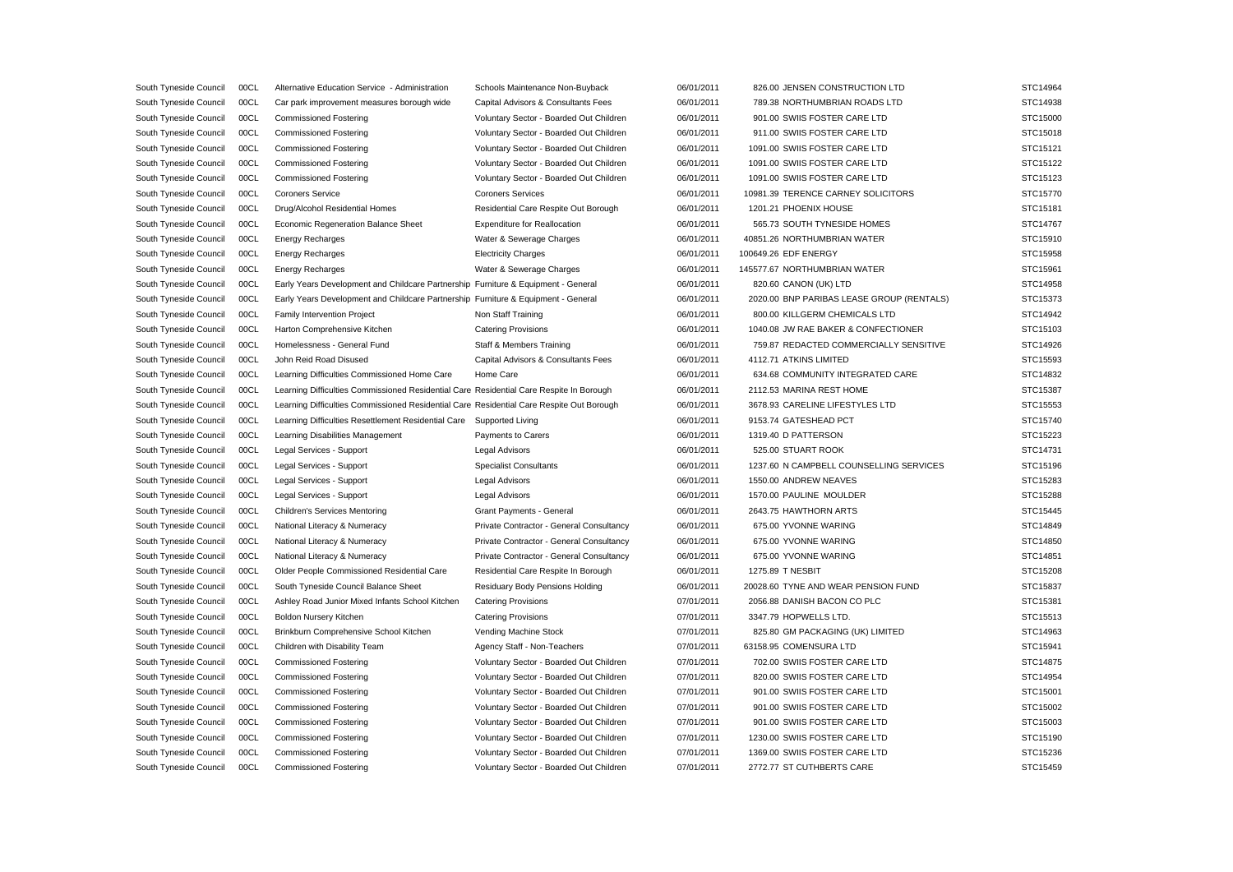| South Tyneside Council | 00CL | Alternative Education Service - Administration                                           | Schools Maintenance Non-Buyback          | 06/01/2011 | 826.00 JENSEN CONSTRUCTION LTD            | STC14964 |
|------------------------|------|------------------------------------------------------------------------------------------|------------------------------------------|------------|-------------------------------------------|----------|
| South Tyneside Council | 00CL | Car park improvement measures borough wide                                               | Capital Advisors & Consultants Fees      | 06/01/2011 | 789.38 NORTHUMBRIAN ROADS LTD             | STC14938 |
| South Tyneside Council | 00CL | <b>Commissioned Fostering</b>                                                            | Voluntary Sector - Boarded Out Children  | 06/01/2011 | 901.00 SWIIS FOSTER CARE LTD              | STC15000 |
| South Tyneside Council | 00CL | <b>Commissioned Fostering</b>                                                            | Voluntary Sector - Boarded Out Children  | 06/01/2011 | 911.00 SWIIS FOSTER CARE LTD              | STC15018 |
| South Tyneside Council | 00CL | <b>Commissioned Fostering</b>                                                            | Voluntary Sector - Boarded Out Children  | 06/01/2011 | 1091.00 SWIIS FOSTER CARE LTD             | STC15121 |
| South Tyneside Council | 00CL | <b>Commissioned Fostering</b>                                                            | Voluntary Sector - Boarded Out Children  | 06/01/2011 | 1091.00 SWIIS FOSTER CARE LTD             | STC15122 |
| South Tyneside Council | 00CL | <b>Commissioned Fostering</b>                                                            | Voluntary Sector - Boarded Out Children  | 06/01/2011 | 1091.00 SWIIS FOSTER CARE LTD             | STC15123 |
| South Tyneside Council | 00CL | <b>Coroners Service</b>                                                                  | <b>Coroners Services</b>                 | 06/01/2011 | 10981.39 TERENCE CARNEY SOLICITORS        | STC15770 |
| South Tyneside Council | 00CL | Drug/Alcohol Residential Homes                                                           | Residential Care Respite Out Borough     | 06/01/2011 | 1201.21 PHOENIX HOUSE                     | STC15181 |
| South Tyneside Council | 00CL | Economic Regeneration Balance Sheet                                                      | <b>Expenditure for Reallocation</b>      | 06/01/2011 | 565.73 SOUTH TYNESIDE HOMES               | STC14767 |
| South Tyneside Council | 00CL | <b>Energy Recharges</b>                                                                  | Water & Sewerage Charges                 | 06/01/2011 | 40851.26 NORTHUMBRIAN WATER               | STC15910 |
| South Tyneside Council | 00CL | <b>Energy Recharges</b>                                                                  | <b>Electricity Charges</b>               | 06/01/2011 | 100649.26 EDF ENERGY                      | STC15958 |
| South Tyneside Council | 00CL | <b>Energy Recharges</b>                                                                  | Water & Sewerage Charges                 | 06/01/2011 | 145577.67 NORTHUMBRIAN WATER              | STC15961 |
| South Tyneside Council | 00CL | Early Years Development and Childcare Partnership Furniture & Equipment - General        |                                          | 06/01/2011 | 820.60 CANON (UK) LTD                     | STC14958 |
| South Tyneside Council | 00CL | Early Years Development and Childcare Partnership Furniture & Equipment - General        |                                          | 06/01/2011 | 2020.00 BNP PARIBAS LEASE GROUP (RENTALS) | STC15373 |
| South Tyneside Council | 00CL | Family Intervention Project                                                              | Non Staff Training                       | 06/01/2011 | 800.00 KILLGERM CHEMICALS LTD             | STC14942 |
| South Tyneside Council | 00CL | Harton Comprehensive Kitchen                                                             | <b>Catering Provisions</b>               | 06/01/2011 | 1040.08 JW RAE BAKER & CONFECTIONER       | STC15103 |
| South Tyneside Council | 00CL | Homelessness - General Fund                                                              | Staff & Members Training                 | 06/01/2011 | 759.87 REDACTED COMMERCIALLY SENSITIVE    | STC14926 |
| South Tyneside Council | 00CL | John Reid Road Disused                                                                   | Capital Advisors & Consultants Fees      | 06/01/2011 | 4112.71 ATKINS LIMITED                    | STC15593 |
| South Tyneside Council | 00CL | Learning Difficulties Commissioned Home Care                                             | Home Care                                | 06/01/2011 | 634.68 COMMUNITY INTEGRATED CARE          | STC14832 |
| South Tyneside Council | 00CL | Learning Difficulties Commissioned Residential Care Residential Care Respite In Borough  |                                          | 06/01/2011 | 2112.53 MARINA REST HOME                  | STC15387 |
| South Tyneside Council | 00CL | Learning Difficulties Commissioned Residential Care Residential Care Respite Out Borough |                                          | 06/01/2011 | 3678.93 CARELINE LIFESTYLES LTD           | STC15553 |
| South Tyneside Council | 00CL | Learning Difficulties Resettlement Residential Care                                      | Supported Living                         | 06/01/2011 | 9153.74 GATESHEAD PCT                     | STC15740 |
| South Tyneside Council | 00CL | Learning Disabilities Management                                                         | Payments to Carers                       | 06/01/2011 | 1319.40 D PATTERSON                       | STC15223 |
| South Tyneside Council | 00CL | Legal Services - Support                                                                 | <b>Legal Advisors</b>                    | 06/01/2011 | 525.00 STUART ROOK                        | STC14731 |
| South Tyneside Council | 00CL | Legal Services - Support                                                                 | <b>Specialist Consultants</b>            | 06/01/2011 | 1237.60 N CAMPBELL COUNSELLING SERVICES   | STC15196 |
| South Tyneside Council | 00CL | Legal Services - Support                                                                 | <b>Legal Advisors</b>                    | 06/01/2011 | 1550.00 ANDREW NEAVES                     | STC15283 |
| South Tyneside Council | 00CL | Legal Services - Support                                                                 | <b>Legal Advisors</b>                    | 06/01/2011 | 1570.00 PAULINE MOULDER                   | STC15288 |
| South Tyneside Council | 00CL | <b>Children's Services Mentoring</b>                                                     | Grant Payments - General                 | 06/01/2011 | 2643.75 HAWTHORN ARTS                     | STC15445 |
| South Tyneside Council | 00CL | National Literacy & Numeracy                                                             | Private Contractor - General Consultancy | 06/01/2011 | 675.00 YVONNE WARING                      | STC14849 |
| South Tyneside Council | 00CL | National Literacy & Numeracy                                                             | Private Contractor - General Consultancy | 06/01/2011 | 675.00 YVONNE WARING                      | STC14850 |
| South Tyneside Council | 00CL | National Literacy & Numeracy                                                             | Private Contractor - General Consultancy | 06/01/2011 | 675.00 YVONNE WARING                      | STC14851 |
| South Tyneside Council | 00CL | Older People Commissioned Residential Care                                               | Residential Care Respite In Borough      | 06/01/2011 | 1275.89 T NESBIT                          | STC15208 |
| South Tyneside Council | 00CL | South Tyneside Council Balance Sheet                                                     | Residuary Body Pensions Holding          | 06/01/2011 | 20028.60 TYNE AND WEAR PENSION FUND       | STC15837 |
| South Tyneside Council | 00CL | Ashley Road Junior Mixed Infants School Kitchen                                          | <b>Catering Provisions</b>               | 07/01/2011 | 2056.88 DANISH BACON CO PLC               | STC15381 |
| South Tyneside Council | 00CL | Boldon Nursery Kitchen                                                                   | <b>Catering Provisions</b>               | 07/01/2011 | 3347.79 HOPWELLS LTD.                     | STC15513 |
| South Tyneside Council | 00CL | Brinkburn Comprehensive School Kitchen                                                   | Vending Machine Stock                    | 07/01/2011 | 825.80 GM PACKAGING (UK) LIMITED          | STC14963 |
| South Tyneside Council | 00CL | Children with Disability Team                                                            | Agency Staff - Non-Teachers              | 07/01/2011 | 63158.95 COMENSURA LTD                    | STC15941 |
| South Tyneside Council | 00CL | <b>Commissioned Fostering</b>                                                            | Voluntary Sector - Boarded Out Children  | 07/01/2011 | 702.00 SWIIS FOSTER CARE LTD              | STC14875 |
| South Tyneside Council | 00CL | <b>Commissioned Fostering</b>                                                            | Voluntary Sector - Boarded Out Children  | 07/01/2011 | 820.00 SWIIS FOSTER CARE LTD              | STC14954 |
| South Tyneside Council | 00CL | <b>Commissioned Fostering</b>                                                            | Voluntary Sector - Boarded Out Children  | 07/01/2011 | 901.00 SWIIS FOSTER CARE LTD              | STC15001 |
| South Tyneside Council | 00CL | <b>Commissioned Fostering</b>                                                            | Voluntary Sector - Boarded Out Children  | 07/01/2011 | 901.00 SWIIS FOSTER CARE LTD              | STC15002 |
| South Tyneside Council | 00CL | <b>Commissioned Fostering</b>                                                            | Voluntary Sector - Boarded Out Children  | 07/01/2011 | 901.00 SWIIS FOSTER CARE LTD              | STC15003 |
| South Tyneside Council | 00CL | <b>Commissioned Fostering</b>                                                            | Voluntary Sector - Boarded Out Children  | 07/01/2011 | 1230.00 SWIIS FOSTER CARE LTD             | STC15190 |
| South Tyneside Council | 00CL | <b>Commissioned Fostering</b>                                                            | Voluntary Sector - Boarded Out Children  | 07/01/2011 | 1369.00 SWIIS FOSTER CARE LTD             | STC15236 |
| South Tyneside Council | 00CL | <b>Commissioned Fostering</b>                                                            | Voluntary Sector - Boarded Out Children  | 07/01/2011 | 2772.77 ST CUTHBERTS CARE                 | STC15459 |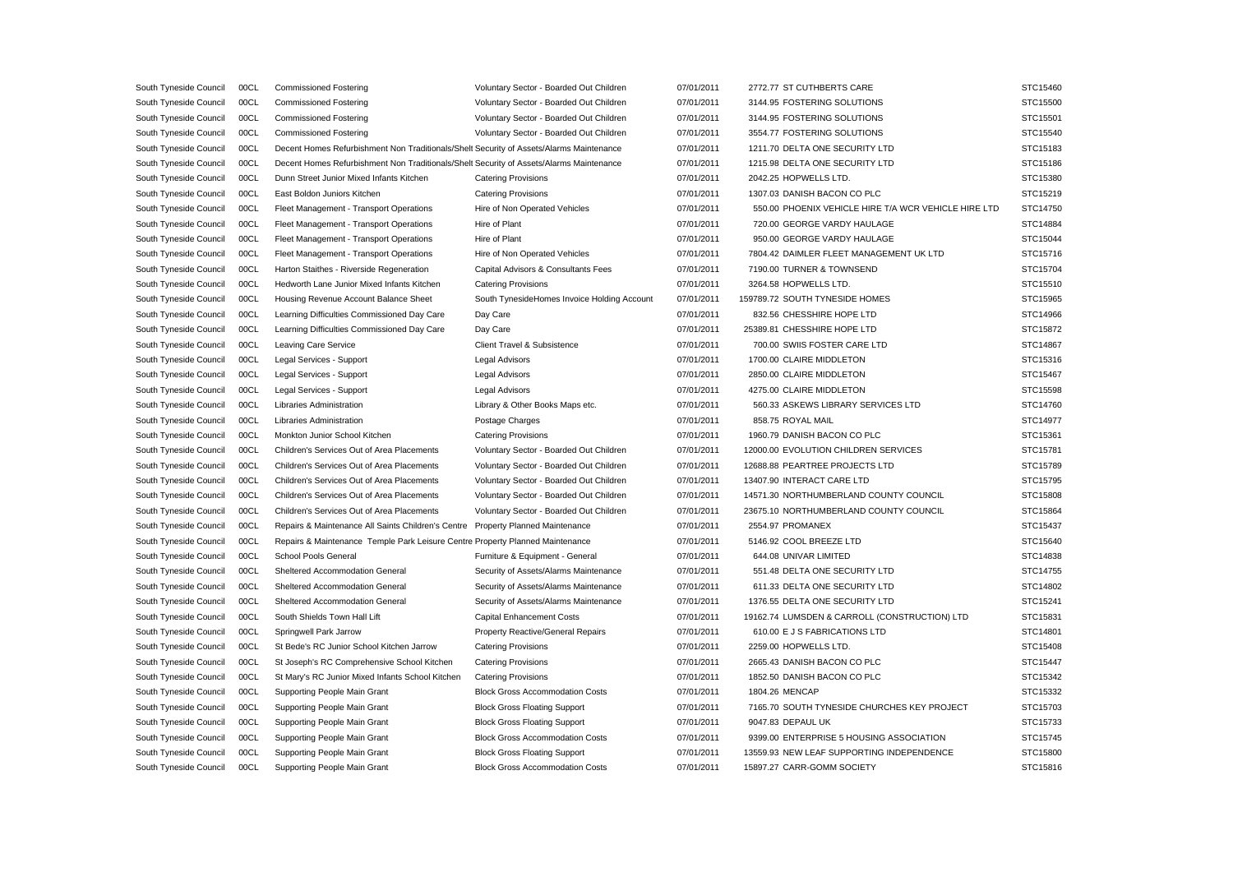| South Tyneside Council | 00CL | <b>Commissioned Fostering</b>                                                           | Voluntary Sector - Boarded Out Children     | 07/01/2011 | 2772.77 ST CUTHBERTS CARE                            | STC15460 |
|------------------------|------|-----------------------------------------------------------------------------------------|---------------------------------------------|------------|------------------------------------------------------|----------|
| South Tyneside Council | 00CL | <b>Commissioned Fostering</b>                                                           | Voluntary Sector - Boarded Out Children     | 07/01/2011 | 3144.95 FOSTERING SOLUTIONS                          | STC15500 |
| South Tyneside Council | 00CL | <b>Commissioned Fostering</b>                                                           | Voluntary Sector - Boarded Out Children     | 07/01/2011 | 3144.95 FOSTERING SOLUTIONS                          | STC15501 |
| South Tyneside Council | 00CL | <b>Commissioned Fostering</b>                                                           | Voluntary Sector - Boarded Out Children     | 07/01/2011 | 3554.77 FOSTERING SOLUTIONS                          | STC15540 |
| South Tyneside Council | 00CL | Decent Homes Refurbishment Non Traditionals/Shelt Security of Assets/Alarms Maintenance |                                             | 07/01/2011 | 1211.70 DELTA ONE SECURITY LTD                       | STC15183 |
| South Tyneside Council | 00CL | Decent Homes Refurbishment Non Traditionals/Shelt Security of Assets/Alarms Maintenance |                                             | 07/01/2011 | 1215.98 DELTA ONE SECURITY LTD                       | STC15186 |
| South Tyneside Council | 00CL | Dunn Street Junior Mixed Infants Kitchen                                                | <b>Catering Provisions</b>                  | 07/01/2011 | 2042.25 HOPWELLS LTD.                                | STC15380 |
| South Tyneside Council | 00CL | East Boldon Juniors Kitchen                                                             | <b>Catering Provisions</b>                  | 07/01/2011 | 1307.03 DANISH BACON CO PLC                          | STC15219 |
| South Tyneside Council | 00CL | Fleet Management - Transport Operations                                                 | Hire of Non Operated Vehicles               | 07/01/2011 | 550.00 PHOENIX VEHICLE HIRE T/A WCR VEHICLE HIRE LTD | STC14750 |
| South Tyneside Council | 00CL | Fleet Management - Transport Operations                                                 | Hire of Plant                               | 07/01/2011 | 720.00 GEORGE VARDY HAULAGE                          | STC14884 |
| South Tyneside Council | 00CL | Fleet Management - Transport Operations                                                 | Hire of Plant                               | 07/01/2011 | 950.00 GEORGE VARDY HAULAGE                          | STC15044 |
| South Tyneside Council | 00CL | Fleet Management - Transport Operations                                                 | Hire of Non Operated Vehicles               | 07/01/2011 | 7804.42 DAIMLER FLEET MANAGEMENT UK LTD              | STC15716 |
| South Tyneside Council | 00CL | Harton Staithes - Riverside Regeneration                                                | Capital Advisors & Consultants Fees         | 07/01/2011 | 7190.00 TURNER & TOWNSEND                            | STC15704 |
| South Tyneside Council | 00CL | Hedworth Lane Junior Mixed Infants Kitchen                                              | <b>Catering Provisions</b>                  | 07/01/2011 | 3264.58 HOPWELLS LTD.                                | STC15510 |
| South Tyneside Council | 00CL | Housing Revenue Account Balance Sheet                                                   | South TynesideHomes Invoice Holding Account | 07/01/2011 | 159789.72 SOUTH TYNESIDE HOMES                       | STC15965 |
| South Tyneside Council | 00CL | Learning Difficulties Commissioned Day Care                                             | Day Care                                    | 07/01/2011 | 832.56 CHESSHIRE HOPE LTD                            | STC14966 |
| South Tyneside Council | 00CL | Learning Difficulties Commissioned Day Care                                             | Day Care                                    | 07/01/2011 | 25389.81 CHESSHIRE HOPE LTD                          | STC15872 |
| South Tyneside Council | 00CL | <b>Leaving Care Service</b>                                                             | Client Travel & Subsistence                 | 07/01/2011 | 700.00 SWIIS FOSTER CARE LTD                         | STC14867 |
| South Tyneside Council | 00CL | Legal Services - Support                                                                | Legal Advisors                              | 07/01/2011 | 1700.00 CLAIRE MIDDLETON                             | STC15316 |
| South Tyneside Council | 00CL | Legal Services - Support                                                                | <b>Legal Advisors</b>                       | 07/01/2011 | 2850.00 CLAIRE MIDDLETON                             | STC15467 |
| South Tyneside Council | 00CL | Legal Services - Support                                                                | Legal Advisors                              | 07/01/2011 | 4275.00 CLAIRE MIDDLETON                             | STC15598 |
| South Tyneside Council | 00CL | Libraries Administration                                                                | Library & Other Books Maps etc.             | 07/01/2011 | 560.33 ASKEWS LIBRARY SERVICES LTD                   | STC14760 |
| South Tyneside Council | 00CL | Libraries Administration                                                                | Postage Charges                             | 07/01/2011 | 858.75 ROYAL MAIL                                    | STC14977 |
| South Tyneside Council | 00CL | Monkton Junior School Kitchen                                                           | <b>Catering Provisions</b>                  | 07/01/2011 | 1960.79 DANISH BACON CO PLC                          | STC15361 |
| South Tyneside Council | 00CL | Children's Services Out of Area Placements                                              | Voluntary Sector - Boarded Out Children     | 07/01/2011 | 12000.00 EVOLUTION CHILDREN SERVICES                 | STC15781 |
| South Tyneside Council | 00CL | Children's Services Out of Area Placements                                              | Voluntary Sector - Boarded Out Children     | 07/01/2011 | 12688.88 PEARTREE PROJECTS LTD                       | STC15789 |
| South Tyneside Council | 00CL | Children's Services Out of Area Placements                                              | Voluntary Sector - Boarded Out Children     | 07/01/2011 | 13407.90 INTERACT CARE LTD                           | STC15795 |
| South Tyneside Council | 00CL | Children's Services Out of Area Placements                                              | Voluntary Sector - Boarded Out Children     | 07/01/2011 | 14571.30 NORTHUMBERLAND COUNTY COUNCIL               | STC15808 |
| South Tyneside Council | 00CL | Children's Services Out of Area Placements                                              | Voluntary Sector - Boarded Out Children     | 07/01/2011 | 23675.10 NORTHUMBERLAND COUNTY COUNCIL               | STC15864 |
| South Tyneside Council | 00CL | Repairs & Maintenance All Saints Children's Centre                                      | Property Planned Maintenance                | 07/01/2011 | 2554.97 PROMANEX                                     | STC15437 |
| South Tyneside Council | 00CL | Repairs & Maintenance Temple Park Leisure Centre Property Planned Maintenance           |                                             | 07/01/2011 | 5146.92 COOL BREEZE LTD                              | STC15640 |
| South Tyneside Council | 00CL | School Pools General                                                                    | Furniture & Equipment - General             | 07/01/2011 | 644.08 UNIVAR LIMITED                                | STC14838 |
| South Tyneside Council | 00CL | Sheltered Accommodation General                                                         | Security of Assets/Alarms Maintenance       | 07/01/2011 | 551.48 DELTA ONE SECURITY LTD                        | STC14755 |
| South Tyneside Council | 00CL | Sheltered Accommodation General                                                         | Security of Assets/Alarms Maintenance       | 07/01/2011 | 611.33 DELTA ONE SECURITY LTD                        | STC14802 |
| South Tyneside Council | 00CL | Sheltered Accommodation General                                                         | Security of Assets/Alarms Maintenance       | 07/01/2011 | 1376.55 DELTA ONE SECURITY LTD                       | STC15241 |
| South Tyneside Council | 00CL | South Shields Town Hall Lift                                                            | <b>Capital Enhancement Costs</b>            | 07/01/2011 | 19162.74 LUMSDEN & CARROLL (CONSTRUCTION) LTD        | STC15831 |
| South Tyneside Council | 00CL | Springwell Park Jarrow                                                                  | <b>Property Reactive/General Repairs</b>    | 07/01/2011 | 610.00 E J S FABRICATIONS LTD                        | STC14801 |
| South Tyneside Council | 00CL | St Bede's RC Junior School Kitchen Jarrow                                               | <b>Catering Provisions</b>                  | 07/01/2011 | 2259.00 HOPWELLS LTD.                                | STC15408 |
| South Tyneside Council | 00CL | St Joseph's RC Comprehensive School Kitchen                                             | <b>Catering Provisions</b>                  | 07/01/2011 | 2665.43 DANISH BACON CO PLC                          | STC15447 |
| South Tyneside Council | 00CL | St Mary's RC Junior Mixed Infants School Kitchen                                        | <b>Catering Provisions</b>                  | 07/01/2011 | 1852.50 DANISH BACON CO PLC                          | STC15342 |
| South Tyneside Council | 00CL | Supporting People Main Grant                                                            | <b>Block Gross Accommodation Costs</b>      | 07/01/2011 | 1804.26 MENCAP                                       | STC15332 |
| South Tyneside Council | 00CL | Supporting People Main Grant                                                            | <b>Block Gross Floating Support</b>         | 07/01/2011 | 7165.70 SOUTH TYNESIDE CHURCHES KEY PROJECT          | STC15703 |
| South Tyneside Council | 00CL | Supporting People Main Grant                                                            | <b>Block Gross Floating Support</b>         | 07/01/2011 | 9047.83 DEPAUL UK                                    | STC15733 |
| South Tyneside Council | 00CL | Supporting People Main Grant                                                            | <b>Block Gross Accommodation Costs</b>      | 07/01/2011 | 9399.00 ENTERPRISE 5 HOUSING ASSOCIATION             | STC15745 |
| South Tyneside Council | 00CL | Supporting People Main Grant                                                            | <b>Block Gross Floating Support</b>         | 07/01/2011 | 13559.93 NEW LEAF SUPPORTING INDEPENDENCE            | STC15800 |
| South Tyneside Council | 00CL | Supporting People Main Grant                                                            | <b>Block Gross Accommodation Costs</b>      | 07/01/2011 | 15897.27 CARR-GOMM SOCIETY                           | STC15816 |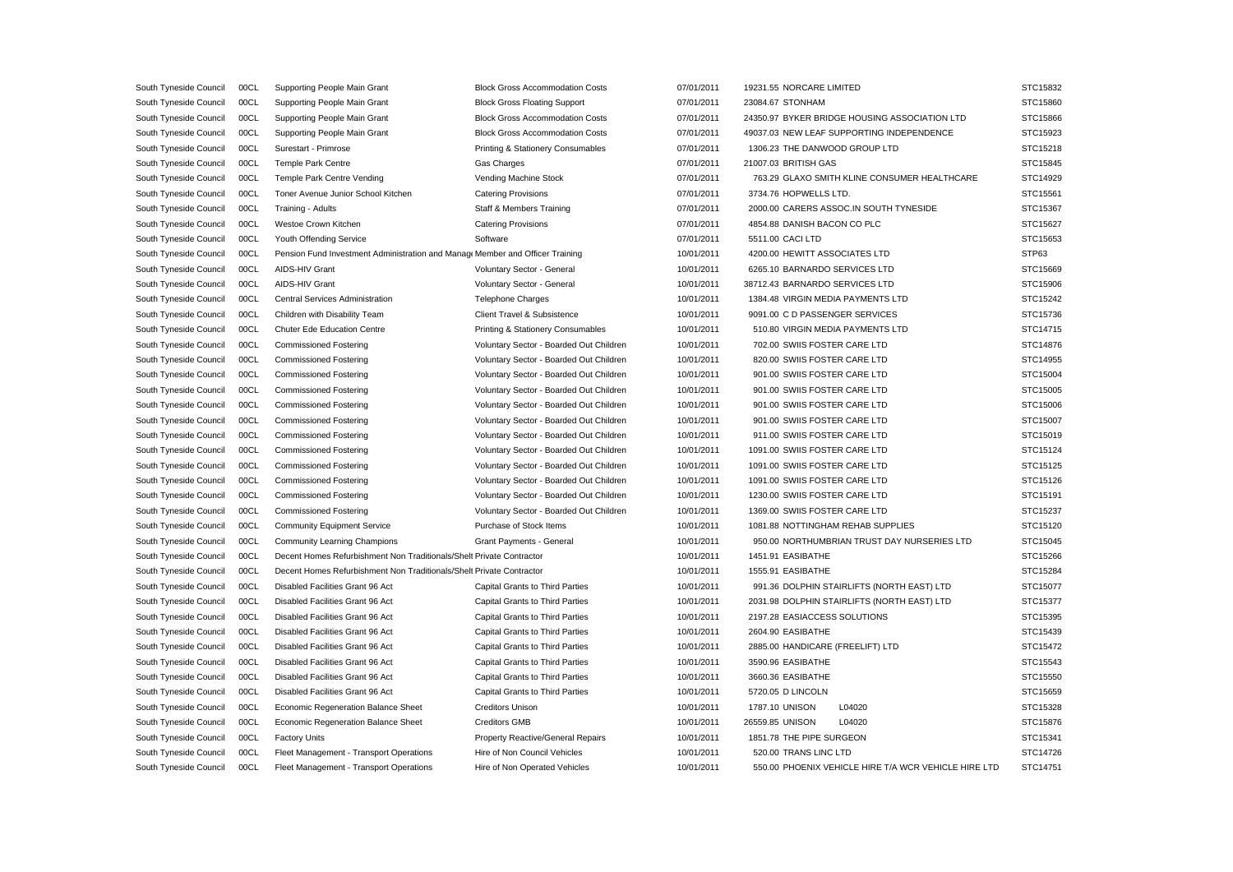| South Tyneside Council | 00CL | Supporting People Main Grant                                                  | <b>Block Gross Accommodation Costs</b>  | 07/01/2011 | 19231.55 NORCARE LIMITED                             | STC15832 |
|------------------------|------|-------------------------------------------------------------------------------|-----------------------------------------|------------|------------------------------------------------------|----------|
| South Tyneside Council | 00CL | Supporting People Main Grant                                                  | <b>Block Gross Floating Support</b>     | 07/01/2011 | 23084.67 STONHAM                                     | STC15860 |
| South Tyneside Council | 00CL | Supporting People Main Grant                                                  | <b>Block Gross Accommodation Costs</b>  | 07/01/2011 | 24350.97 BYKER BRIDGE HOUSING ASSOCIATION LTD        | STC15866 |
| South Tyneside Council | 00CL | Supporting People Main Grant                                                  | <b>Block Gross Accommodation Costs</b>  | 07/01/2011 | 49037.03 NEW LEAF SUPPORTING INDEPENDENCE            | STC15923 |
| South Tyneside Council | 00CL | Surestart - Primrose                                                          | Printing & Stationery Consumables       | 07/01/2011 | 1306.23 THE DANWOOD GROUP LTD                        | STC15218 |
| South Tyneside Council | 00CL | <b>Temple Park Centre</b>                                                     | Gas Charges                             | 07/01/2011 | 21007.03 BRITISH GAS                                 | STC15845 |
| South Tyneside Council | 00CL | Temple Park Centre Vending                                                    | Vending Machine Stock                   | 07/01/2011 | 763.29 GLAXO SMITH KLINE CONSUMER HEALTHCARE         | STC14929 |
| South Tyneside Council | 00CL | Toner Avenue Junior School Kitchen                                            | <b>Catering Provisions</b>              | 07/01/2011 | 3734.76 HOPWELLS LTD.                                | STC15561 |
| South Tyneside Council | 00CL | Training - Adults                                                             | Staff & Members Training                | 07/01/2011 | 2000.00 CARERS ASSOC.IN SOUTH TYNESIDE               | STC15367 |
| South Tyneside Council | 00CL | Westoe Crown Kitchen                                                          | <b>Catering Provisions</b>              | 07/01/2011 | 4854.88 DANISH BACON CO PLC                          | STC15627 |
| South Tyneside Council | 00CL | Youth Offending Service                                                       | Software                                | 07/01/2011 | 5511.00 CACI LTD                                     | STC15653 |
| South Tyneside Council | 00CL | Pension Fund Investment Administration and Manage Member and Officer Training |                                         | 10/01/2011 | 4200.00 HEWITT ASSOCIATES LTD                        | STP63    |
| South Tyneside Council | 00CL | AIDS-HIV Grant                                                                | Voluntary Sector - General              | 10/01/2011 | 6265.10 BARNARDO SERVICES LTD                        | STC15669 |
| South Tyneside Council | 00CL | <b>AIDS-HIV Grant</b>                                                         | Voluntary Sector - General              | 10/01/2011 | 38712.43 BARNARDO SERVICES LTD                       | STC15906 |
| South Tyneside Council | 00CL | Central Services Administration                                               | <b>Telephone Charges</b>                | 10/01/2011 | 1384.48 VIRGIN MEDIA PAYMENTS LTD                    | STC15242 |
| South Tyneside Council | 00CL | Children with Disability Team                                                 | Client Travel & Subsistence             | 10/01/2011 | 9091.00 C D PASSENGER SERVICES                       | STC15736 |
| South Tyneside Council | 00CL | <b>Chuter Ede Education Centre</b>                                            | Printing & Stationery Consumables       | 10/01/2011 | 510.80 VIRGIN MEDIA PAYMENTS LTD                     | STC14715 |
| South Tyneside Council | 00CL | <b>Commissioned Fostering</b>                                                 | Voluntary Sector - Boarded Out Children | 10/01/2011 | 702.00 SWIIS FOSTER CARE LTD                         | STC14876 |
| South Tyneside Council | 00CL | <b>Commissioned Fostering</b>                                                 | Voluntary Sector - Boarded Out Children | 10/01/2011 | 820.00 SWIIS FOSTER CARE LTD                         | STC14955 |
| South Tyneside Council | 00CL | <b>Commissioned Fostering</b>                                                 | Voluntary Sector - Boarded Out Children | 10/01/2011 | 901.00 SWIIS FOSTER CARE LTD                         | STC15004 |
| South Tyneside Council | 00CL | <b>Commissioned Fostering</b>                                                 | Voluntary Sector - Boarded Out Children | 10/01/2011 | 901.00 SWIIS FOSTER CARE LTD                         | STC15005 |
| South Tyneside Council | 00CL | <b>Commissioned Fostering</b>                                                 | Voluntary Sector - Boarded Out Children | 10/01/2011 | 901.00 SWIIS FOSTER CARE LTD                         | STC15006 |
| South Tyneside Council | 00CL | <b>Commissioned Fostering</b>                                                 | Voluntary Sector - Boarded Out Children | 10/01/2011 | 901.00 SWIIS FOSTER CARE LTD                         | STC15007 |
| South Tyneside Council | 00CL | <b>Commissioned Fostering</b>                                                 | Voluntary Sector - Boarded Out Children | 10/01/2011 | 911.00 SWIIS FOSTER CARE LTD                         | STC15019 |
| South Tyneside Council | 00CL | <b>Commissioned Fostering</b>                                                 | Voluntary Sector - Boarded Out Children | 10/01/2011 | 1091.00 SWIIS FOSTER CARE LTD                        | STC15124 |
| South Tyneside Council | 00CL | <b>Commissioned Fostering</b>                                                 | Voluntary Sector - Boarded Out Children | 10/01/2011 | 1091.00 SWIIS FOSTER CARE LTD                        | STC15125 |
| South Tyneside Council | 00CL | <b>Commissioned Fostering</b>                                                 | Voluntary Sector - Boarded Out Children | 10/01/2011 | 1091.00 SWIIS FOSTER CARE LTD                        | STC15126 |
| South Tyneside Council | 00CL | <b>Commissioned Fostering</b>                                                 | Voluntary Sector - Boarded Out Children | 10/01/2011 | 1230.00 SWIIS FOSTER CARE LTD                        | STC15191 |
| South Tyneside Council | 00CL | <b>Commissioned Fostering</b>                                                 | Voluntary Sector - Boarded Out Children | 10/01/2011 | 1369.00 SWIIS FOSTER CARE LTD                        | STC15237 |
| South Tyneside Council | 00CL | <b>Community Equipment Service</b>                                            | Purchase of Stock Items                 | 10/01/2011 | 1081.88 NOTTINGHAM REHAB SUPPLIES                    | STC15120 |
| South Tyneside Council | 00CL | <b>Community Learning Champions</b>                                           | Grant Payments - General                | 10/01/2011 | 950.00 NORTHUMBRIAN TRUST DAY NURSERIES LTD          | STC15045 |
| South Tyneside Council | 00CL | Decent Homes Refurbishment Non Traditionals/Shelt Private Contractor          |                                         | 10/01/2011 | 1451.91 EASIBATHE                                    | STC15266 |
| South Tyneside Council | 00CL | Decent Homes Refurbishment Non Traditionals/Shelt Private Contractor          |                                         | 10/01/2011 | 1555.91 EASIBATHE                                    | STC15284 |
| South Tyneside Council | 00CL | Disabled Facilities Grant 96 Act                                              | <b>Capital Grants to Third Parties</b>  | 10/01/2011 | 991.36 DOLPHIN STAIRLIFTS (NORTH EAST) LTD           | STC15077 |
| South Tyneside Council | 00CL | Disabled Facilities Grant 96 Act                                              | Capital Grants to Third Parties         | 10/01/2011 | 2031.98 DOLPHIN STAIRLIFTS (NORTH EAST) LTD          | STC15377 |
| South Tyneside Council | 00CL | Disabled Facilities Grant 96 Act                                              | Capital Grants to Third Parties         | 10/01/2011 | 2197.28 EASIACCESS SOLUTIONS                         | STC15395 |
| South Tyneside Council | 00CL | Disabled Facilities Grant 96 Act                                              | Capital Grants to Third Parties         | 10/01/2011 | 2604.90 EASIBATHE                                    | STC15439 |
| South Tyneside Council | 00CL | Disabled Facilities Grant 96 Act                                              | Capital Grants to Third Parties         | 10/01/2011 | 2885.00 HANDICARE (FREELIFT) LTD                     | STC15472 |
| South Tyneside Council | 00CL | Disabled Facilities Grant 96 Act                                              | <b>Capital Grants to Third Parties</b>  | 10/01/2011 | 3590.96 EASIBATHE                                    | STC15543 |
| South Tyneside Council | 00CL | Disabled Facilities Grant 96 Act                                              | Capital Grants to Third Parties         | 10/01/2011 | 3660.36 EASIBATHE                                    | STC15550 |
| South Tyneside Council | 00CL | Disabled Facilities Grant 96 Act                                              | Capital Grants to Third Parties         | 10/01/2011 | 5720.05 D LINCOLN                                    | STC15659 |
| South Tyneside Council | 00CL | Economic Regeneration Balance Sheet                                           | <b>Creditors Unison</b>                 | 10/01/2011 | L04020<br>1787.10 UNISON                             | STC15328 |
| South Tyneside Council | 00CL | Economic Regeneration Balance Sheet                                           | <b>Creditors GMB</b>                    | 10/01/2011 | L04020<br>26559.85 UNISON                            | STC15876 |
| South Tyneside Council | 00CL | <b>Factory Units</b>                                                          | Property Reactive/General Repairs       | 10/01/2011 | 1851.78 THE PIPE SURGEON                             | STC15341 |
| South Tyneside Council | 00CL | Fleet Management - Transport Operations                                       | Hire of Non Council Vehicles            | 10/01/2011 | 520.00 TRANS LINC LTD                                | STC14726 |
| South Tyneside Council | 00CL | Fleet Management - Transport Operations                                       | Hire of Non Operated Vehicles           | 10/01/2011 | 550.00 PHOENIX VEHICLE HIRE T/A WCR VEHICLE HIRE LTD | STC14751 |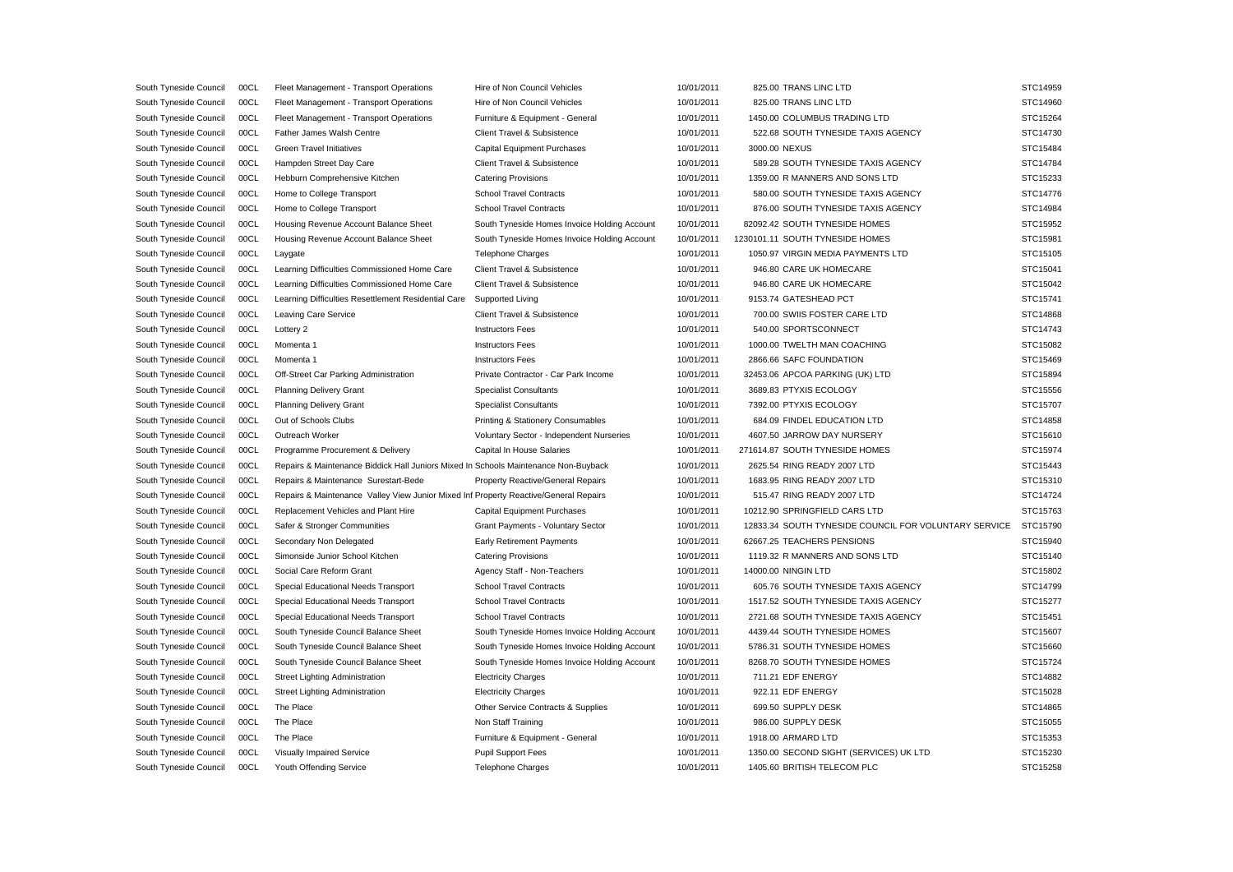| South Tyneside Council | 00CL | Fleet Management - Transport Operations                                              | Hire of Non Council Vehicles                 | 10/01/2011 | 825.00 TRANS LINC LTD                                 | STC14959 |
|------------------------|------|--------------------------------------------------------------------------------------|----------------------------------------------|------------|-------------------------------------------------------|----------|
| South Tyneside Council | 00CL | Fleet Management - Transport Operations                                              | Hire of Non Council Vehicles                 | 10/01/2011 | 825.00 TRANS LINC LTD                                 | STC14960 |
| South Tyneside Council | 00CL | Fleet Management - Transport Operations                                              | Furniture & Equipment - General              | 10/01/2011 | 1450.00 COLUMBUS TRADING LTD                          | STC15264 |
| South Tyneside Council | 00CL | Father James Walsh Centre                                                            | Client Travel & Subsistence                  | 10/01/2011 | 522.68 SOUTH TYNESIDE TAXIS AGENCY                    | STC14730 |
| South Tyneside Council | 00CL | <b>Green Travel Initiatives</b>                                                      | Capital Equipment Purchases                  | 10/01/2011 | 3000.00 NEXUS                                         | STC15484 |
| South Tyneside Council | 00CL | Hampden Street Day Care                                                              | Client Travel & Subsistence                  | 10/01/2011 | 589.28 SOUTH TYNESIDE TAXIS AGENCY                    | STC14784 |
| South Tyneside Council | 00CL | Hebburn Comprehensive Kitchen                                                        | <b>Catering Provisions</b>                   | 10/01/2011 | 1359.00 R MANNERS AND SONS LTD                        | STC15233 |
| South Tyneside Council | 00CL | Home to College Transport                                                            | <b>School Travel Contracts</b>               | 10/01/2011 | 580.00 SOUTH TYNESIDE TAXIS AGENCY                    | STC14776 |
| South Tyneside Council | 00CL | Home to College Transport                                                            | <b>School Travel Contracts</b>               | 10/01/2011 | 876.00 SOUTH TYNESIDE TAXIS AGENCY                    | STC14984 |
| South Tyneside Council | 00CL | Housing Revenue Account Balance Sheet                                                | South Tyneside Homes Invoice Holding Account | 10/01/2011 | 82092.42 SOUTH TYNESIDE HOMES                         | STC15952 |
| South Tyneside Council | 00CL | Housing Revenue Account Balance Sheet                                                | South Tyneside Homes Invoice Holding Account | 10/01/2011 | 1230101.11 SOUTH TYNESIDE HOMES                       | STC15981 |
| South Tyneside Council | 00CL | Laygate                                                                              | <b>Telephone Charges</b>                     | 10/01/2011 | 1050.97 VIRGIN MEDIA PAYMENTS LTD                     | STC15105 |
| South Tyneside Council | 00CL | Learning Difficulties Commissioned Home Care                                         | Client Travel & Subsistence                  | 10/01/2011 | 946.80 CARE UK HOMECARE                               | STC15041 |
| South Tyneside Council | 00CL | Learning Difficulties Commissioned Home Care                                         | Client Travel & Subsistence                  | 10/01/2011 | 946.80 CARE UK HOMECARE                               | STC15042 |
| South Tyneside Council | 00CL | Learning Difficulties Resettlement Residential Care                                  | Supported Living                             | 10/01/2011 | 9153.74 GATESHEAD PCT                                 | STC15741 |
| South Tyneside Council | 00CL | Leaving Care Service                                                                 | Client Travel & Subsistence                  | 10/01/2011 | 700.00 SWIIS FOSTER CARE LTD                          | STC14868 |
| South Tyneside Council | 00CL | Lottery 2                                                                            | <b>Instructors Fees</b>                      | 10/01/2011 | 540.00 SPORTSCONNECT                                  | STC14743 |
| South Tyneside Council | 00CL | Momenta 1                                                                            | <b>Instructors Fees</b>                      | 10/01/2011 | 1000.00 TWELTH MAN COACHING                           | STC15082 |
| South Tyneside Council | 00CL | Momenta 1                                                                            | <b>Instructors Fees</b>                      | 10/01/2011 | 2866.66 SAFC FOUNDATION                               | STC15469 |
| South Tyneside Council | 00CL | Off-Street Car Parking Administration                                                | Private Contractor - Car Park Income         | 10/01/2011 | 32453.06 APCOA PARKING (UK) LTD                       | STC15894 |
| South Tyneside Council | 00CL | <b>Planning Delivery Grant</b>                                                       | <b>Specialist Consultants</b>                | 10/01/2011 | 3689.83 PTYXIS ECOLOGY                                | STC15556 |
| South Tyneside Council | 00CL | <b>Planning Delivery Grant</b>                                                       | <b>Specialist Consultants</b>                | 10/01/2011 | 7392.00 PTYXIS ECOLOGY                                | STC15707 |
| South Tyneside Council | 00CL | Out of Schools Clubs                                                                 | Printing & Stationery Consumables            | 10/01/2011 | 684.09 FINDEL EDUCATION LTD                           | STC14858 |
| South Tyneside Council | 00CL | Outreach Worker                                                                      | Voluntary Sector - Independent Nurseries     | 10/01/2011 | 4607.50 JARROW DAY NURSERY                            | STC15610 |
| South Tyneside Council | 00CL | Programme Procurement & Delivery                                                     | Capital In House Salaries                    | 10/01/2011 | 271614.87 SOUTH TYNESIDE HOMES                        | STC15974 |
| South Tyneside Council | 00CL | Repairs & Maintenance Biddick Hall Juniors Mixed In Schools Maintenance Non-Buyback  |                                              | 10/01/2011 | 2625.54 RING READY 2007 LTD                           | STC15443 |
| South Tyneside Council | 00CL | Repairs & Maintenance Surestart-Bede                                                 | <b>Property Reactive/General Repairs</b>     | 10/01/2011 | 1683.95 RING READY 2007 LTD                           | STC15310 |
| South Tyneside Council | 00CL | Repairs & Maintenance Valley View Junior Mixed Inf Property Reactive/General Repairs |                                              | 10/01/2011 | 515.47 RING READY 2007 LTD                            | STC14724 |
| South Tyneside Council | 00CL | Replacement Vehicles and Plant Hire                                                  | Capital Equipment Purchases                  | 10/01/2011 | 10212.90 SPRINGFIELD CARS LTD                         | STC15763 |
| South Tyneside Council | 00CL | Safer & Stronger Communities                                                         | Grant Payments - Voluntary Sector            | 10/01/2011 | 12833.34 SOUTH TYNESIDE COUNCIL FOR VOLUNTARY SERVICE | STC15790 |
| South Tyneside Council | 00CL | Secondary Non Delegated                                                              | <b>Early Retirement Payments</b>             | 10/01/2011 | 62667.25 TEACHERS PENSIONS                            | STC15940 |
| South Tyneside Council | 00CL | Simonside Junior School Kitchen                                                      | <b>Catering Provisions</b>                   | 10/01/2011 | 1119.32 R MANNERS AND SONS LTD                        | STC15140 |
| South Tyneside Council | 00CL | Social Care Reform Grant                                                             | Agency Staff - Non-Teachers                  | 10/01/2011 | 14000.00 NINGIN LTD                                   | STC15802 |
| South Tyneside Council | 00CL | Special Educational Needs Transport                                                  | <b>School Travel Contracts</b>               | 10/01/2011 | 605.76 SOUTH TYNESIDE TAXIS AGENCY                    | STC14799 |
| South Tyneside Council | 00CL | Special Educational Needs Transport                                                  | <b>School Travel Contracts</b>               | 10/01/2011 | 1517.52 SOUTH TYNESIDE TAXIS AGENCY                   | STC15277 |
| South Tyneside Council | 00CL | Special Educational Needs Transport                                                  | <b>School Travel Contracts</b>               | 10/01/2011 | 2721.68 SOUTH TYNESIDE TAXIS AGENCY                   | STC15451 |
| South Tyneside Council | 00CL | South Tyneside Council Balance Sheet                                                 | South Tyneside Homes Invoice Holding Account | 10/01/2011 | 4439.44 SOUTH TYNESIDE HOMES                          | STC15607 |
| South Tyneside Council | 00CL | South Tyneside Council Balance Sheet                                                 | South Tyneside Homes Invoice Holding Account | 10/01/2011 | 5786.31 SOUTH TYNESIDE HOMES                          | STC15660 |
| South Tyneside Council | 00CL | South Tyneside Council Balance Sheet                                                 | South Tyneside Homes Invoice Holding Account | 10/01/2011 | 8268.70 SOUTH TYNESIDE HOMES                          | STC15724 |
| South Tyneside Council | 00CL | <b>Street Lighting Administration</b>                                                | <b>Electricity Charges</b>                   | 10/01/2011 | 711.21 EDF ENERGY                                     | STC14882 |
| South Tyneside Council | 00CL | <b>Street Lighting Administration</b>                                                | <b>Electricity Charges</b>                   | 10/01/2011 | 922.11 EDF ENERGY                                     | STC15028 |
| South Tyneside Council | 00CL | The Place                                                                            | Other Service Contracts & Supplies           | 10/01/2011 | 699.50 SUPPLY DESK                                    | STC14865 |
| South Tyneside Council | 00CL | The Place                                                                            | Non Staff Training                           | 10/01/2011 | 986.00 SUPPLY DESK                                    | STC15055 |
| South Tyneside Council | 00CL | The Place                                                                            | Furniture & Equipment - General              | 10/01/2011 | 1918.00 ARMARD LTD                                    | STC15353 |
| South Tyneside Council | 00CL | Visually Impaired Service                                                            | <b>Pupil Support Fees</b>                    | 10/01/2011 | 1350.00 SECOND SIGHT (SERVICES) UK LTD                | STC15230 |
| South Tyneside Council | 00CL | Youth Offending Service                                                              | <b>Telephone Charges</b>                     | 10/01/2011 | 1405.60 BRITISH TELECOM PLC                           | STC15258 |
|                        |      |                                                                                      |                                              |            |                                                       |          |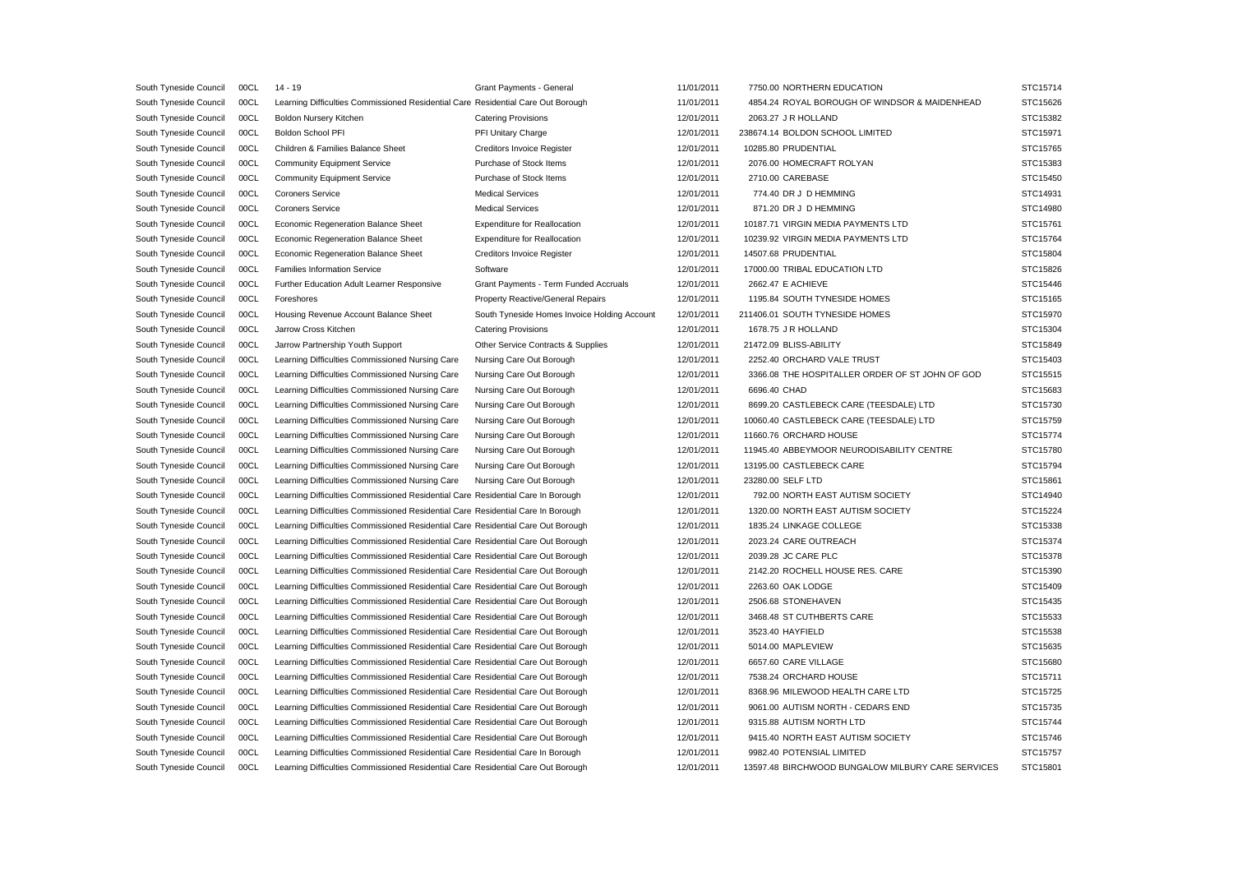| South Tyneside Council | 00CL | 14 - 19                                                                          | Grant Payments - General                     | 11/01/2011 | 7750.00 NORTHERN EDUCATION                        | STC15714 |
|------------------------|------|----------------------------------------------------------------------------------|----------------------------------------------|------------|---------------------------------------------------|----------|
| South Tyneside Council | 00CL | Learning Difficulties Commissioned Residential Care Residential Care Out Borough |                                              | 11/01/2011 | 4854.24 ROYAL BOROUGH OF WINDSOR & MAIDENHEAD     | STC15626 |
| South Tyneside Council | 00CL | Boldon Nursery Kitchen                                                           | <b>Catering Provisions</b>                   | 12/01/2011 | 2063.27 J R HOLLAND                               | STC15382 |
| South Tyneside Council | 00CL | <b>Boldon School PFI</b>                                                         | PFI Unitary Charge                           | 12/01/2011 | 238674.14 BOLDON SCHOOL LIMITED                   | STC15971 |
| South Tyneside Council | 00CL | Children & Families Balance Sheet                                                | <b>Creditors Invoice Register</b>            | 12/01/2011 | 10285.80 PRUDENTIAL                               | STC15765 |
| South Tyneside Council | 00CL | <b>Community Equipment Service</b>                                               | Purchase of Stock Items                      | 12/01/2011 | 2076.00 HOMECRAFT ROLYAN                          | STC15383 |
| South Tyneside Council | 00CL | <b>Community Equipment Service</b>                                               | Purchase of Stock Items                      | 12/01/2011 | 2710.00 CAREBASE                                  | STC15450 |
| South Tyneside Council | 00CL | <b>Coroners Service</b>                                                          | <b>Medical Services</b>                      | 12/01/2011 | 774.40 DR J D HEMMING                             | STC14931 |
| South Tyneside Council | 00CL | <b>Coroners Service</b>                                                          | <b>Medical Services</b>                      | 12/01/2011 | 871.20 DR J D HEMMING                             | STC14980 |
| South Tyneside Council | 00CL | Economic Regeneration Balance Sheet                                              | <b>Expenditure for Reallocation</b>          | 12/01/2011 | 10187.71 VIRGIN MEDIA PAYMENTS LTD                | STC15761 |
| South Tyneside Council | 00CL | Economic Regeneration Balance Sheet                                              | <b>Expenditure for Reallocation</b>          | 12/01/2011 | 10239.92 VIRGIN MEDIA PAYMENTS LTD                | STC15764 |
| South Tyneside Council | 00CL | Economic Regeneration Balance Sheet                                              | <b>Creditors Invoice Register</b>            | 12/01/2011 | 14507.68 PRUDENTIAL                               | STC15804 |
| South Tyneside Council | 00CL | <b>Families Information Service</b>                                              | Software                                     | 12/01/2011 | 17000.00 TRIBAL EDUCATION LTD                     | STC15826 |
| South Tyneside Council | 00CL | Further Education Adult Learner Responsive                                       | Grant Payments - Term Funded Accruals        | 12/01/2011 | 2662.47 E ACHIEVE                                 | STC15446 |
| South Tyneside Council | 00CL | Foreshores                                                                       | Property Reactive/General Repairs            | 12/01/2011 | 1195.84 SOUTH TYNESIDE HOMES                      | STC15165 |
| South Tyneside Council | 00CL | Housing Revenue Account Balance Sheet                                            | South Tyneside Homes Invoice Holding Account | 12/01/2011 | 211406.01 SOUTH TYNESIDE HOMES                    | STC15970 |
| South Tyneside Council | 00CL | Jarrow Cross Kitchen                                                             | <b>Catering Provisions</b>                   | 12/01/2011 | 1678.75 J R HOLLAND                               | STC15304 |
| South Tyneside Council | 00CL | Jarrow Partnership Youth Support                                                 | Other Service Contracts & Supplies           | 12/01/2011 | 21472.09 BLISS-ABILITY                            | STC15849 |
| South Tyneside Council | 00CL | Learning Difficulties Commissioned Nursing Care                                  | Nursing Care Out Borough                     | 12/01/2011 | 2252.40 ORCHARD VALE TRUST                        | STC15403 |
| South Tyneside Council | 00CL | Learning Difficulties Commissioned Nursing Care                                  | Nursing Care Out Borough                     | 12/01/2011 | 3366.08 THE HOSPITALLER ORDER OF ST JOHN OF GOD   | STC15515 |
| South Tyneside Council | 00CL | Learning Difficulties Commissioned Nursing Care                                  | Nursing Care Out Borough                     | 12/01/2011 | 6696.40 CHAD                                      | STC15683 |
| South Tyneside Council | 00CL | Learning Difficulties Commissioned Nursing Care                                  | Nursing Care Out Borough                     | 12/01/2011 | 8699.20 CASTLEBECK CARE (TEESDALE) LTD            | STC15730 |
| South Tyneside Council | 00CL | Learning Difficulties Commissioned Nursing Care                                  | Nursing Care Out Borough                     | 12/01/2011 | 10060.40 CASTLEBECK CARE (TEESDALE) LTD           | STC15759 |
| South Tyneside Council | 00CL | Learning Difficulties Commissioned Nursing Care                                  | Nursing Care Out Borough                     | 12/01/2011 | 11660.76 ORCHARD HOUSE                            | STC15774 |
| South Tyneside Council | 00CL | Learning Difficulties Commissioned Nursing Care                                  | Nursing Care Out Borough                     | 12/01/2011 | 11945.40 ABBEYMOOR NEURODISABILITY CENTRE         | STC15780 |
| South Tyneside Council | 00CL | Learning Difficulties Commissioned Nursing Care                                  | Nursing Care Out Borough                     | 12/01/2011 | 13195.00 CASTLEBECK CARE                          | STC15794 |
| South Tyneside Council | 00CL | Learning Difficulties Commissioned Nursing Care                                  | Nursing Care Out Borough                     | 12/01/2011 | 23280.00 SELF LTD                                 | STC15861 |
| South Tyneside Council | 00CL | Learning Difficulties Commissioned Residential Care Residential Care In Borough  |                                              | 12/01/2011 | 792.00 NORTH EAST AUTISM SOCIETY                  | STC14940 |
| South Tyneside Council | 00CL | Learning Difficulties Commissioned Residential Care Residential Care In Borough  |                                              | 12/01/2011 | 1320.00 NORTH EAST AUTISM SOCIETY                 | STC15224 |
| South Tyneside Council | 00CL | Learning Difficulties Commissioned Residential Care Residential Care Out Borough |                                              | 12/01/2011 | 1835.24 LINKAGE COLLEGE                           | STC15338 |
| South Tyneside Council | 00CL | Learning Difficulties Commissioned Residential Care Residential Care Out Borough |                                              | 12/01/2011 | 2023.24 CARE OUTREACH                             | STC15374 |
| South Tyneside Council | 00CL | Learning Difficulties Commissioned Residential Care Residential Care Out Borough |                                              | 12/01/2011 | 2039.28 JC CARE PLC                               | STC15378 |
| South Tyneside Council | 00CL | Learning Difficulties Commissioned Residential Care Residential Care Out Borough |                                              | 12/01/2011 | 2142.20 ROCHELL HOUSE RES. CARE                   | STC15390 |
| South Tyneside Council | 00CL | Learning Difficulties Commissioned Residential Care Residential Care Out Borough |                                              | 12/01/2011 | 2263.60 OAK LODGE                                 | STC15409 |
| South Tyneside Council | 00CL | Learning Difficulties Commissioned Residential Care Residential Care Out Borough |                                              | 12/01/2011 | 2506.68 STONEHAVEN                                | STC15435 |
| South Tyneside Council | 00CL | Learning Difficulties Commissioned Residential Care Residential Care Out Borough |                                              | 12/01/2011 | 3468.48 ST CUTHBERTS CARE                         | STC15533 |
| South Tyneside Council | 00CL | Learning Difficulties Commissioned Residential Care Residential Care Out Borough |                                              | 12/01/2011 | 3523.40 HAYFIELD                                  | STC15538 |
| South Tyneside Council | 00CL | Learning Difficulties Commissioned Residential Care Residential Care Out Borough |                                              | 12/01/2011 | 5014.00 MAPLEVIEW                                 | STC15635 |
| South Tyneside Council | 00CL | Learning Difficulties Commissioned Residential Care Residential Care Out Borough |                                              | 12/01/2011 | 6657.60 CARE VILLAGE                              | STC15680 |
| South Tyneside Council | 00CL | Learning Difficulties Commissioned Residential Care Residential Care Out Borough |                                              | 12/01/2011 | 7538.24 ORCHARD HOUSE                             | STC15711 |
| South Tyneside Council | 00CL | Learning Difficulties Commissioned Residential Care Residential Care Out Borough |                                              | 12/01/2011 | 8368.96 MILEWOOD HEALTH CARE LTD                  | STC15725 |
| South Tyneside Council | 00CL | Learning Difficulties Commissioned Residential Care Residential Care Out Borough |                                              | 12/01/2011 | 9061.00 AUTISM NORTH - CEDARS END                 | STC15735 |
| South Tyneside Council | 00CL | Learning Difficulties Commissioned Residential Care Residential Care Out Borough |                                              | 12/01/2011 | 9315.88 AUTISM NORTH LTD                          | STC15744 |
| South Tyneside Council | 00CL | Learning Difficulties Commissioned Residential Care Residential Care Out Borough |                                              | 12/01/2011 | 9415.40 NORTH EAST AUTISM SOCIETY                 | STC15746 |
| South Tyneside Council | 00CL | Learning Difficulties Commissioned Residential Care Residential Care In Borough  |                                              | 12/01/2011 | 9982.40 POTENSIAL LIMITED                         | STC15757 |
| South Tyneside Council | 00CL | Learning Difficulties Commissioned Residential Care Residential Care Out Borough |                                              | 12/01/2011 | 13597.48 BIRCHWOOD BUNGALOW MILBURY CARE SERVICES | STC15801 |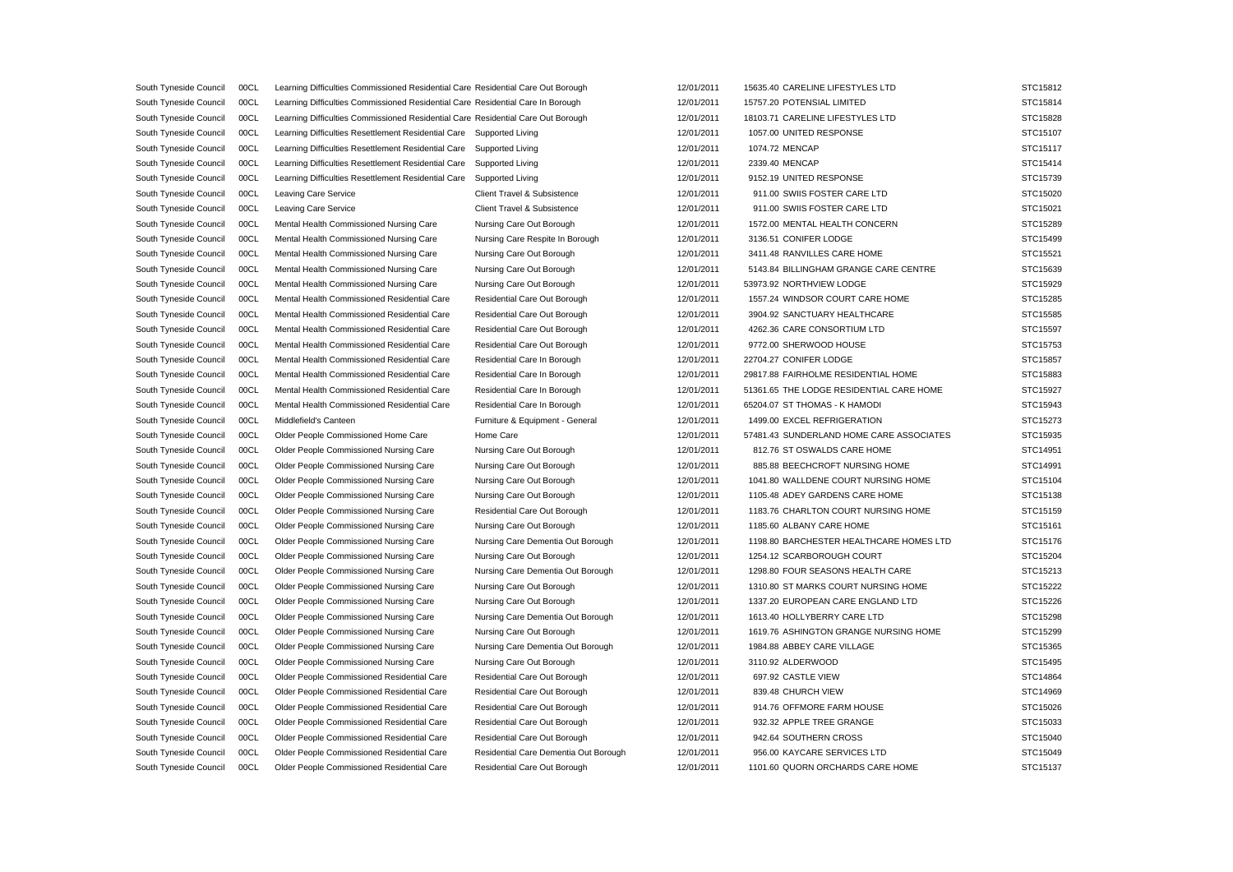South Tyneside Council 00CL Learning Difficulties Commissioned Residential Care Residential Care Out Borough 12/01/2011 15635.40 CARELINE LIFESTYLES LTD STC15812 South Tyneside Council 00CL Learning Difficulties Commissioned Residential Care Residential Care In Borough 12/01/2011 15757.20 POTENSIAL LIMITED STC15814 South Tyneside Council 00CL Learning Difficulties Commissioned Residential Care Residential Care Out Borough 1201/2011 18103.71 CARELINE LIFESTYLES LTD STC15828 South Tyneside Council 00CL Learning Difficulties Resettlement Residential Care Supported Living 12/01/2011 1057.00 UNITED RESPONSE STC15107 South Tyneside Council 00CL Learning Difficulties Resettlement Residential Care Supported Living 12/01/2011 1074.72 MENCAP STC15117 South Tyneside Council 00CL Learning Difficulties Resettlement Residential Care Supported Living 12/01/2011 2339.40 MENCAP 37615414 South Tyneside Council 00CL Learning Difficulties Resettlement Residential Care Supported Living 12/01/2011 9152.19 UNITED RESPONSE STC15739 STC15739 South Tyneside Council 00CL Leaving Care Service Client Travel & Subsistence 12/01/2011 911.00 SWIIS FOSTER CARE LTD STC15020 South Tyneside Council 00CL Leaving Care Service Client Travel & Subsistence 12/01/2011 911.00 SWIIS FOSTER CARE LTD STC15021 911.00 SWIIS FOSTER CARE LTD South Tyneside Council 00CL Mental Health Commissioned Nursing Care Nursing Care Out Borough 12/01/2011 1572.00 MENTAL HEALTH CONCERN STC15289 South Tyneside Council 00CL Mental Health Commissioned Nursing Care Nursing Care Respite In Borough 12/01/2011 3136.51 CONIFER LODGE STC15499 South Tyneside Council 00CL Mental Health Commissioned Nursing Care Nursing Care Out Borough 12/01/2011 3411.48 RANVILLES CARE HOME STC15521 South Tyneside Council 00CL Mental Health Commissioned Nursing Care Nursing Care Out Borough 12/01/2011 5143.84 BILLINGHAM GRANGE CARE CENTRE STC15639 South Tyneside Council 00CL Mental Health Commissioned Nursing Care Nursing Care Out Borough 12/01/2011 53973.92 NORTHVIEW LODGE STC15929 South Tyneside Council 00CL Mental Health Commissioned Residential Care Residential Care Out Borough 12/01/2011 1557.24 WINDSOR COURT CARE HOME STC15285 South Tyneside Council 00CL Mental Health Commissioned Residential Care Residential Care Out Borough 12/01/2011 3904.92 SANCTUARY HEALTHCARE STC15585 South Tyneside Council 00CL Mental Health Commissioned Residential Care Residential Care Out Borough 12/01/2011 4262.36 CARE CONSORTIUM LTD STC15597 South Tyneside Council 00CL Mental Health Commissioned Residential Care Residential Care Out Borough 12/01/2011 9772.00 SHERWOOD HOUSE STC15753 South Tyneside Council 00CL Mental Health Commissioned Residential Care Residential Care In Borough 12/01/2011 22704.27 CONIFER LODGE STC15857 South Tyneside Council 00CL Mental Health Commissioned Residential Care Residential Care In Borough 12/01/2011 29817.88 FAIRHOLME RESIDENTIAL HOME STC15883 South Tyneside Council 00CL Mental Health Commissioned Residential Care Residential Care In Borough 12/01/2011 51361.65 THE LODGE RESIDENTIAL CARE HOME STC15927 South Tyneside Council 00CL Mental Health Commissioned Residential Care Residential Care In Borough 12/01/2011 65204.07 ST THOMAS - K HAMODI STC15943 South Tyneside Council 00CL Middlefield's Canteen **Furniture & Equipment - General** 12/01/2011 1499.00 EXCEL REFRIGERATION STC15273 South Tyneside Council 00CL Older People Commissioned Home Care Home Care Home Care 12/01/2011 57481.43 SUNDERLAND HOME CARE ASSOCIATES STC15935 South Tyneside Council 00CL Older People Commissioned Nursing Care Nursing Care Out Borough 12/01/2011 812.76 ST OSWALDS CARE HOME STC14951 South Tyneside Council 00CL Older People Commissioned Nursing Care Nursing Care Out Borough 12/01/2011 885.88 BEECHCROFT NURSING HOME STC14991 South Tyneside Council 00CL Older People Commissioned Nursing Care Nursing Care Out Borough 12/01/2011 1041.80 WALLDENE COURT NURSING HOME STC15104 South Tyneside Council 00CL Older People Commissioned Nursing Care Nursing Care Out Borough 12/01/2011 1105.48 ADEY GARDENS CARE HOME STC15138 South Tyneside Council 00CL Older People Commissioned Nursing Care Residential Care Out Borough 12/01/2011 1183.76 CHARLTON COURT NURSING HOME STC15159 South Tyneside Council 00CL Older People Commissioned Nursing Care Nursing Care Out Borough 12/01/2011 1185.60 ALBANY CARE HOME STC15161 South Tyneside Council 00CL Older People Commissioned Nursing Care Nursing Care Dementia Out Borough 12/01/2011 1198.80 BARCHESTER HEALTHCARE HOMES LTD STC15176 South Tyneside Council 00CL Older People Commissioned Nursing Care Nursing Care Out Borough 12/01/2011 1254.12 SCARBOROUGH COURT STC15204 South Tyneside Council 00CL Older People Commissioned Nursing Care Nursing Care Dementia Out Borough 12/01/2011 1298.80 FOUR SEASONS HEALTH CARE STC15213 South Tyneside Council 00CL Older People Commissioned Nursing Care Nursing Care Out Borough 12/01/2011 1310.80 ST MARKS COURT NURSING HOME STC15222 South Tyneside Council 00CL Older People Commissioned Nursing Care Nursing Care Out Borough 12/01/2011 1337.20 EUROPEAN CARE ENGLAND LTD STC15226 South Tyneside Council 00CL Older People Commissioned Nursing Care Nursing Care Dementia Out Borough 12/01/2011 1613.40 HOLLYBERRY CARE LTD STC15298 South Tyneside Council 00CL Older People Commissioned Nursing Care Nursing Care Out Borough 12/01/2011 1619.76 ASHINGTON GRANGE NURSING HOME STC15299 South Tyneside Council 00CL Older People Commissioned Nursing Care Nursing Care Dementia Out Borough 12/01/2011 1984.88 ABBEY CARE VILLAGE STC15365 South Tyneside Council 00CL Older People Commissioned Nursing Care Nursing Care Out Borough 12/01/2011 3110.92 ALDERWOOD STC15495 South Tyneside Council 00CL Older People Commissioned Residential Care Residential Care Out Borough 12/01/2011 697.92 CASTLE VIEW STC14864 South Tyneside Council 00CL Older People Commissioned Residential Care Residential Care Out Borough 12/01/2011 839.48 CHURCH VIEW STC14969 South Tyneside Council 00CL Older People Commissioned Residential Care Residential Care Out Borough 12/01/2011 914.76 OFFMORE FARM HOUSE STC15026 South Tyneside Council 00CL Older People Commissioned Residential Care Residential Care Out Borough 12/01/2011 932.32 APPLE TREE GRANGE STC15033 South Tyneside Council 00CL Older People Commissioned Residential Care Residential Care Out Borough 12/01/2011 942.64 SOUTHERN CROSS STEP STC15040 South Tyneside Council 00CL Older People Commissioned Residential Care Residential Care Dementia Out Borough 12/01/2011 956.00 KAYCARE SERVICES LTD STC15049 South Tyneside Council 00CL Older People Commissioned Residential Care Residential Care Out Borough 12/01/2011 1101.60 QUORN ORCHARDS CARE HOME STC15137

| /2011 | 15635.40 CARELINE LIFESTYLES LTD         | STC158             |
|-------|------------------------------------------|--------------------|
| /2011 | 15757.20 POTENSIAL LIMITED               | <b>STC158</b>      |
| /2011 | 18103.71 CARELINE LIFESTYLES LTD         | STC158             |
| /2011 | 1057.00 UNITED RESPONSE                  | STC151             |
| /2011 | 1074.72 MENCAP                           | STC151             |
| /2011 | 2339.40 MENCAP                           | STC154             |
| /2011 | 9152.19 UNITED RESPONSE                  | <b>STC157</b>      |
| /2011 | 911.00 SWIIS FOSTER CARE LTD             | STC150             |
| /2011 | 911.00 SWIIS FOSTER CARE LTD             | STC150             |
| /2011 | 1572.00 MENTAL HEALTH CONCERN            | STC152             |
| /2011 | 3136.51 CONIFER LODGE                    | <b>STC154</b>      |
| /2011 | 3411.48 RANVILLES CARE HOME              | STC155             |
| /2011 | 5143.84 BILLINGHAM GRANGE CARE CENTRE    | <b>STC156</b>      |
| /2011 | 53973.92 NORTHVIEW LODGE                 | STC159             |
| /2011 | 1557.24 WINDSOR COURT CARE HOME          | <b>STC152</b>      |
| /2011 | 3904.92 SANCTUARY HEALTHCARE             | <b>STC155</b>      |
| /2011 | 4262.36 CARE CONSORTIUM LTD              | STC155             |
| /2011 | 9772.00 SHERWOOD HOUSE                   | <b>STC157</b>      |
| /2011 | 22704.27 CONIFER LODGE                   | <b>STC158</b>      |
| /2011 | 29817.88 FAIRHOLME RESIDENTIAL HOME      | <b>STC158</b>      |
| /2011 | 51361.65 THE LODGE RESIDENTIAL CARE HOME | STC159             |
| /2011 | 65204.07 ST THOMAS - K HAMODI            | STC159             |
| /2011 | 1499.00 EXCEL REFRIGERATION              | STC152             |
| /2011 | 57481.43 SUNDERLAND HOME CARE ASSOCIATES | STC159             |
| /2011 | 812.76 ST OSWALDS CARE HOME              | STC149             |
| /2011 | 885.88 BEECHCROFT NURSING HOME           | <b>STC149</b>      |
| /2011 | 1041.80 WALLDENE COURT NURSING HOME      | STC151             |
| /2011 | 1105.48 ADEY GARDENS CARE HOME           | STC151             |
| /2011 | 1183.76 CHARLTON COURT NURSING HOME      | STC151             |
| /2011 | 1185.60 ALBANY CARE HOME                 | STC151             |
| /2011 | 1198.80 BARCHESTER HEALTHCARE HOMES LTD  | STC151             |
| /2011 | 1254.12 SCARBOROUGH COURT                | STC152             |
| /2011 | 1298.80 FOUR SEASONS HEALTH CARE         | STC152             |
| /2011 | 1310.80 ST MARKS COURT NURSING HOME      | STC152             |
| /2011 | 1337.20 EUROPEAN CARE ENGLAND LTD        | <b>STC152</b>      |
| /2011 | 1613.40 HOLLYBERRY CARE LTD              | STC152             |
| /2011 | 1619.76 ASHINGTON GRANGE NURSING HOME    | STC152             |
| /2011 | 1984.88 ABBEY CARE VILLAGE               | STC153             |
| /2011 | 3110.92 ALDERWOOD                        | STC154             |
| /2011 | 697.92 CASTLE VIEW                       | STC <sub>148</sub> |
| /2011 | 839.48 CHURCH VIEW                       | STC149             |
| /2011 | 914.76 OFFMORE FARM HOUSE                | STC150             |
| /2011 | 932.32 APPLE TREE GRANGE                 | STC150             |
| /2011 | 942.64 SOUTHERN CROSS                    | STC150             |
| /2011 | 956.00 KAYCARE SERVICES LTD              | STC150             |
| /2011 | 1101.60 QUORN ORCHARDS CARE HOME         | STC151             |
|       |                                          |                    |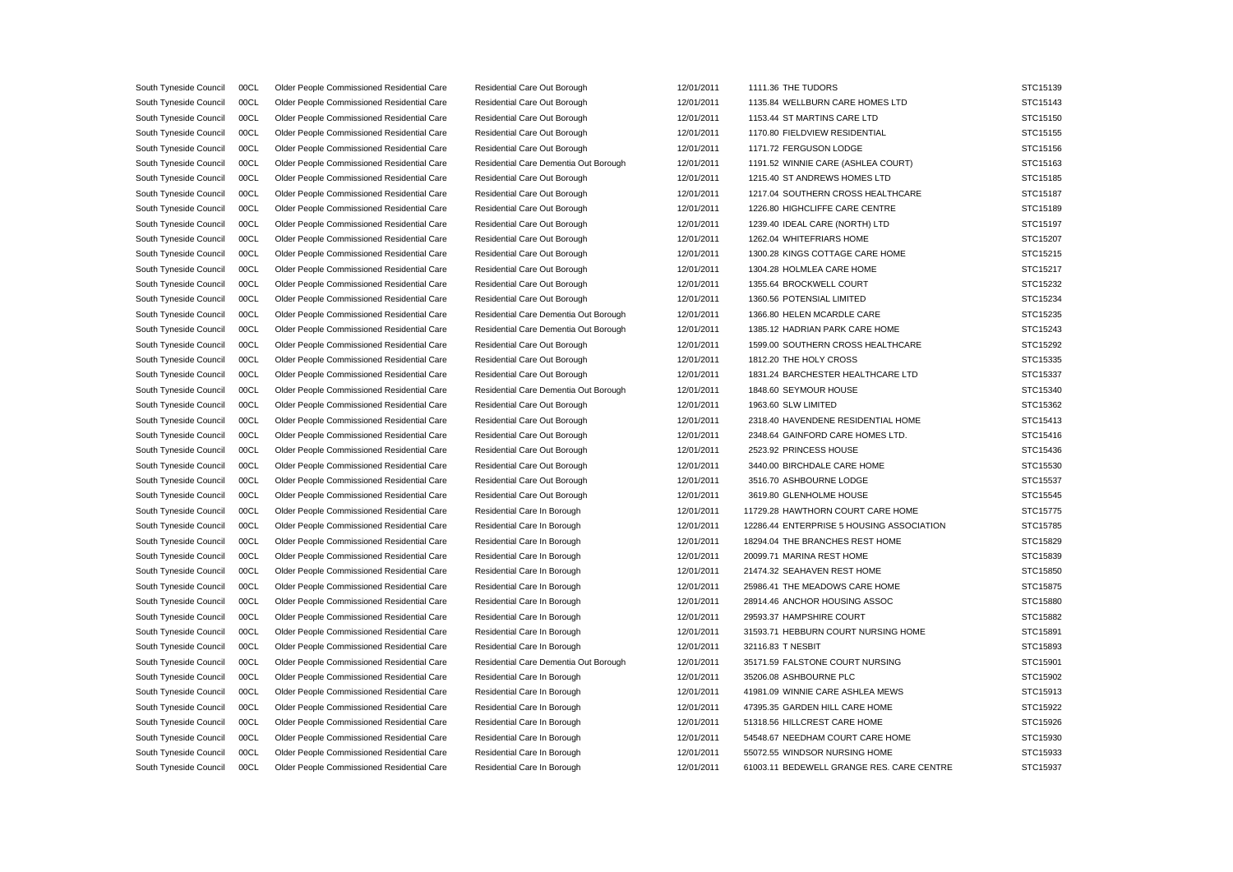| South Tyneside Council | 00CL | Older People Commissioned Residential Care | Residential Care Out Borough          | 12/01/2011 | 1111.36 THE TUDORS                        | STC15139 |
|------------------------|------|--------------------------------------------|---------------------------------------|------------|-------------------------------------------|----------|
| South Tyneside Council | 00CL | Older People Commissioned Residential Care | Residential Care Out Borough          | 12/01/2011 | 1135.84 WELLBURN CARE HOMES LTD           | STC15143 |
| South Tyneside Council | 00CL | Older People Commissioned Residential Care | Residential Care Out Borough          | 12/01/2011 | 1153.44 ST MARTINS CARE LTD               | STC15150 |
| South Tyneside Council | 00CL | Older People Commissioned Residential Care | Residential Care Out Borough          | 12/01/2011 | 1170.80 FIELDVIEW RESIDENTIAL             | STC15155 |
| South Tyneside Council | 00CL | Older People Commissioned Residential Care | Residential Care Out Borough          | 12/01/2011 | 1171.72 FERGUSON LODGE                    | STC15156 |
| South Tyneside Council | 00CL | Older People Commissioned Residential Care | Residential Care Dementia Out Borough | 12/01/2011 | 1191.52 WINNIE CARE (ASHLEA COURT)        | STC15163 |
| South Tyneside Council | 00CL | Older People Commissioned Residential Care | Residential Care Out Borough          | 12/01/2011 | 1215.40 ST ANDREWS HOMES LTD              | STC15185 |
| South Tyneside Council | 00CL | Older People Commissioned Residential Care | Residential Care Out Borough          | 12/01/2011 | 1217.04 SOUTHERN CROSS HEALTHCARE         | STC15187 |
| South Tyneside Council | 00CL | Older People Commissioned Residential Care | Residential Care Out Borough          | 12/01/2011 | 1226.80 HIGHCLIFFE CARE CENTRE            | STC15189 |
| South Tyneside Council | 00CL | Older People Commissioned Residential Care | Residential Care Out Borough          | 12/01/2011 | 1239.40 IDEAL CARE (NORTH) LTD            | STC15197 |
| South Tyneside Council | 00CL | Older People Commissioned Residential Care | Residential Care Out Borough          | 12/01/2011 | 1262.04 WHITEFRIARS HOME                  | STC15207 |
| South Tyneside Council | 00CL | Older People Commissioned Residential Care | Residential Care Out Borough          | 12/01/2011 | 1300.28 KINGS COTTAGE CARE HOME           | STC15215 |
| South Tyneside Council | 00CL | Older People Commissioned Residential Care | Residential Care Out Borough          | 12/01/2011 | 1304.28 HOLMLEA CARE HOME                 | STC15217 |
| South Tyneside Council | 00CL | Older People Commissioned Residential Care | Residential Care Out Borough          | 12/01/2011 | 1355.64 BROCKWELL COURT                   | STC15232 |
| South Tyneside Council | 00CL | Older People Commissioned Residential Care | Residential Care Out Borough          | 12/01/2011 | 1360.56 POTENSIAL LIMITED                 | STC15234 |
| South Tyneside Council | 00CL | Older People Commissioned Residential Care | Residential Care Dementia Out Borough | 12/01/2011 | 1366.80 HELEN MCARDLE CARE                | STC15235 |
| South Tyneside Council | 00CL | Older People Commissioned Residential Care | Residential Care Dementia Out Borough | 12/01/2011 | 1385.12 HADRIAN PARK CARE HOME            | STC15243 |
| South Tyneside Council | 00CL | Older People Commissioned Residential Care | Residential Care Out Borough          | 12/01/2011 | 1599.00 SOUTHERN CROSS HEALTHCARE         | STC15292 |
| South Tyneside Council | 00CL | Older People Commissioned Residential Care | Residential Care Out Borough          | 12/01/2011 | 1812.20 THE HOLY CROSS                    | STC15335 |
| South Tyneside Council | 00CL | Older People Commissioned Residential Care | Residential Care Out Borough          | 12/01/2011 | 1831.24 BARCHESTER HEALTHCARE LTD         | STC15337 |
| South Tyneside Council | 00CL | Older People Commissioned Residential Care | Residential Care Dementia Out Borough | 12/01/2011 | 1848.60 SEYMOUR HOUSE                     | STC15340 |
| South Tyneside Council | 00CL | Older People Commissioned Residential Care | Residential Care Out Borough          | 12/01/2011 | 1963.60 SLW LIMITED                       | STC15362 |
| South Tyneside Council | 00CL | Older People Commissioned Residential Care | Residential Care Out Borough          | 12/01/2011 | 2318.40 HAVENDENE RESIDENTIAL HOME        | STC15413 |
| South Tyneside Council | 00CL | Older People Commissioned Residential Care | Residential Care Out Borough          | 12/01/2011 | 2348.64 GAINFORD CARE HOMES LTD.          | STC15416 |
| South Tyneside Council | 00CL | Older People Commissioned Residential Care | Residential Care Out Borough          | 12/01/2011 | 2523.92 PRINCESS HOUSE                    | STC15436 |
| South Tyneside Council | 00CL | Older People Commissioned Residential Care | Residential Care Out Borough          | 12/01/2011 | 3440.00 BIRCHDALE CARE HOME               | STC15530 |
| South Tyneside Council | 00CL | Older People Commissioned Residential Care | Residential Care Out Borough          | 12/01/2011 | 3516.70 ASHBOURNE LODGE                   | STC15537 |
| South Tyneside Council | 00CL | Older People Commissioned Residential Care | Residential Care Out Borough          | 12/01/2011 | 3619.80 GLENHOLME HOUSE                   | STC15545 |
| South Tyneside Council | 00CL | Older People Commissioned Residential Care | Residential Care In Borough           | 12/01/2011 | 11729.28 HAWTHORN COURT CARE HOME         | STC15775 |
| South Tyneside Council | 00CL | Older People Commissioned Residential Care | Residential Care In Borough           | 12/01/2011 | 12286.44 ENTERPRISE 5 HOUSING ASSOCIATION | STC15785 |
| South Tyneside Council | 00CL | Older People Commissioned Residential Care | Residential Care In Borough           | 12/01/2011 | 18294.04 THE BRANCHES REST HOME           | STC15829 |
| South Tyneside Council | 00CL | Older People Commissioned Residential Care | Residential Care In Borough           | 12/01/2011 | 20099.71 MARINA REST HOME                 | STC15839 |
| South Tyneside Council | 00CL | Older People Commissioned Residential Care | Residential Care In Borough           | 12/01/2011 | 21474.32 SEAHAVEN REST HOME               | STC15850 |
| South Tyneside Council | 00CL | Older People Commissioned Residential Care | Residential Care In Borough           | 12/01/2011 | 25986.41 THE MEADOWS CARE HOME            | STC15875 |
| South Tyneside Council | 00CL | Older People Commissioned Residential Care | Residential Care In Borough           | 12/01/2011 | 28914.46 ANCHOR HOUSING ASSOC             | STC15880 |
| South Tyneside Council | 00CL | Older People Commissioned Residential Care | Residential Care In Borough           | 12/01/2011 | 29593.37 HAMPSHIRE COURT                  | STC15882 |
| South Tyneside Council | 00CL | Older People Commissioned Residential Care | Residential Care In Borough           | 12/01/2011 | 31593.71 HEBBURN COURT NURSING HOME       | STC15891 |
| South Tyneside Council | 00CL | Older People Commissioned Residential Care | Residential Care In Borough           | 12/01/2011 | 32116.83 T NESBIT                         | STC15893 |
| South Tyneside Council | 00CL | Older People Commissioned Residential Care | Residential Care Dementia Out Borough | 12/01/2011 | 35171.59 FALSTONE COURT NURSING           | STC15901 |
| South Tyneside Council | 00CL | Older People Commissioned Residential Care | Residential Care In Borough           | 12/01/2011 | 35206.08 ASHBOURNE PLC                    | STC15902 |
| South Tyneside Council | 00CL | Older People Commissioned Residential Care | Residential Care In Borough           | 12/01/2011 | 41981.09 WINNIE CARE ASHLEA MEWS          | STC15913 |
| South Tyneside Council | 00CL | Older People Commissioned Residential Care | Residential Care In Borough           | 12/01/2011 | 47395.35 GARDEN HILL CARE HOME            | STC15922 |
| South Tyneside Council | 00CL | Older People Commissioned Residential Care | Residential Care In Borough           | 12/01/2011 | 51318.56 HILLCREST CARE HOME              | STC15926 |
| South Tyneside Council | 00CL | Older People Commissioned Residential Care | Residential Care In Borough           | 12/01/2011 | 54548.67 NEEDHAM COURT CARE HOME          | STC15930 |
| South Tyneside Council | 00CL | Older People Commissioned Residential Care | Residential Care In Borough           | 12/01/2011 | 55072.55 WINDSOR NURSING HOME             | STC15933 |
| South Tyneside Council | 00CL | Older People Commissioned Residential Care | Residential Care In Borough           | 12/01/2011 | 61003.11 BEDEWELL GRANGE RES. CARE CENTRE | STC15937 |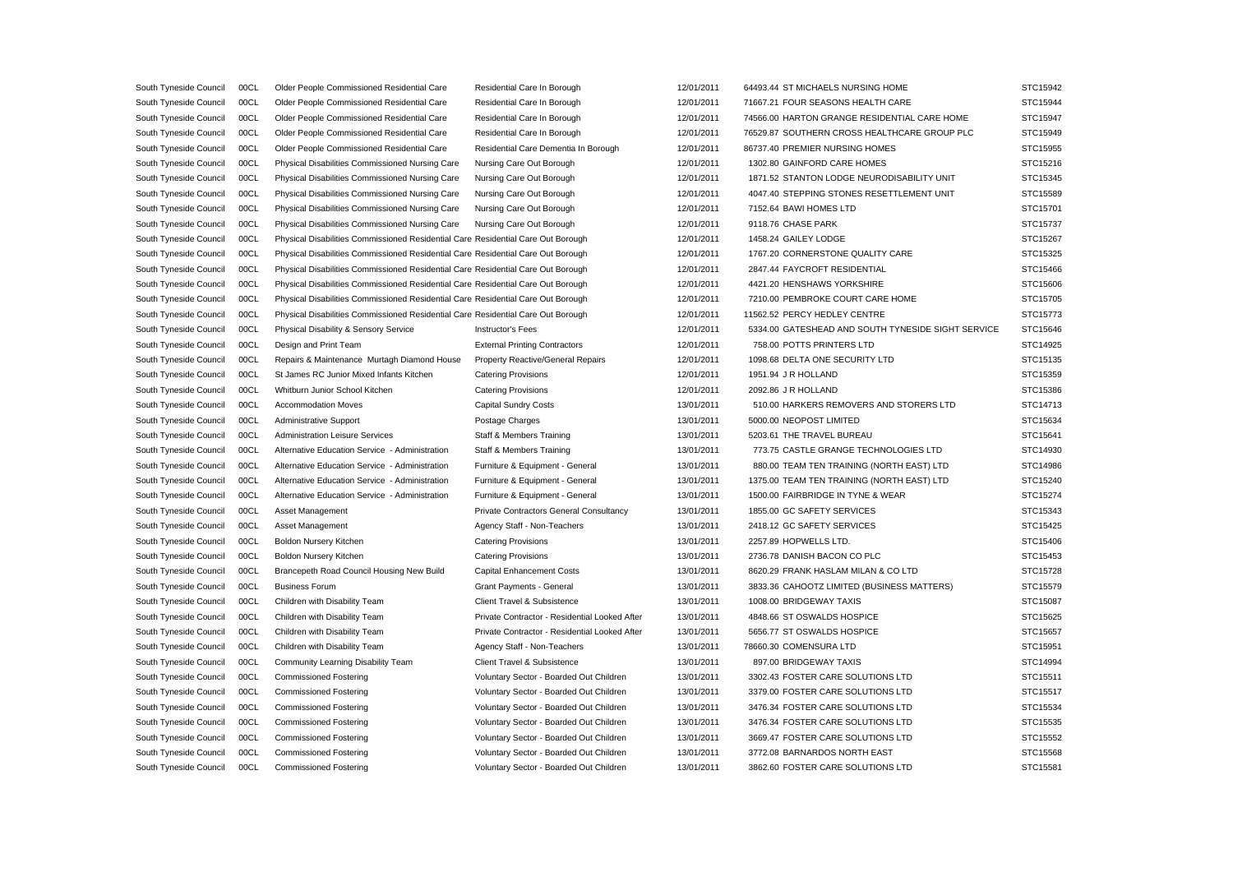| South Tyneside Council | 00CL | Older People Commissioned Residential Care                                       | Residential Care In Borough                   | 12/01/2011 | 64493.44 ST MICHAELS NURSING HOME                  | STC15942 |
|------------------------|------|----------------------------------------------------------------------------------|-----------------------------------------------|------------|----------------------------------------------------|----------|
| South Tyneside Council | 00CL | Older People Commissioned Residential Care                                       | Residential Care In Borough                   | 12/01/2011 | 71667.21 FOUR SEASONS HEALTH CARE                  | STC15944 |
| South Tyneside Council | 00CL | Older People Commissioned Residential Care                                       | Residential Care In Borough                   | 12/01/2011 | 74566.00 HARTON GRANGE RESIDENTIAL CARE HOME       | STC15947 |
| South Tyneside Council | 00CL | Older People Commissioned Residential Care                                       | Residential Care In Borough                   | 12/01/2011 | 76529.87 SOUTHERN CROSS HEALTHCARE GROUP PLC       | STC15949 |
| South Tyneside Council | 00CL | Older People Commissioned Residential Care                                       | Residential Care Dementia In Borough          | 12/01/2011 | 86737.40 PREMIER NURSING HOMES                     | STC15955 |
| South Tyneside Council | 00CL | Physical Disabilities Commissioned Nursing Care                                  | Nursing Care Out Borough                      | 12/01/2011 | 1302.80 GAINFORD CARE HOMES                        | STC15216 |
| South Tyneside Council | 00CL | Physical Disabilities Commissioned Nursing Care                                  | Nursing Care Out Borough                      | 12/01/2011 | 1871.52 STANTON LODGE NEURODISABILITY UNIT         | STC15345 |
| South Tyneside Council | 00CL | Physical Disabilities Commissioned Nursing Care                                  | Nursing Care Out Borough                      | 12/01/2011 | 4047.40 STEPPING STONES RESETTLEMENT UNIT          | STC15589 |
| South Tyneside Council | 00CL | Physical Disabilities Commissioned Nursing Care                                  | Nursing Care Out Borough                      | 12/01/2011 | 7152.64 BAWI HOMES LTD                             | STC15701 |
| South Tyneside Council | 00CL | Physical Disabilities Commissioned Nursing Care                                  | Nursing Care Out Borough                      | 12/01/2011 | 9118.76 CHASE PARK                                 | STC15737 |
| South Tyneside Council | 00CL | Physical Disabilities Commissioned Residential Care Residential Care Out Borough |                                               | 12/01/2011 | 1458.24 GAILEY LODGE                               | STC15267 |
| South Tyneside Council | 00CL | Physical Disabilities Commissioned Residential Care Residential Care Out Borough |                                               | 12/01/2011 | 1767.20 CORNERSTONE QUALITY CARE                   | STC15325 |
| South Tyneside Council | 00CL | Physical Disabilities Commissioned Residential Care Residential Care Out Borough |                                               | 12/01/2011 | 2847.44 FAYCROFT RESIDENTIAL                       | STC15466 |
| South Tyneside Council | 00CL | Physical Disabilities Commissioned Residential Care Residential Care Out Borough |                                               | 12/01/2011 | 4421.20 HENSHAWS YORKSHIRE                         | STC15606 |
| South Tyneside Council | 00CL | Physical Disabilities Commissioned Residential Care Residential Care Out Borough |                                               | 12/01/2011 | 7210.00 PEMBROKE COURT CARE HOME                   | STC15705 |
| South Tyneside Council | 00CL | Physical Disabilities Commissioned Residential Care Residential Care Out Borough |                                               | 12/01/2011 | 11562.52 PERCY HEDLEY CENTRE                       | STC15773 |
| South Tyneside Council | 00CL | Physical Disability & Sensory Service                                            | Instructor's Fees                             | 12/01/2011 | 5334.00 GATESHEAD AND SOUTH TYNESIDE SIGHT SERVICE | STC15646 |
| South Tyneside Council | 00CL | Design and Print Team                                                            | <b>External Printing Contractors</b>          | 12/01/2011 | 758.00 POTTS PRINTERS LTD                          | STC14925 |
| South Tyneside Council | 00CL | Repairs & Maintenance Murtagh Diamond House                                      | <b>Property Reactive/General Repairs</b>      | 12/01/2011 | 1098.68 DELTA ONE SECURITY LTD                     | STC15135 |
| South Tyneside Council | 00CL | St James RC Junior Mixed Infants Kitchen                                         | <b>Catering Provisions</b>                    | 12/01/2011 | 1951.94 J R HOLLAND                                | STC15359 |
| South Tyneside Council | 00CL | Whitburn Junior School Kitchen                                                   | <b>Catering Provisions</b>                    | 12/01/2011 | 2092.86 J R HOLLAND                                | STC15386 |
| South Tyneside Council | 00CL | <b>Accommodation Moves</b>                                                       | <b>Capital Sundry Costs</b>                   | 13/01/2011 | 510.00 HARKERS REMOVERS AND STORERS LTD            | STC14713 |
| South Tyneside Council | 00CL | <b>Administrative Support</b>                                                    | Postage Charges                               | 13/01/2011 | 5000.00 NEOPOST LIMITED                            | STC15634 |
| South Tyneside Council | 00CL | <b>Administration Leisure Services</b>                                           | Staff & Members Training                      | 13/01/2011 | 5203.61 THE TRAVEL BUREAU                          | STC15641 |
| South Tyneside Council | 00CL | Alternative Education Service - Administration                                   | Staff & Members Training                      | 13/01/2011 | 773.75 CASTLE GRANGE TECHNOLOGIES LTD              | STC14930 |
| South Tyneside Council | 00CL | Alternative Education Service - Administration                                   | Furniture & Equipment - General               | 13/01/2011 | 880.00 TEAM TEN TRAINING (NORTH EAST) LTD          | STC14986 |
| South Tyneside Council | 00CL | Alternative Education Service - Administration                                   | Furniture & Equipment - General               | 13/01/2011 | 1375.00 TEAM TEN TRAINING (NORTH EAST) LTD         | STC15240 |
| South Tyneside Council | 00CL | Alternative Education Service - Administration                                   | Furniture & Equipment - General               | 13/01/2011 | 1500.00 FAIRBRIDGE IN TYNE & WEAR                  | STC15274 |
| South Tyneside Council | 00CL | Asset Management                                                                 | Private Contractors General Consultancy       | 13/01/2011 | 1855.00 GC SAFETY SERVICES                         | STC15343 |
| South Tyneside Council | 00CL | Asset Management                                                                 | Agency Staff - Non-Teachers                   | 13/01/2011 | 2418.12 GC SAFETY SERVICES                         | STC15425 |
| South Tyneside Council | 00CL | Boldon Nursery Kitchen                                                           | <b>Catering Provisions</b>                    | 13/01/2011 | 2257.89 HOPWELLS LTD                               | STC15406 |
| South Tyneside Council | 00CL | Boldon Nursery Kitchen                                                           | <b>Catering Provisions</b>                    | 13/01/2011 | 2736.78 DANISH BACON CO PLC                        | STC15453 |
| South Tyneside Council | 00CL | Brancepeth Road Council Housing New Build                                        | <b>Capital Enhancement Costs</b>              | 13/01/2011 | 8620.29 FRANK HASLAM MILAN & CO LTD                | STC15728 |
| South Tyneside Council | 00CL | <b>Business Forum</b>                                                            | Grant Payments - General                      | 13/01/2011 | 3833.36 CAHOOTZ LIMITED (BUSINESS MATTERS)         | STC15579 |
| South Tyneside Council | 00CL | Children with Disability Team                                                    | Client Travel & Subsistence                   | 13/01/2011 | 1008.00 BRIDGEWAY TAXIS                            | STC15087 |
| South Tyneside Council | 00CL | Children with Disability Team                                                    | Private Contractor - Residential Looked After | 13/01/2011 | 4848.66 ST OSWALDS HOSPICE                         | STC15625 |
| South Tyneside Council | 00CL | Children with Disability Team                                                    | Private Contractor - Residential Looked After | 13/01/2011 | 5656.77 ST OSWALDS HOSPICE                         | STC15657 |
| South Tyneside Council | 00CL | Children with Disability Team                                                    | Agency Staff - Non-Teachers                   | 13/01/2011 | 78660.30 COMENSURA LTD                             | STC15951 |
| South Tyneside Council | 00CL | Community Learning Disability Team                                               | Client Travel & Subsistence                   | 13/01/2011 | 897.00 BRIDGEWAY TAXIS                             | STC14994 |
| South Tyneside Council | 00CL | <b>Commissioned Fostering</b>                                                    | Voluntary Sector - Boarded Out Children       | 13/01/2011 | 3302.43 FOSTER CARE SOLUTIONS LTD                  | STC15511 |
| South Tyneside Council | 00CL | <b>Commissioned Fostering</b>                                                    | Voluntary Sector - Boarded Out Children       | 13/01/2011 | 3379.00 FOSTER CARE SOLUTIONS LTD                  | STC15517 |
| South Tyneside Council | 00CL | <b>Commissioned Fostering</b>                                                    | Voluntary Sector - Boarded Out Children       | 13/01/2011 | 3476.34 FOSTER CARE SOLUTIONS LTD                  | STC15534 |
| South Tyneside Council | 00CL | <b>Commissioned Fostering</b>                                                    | Voluntary Sector - Boarded Out Children       | 13/01/2011 | 3476.34 FOSTER CARE SOLUTIONS LTD                  | STC15535 |
| South Tyneside Council | 00CL | <b>Commissioned Fostering</b>                                                    | Voluntary Sector - Boarded Out Children       | 13/01/2011 | 3669.47 FOSTER CARE SOLUTIONS LTD                  | STC15552 |
| South Tyneside Council | 00CL | <b>Commissioned Fostering</b>                                                    | Voluntary Sector - Boarded Out Children       | 13/01/2011 | 3772.08 BARNARDOS NORTH EAST                       | STC15568 |
| South Tyneside Council | 00CL | Commissioned Fostering                                                           | Voluntary Sector - Boarded Out Children       | 13/01/2011 | 3862.60 FOSTER CARE SOLUTIONS LTD                  | STC15581 |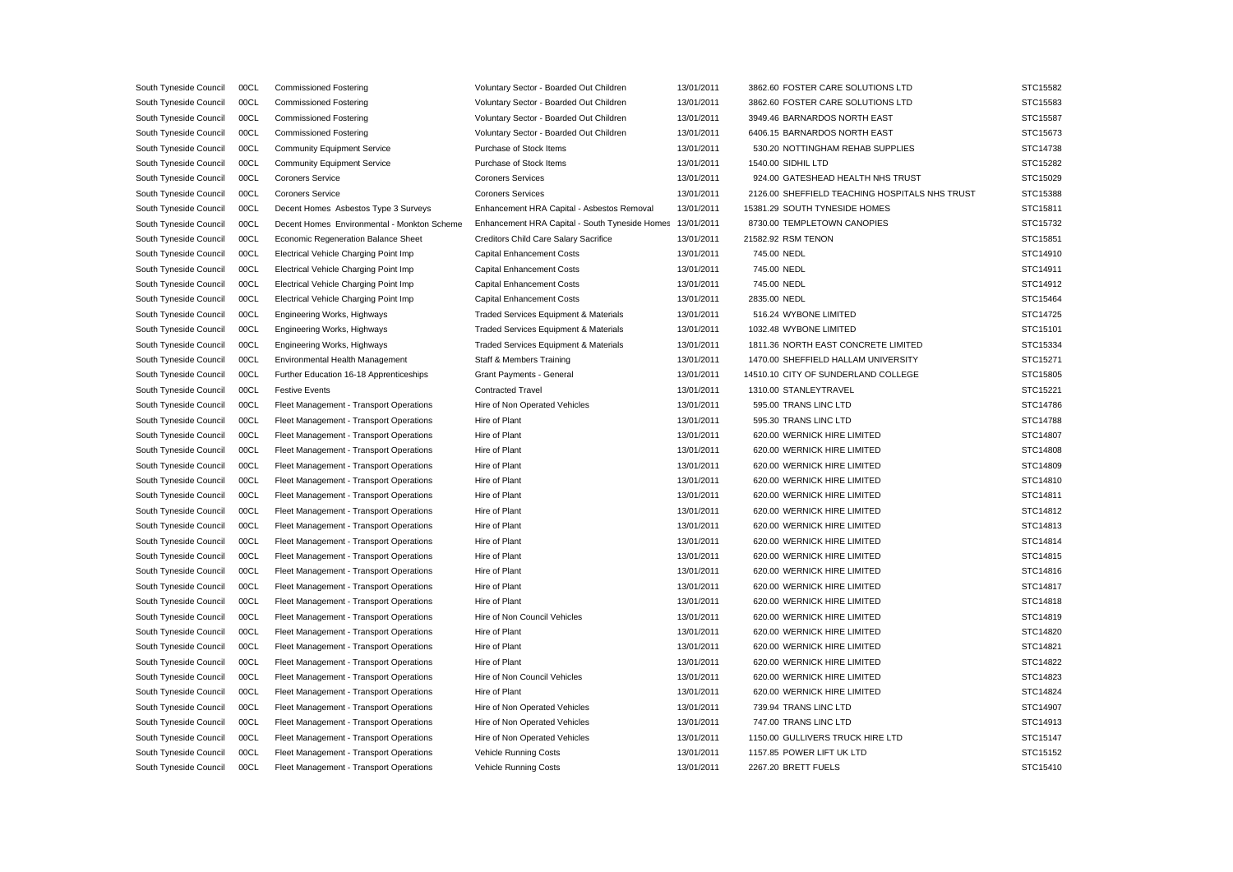| South Tyneside Council | 00CL | <b>Commissioned Fostering</b>               | Voluntary Sector - Boarded Out Children          | 13/01/2011 | 3862.60 FOSTER CARE SOLUTIONS LTD              | STC15582 |
|------------------------|------|---------------------------------------------|--------------------------------------------------|------------|------------------------------------------------|----------|
| South Tyneside Council | 00CL | <b>Commissioned Fostering</b>               | Voluntary Sector - Boarded Out Children          | 13/01/2011 | 3862.60 FOSTER CARE SOLUTIONS LTD              | STC15583 |
| South Tyneside Council | 00CL | <b>Commissioned Fostering</b>               | Voluntary Sector - Boarded Out Children          | 13/01/2011 | 3949.46 BARNARDOS NORTH EAST                   | STC15587 |
| South Tyneside Council | 00CL | <b>Commissioned Fostering</b>               | Voluntary Sector - Boarded Out Children          | 13/01/2011 | 6406.15 BARNARDOS NORTH EAST                   | STC15673 |
| South Tyneside Council | 00CL | <b>Community Equipment Service</b>          | Purchase of Stock Items                          | 13/01/2011 | 530.20 NOTTINGHAM REHAB SUPPLIES               | STC14738 |
| South Tyneside Council | 00CL | <b>Community Equipment Service</b>          | Purchase of Stock Items                          | 13/01/2011 | 1540.00 SIDHIL LTD                             | STC15282 |
| South Tyneside Council | 00CL | <b>Coroners Service</b>                     | <b>Coroners Services</b>                         | 13/01/2011 | 924.00 GATESHEAD HEALTH NHS TRUST              | STC15029 |
| South Tyneside Council | 00CL | <b>Coroners Service</b>                     | <b>Coroners Services</b>                         | 13/01/2011 | 2126.00 SHEFFIELD TEACHING HOSPITALS NHS TRUST | STC15388 |
| South Tyneside Council | 00CL | Decent Homes Asbestos Type 3 Surveys        | Enhancement HRA Capital - Asbestos Removal       | 13/01/2011 | 15381.29 SOUTH TYNESIDE HOMES                  | STC15811 |
| South Tyneside Council | 00CL | Decent Homes Environmental - Monkton Scheme | Enhancement HRA Capital - South Tyneside Homes   | 13/01/2011 | 8730.00 TEMPLETOWN CANOPIES                    | STC15732 |
| South Tyneside Council | 00CL | Economic Regeneration Balance Sheet         | Creditors Child Care Salary Sacrifice            | 13/01/2011 | 21582.92 RSM TENON                             | STC15851 |
| South Tyneside Council | 00CL | Electrical Vehicle Charging Point Imp       | <b>Capital Enhancement Costs</b>                 | 13/01/2011 | 745.00 NEDL                                    | STC14910 |
| South Tyneside Council | 00CL | Electrical Vehicle Charging Point Imp       | <b>Capital Enhancement Costs</b>                 | 13/01/2011 | 745.00 NEDL                                    | STC14911 |
| South Tyneside Council | 00CL | Electrical Vehicle Charging Point Imp       | <b>Capital Enhancement Costs</b>                 | 13/01/2011 | 745.00 NEDL                                    | STC14912 |
| South Tyneside Council | 00CL | Electrical Vehicle Charging Point Imp       | <b>Capital Enhancement Costs</b>                 | 13/01/2011 | 2835.00 NEDL                                   | STC15464 |
| South Tyneside Council | 00CL | Engineering Works, Highways                 | Traded Services Equipment & Materials            | 13/01/2011 | 516.24 WYBONE LIMITED                          | STC14725 |
| South Tyneside Council | 00CL | Engineering Works, Highways                 | <b>Traded Services Equipment &amp; Materials</b> | 13/01/2011 | 1032.48 WYBONE LIMITED                         | STC15101 |
| South Tyneside Council | 00CL | Engineering Works, Highways                 | Traded Services Equipment & Materials            | 13/01/2011 | 1811.36 NORTH EAST CONCRETE LIMITED            | STC15334 |
| South Tyneside Council | 00CL | Environmental Health Management             | Staff & Members Training                         | 13/01/2011 | 1470.00 SHEFFIELD HALLAM UNIVERSITY            | STC15271 |
| South Tyneside Council | 00CL | Further Education 16-18 Apprenticeships     | Grant Payments - General                         | 13/01/2011 | 14510.10 CITY OF SUNDERLAND COLLEGE            | STC15805 |
| South Tyneside Council | 00CL | <b>Festive Events</b>                       | <b>Contracted Travel</b>                         | 13/01/2011 | 1310.00 STANLEYTRAVEL                          | STC15221 |
| South Tyneside Council | 00CL | Fleet Management - Transport Operations     | Hire of Non Operated Vehicles                    | 13/01/2011 | 595.00 TRANS LINC LTD                          | STC14786 |
| South Tyneside Council | 00CL | Fleet Management - Transport Operations     | Hire of Plant                                    | 13/01/2011 | 595.30 TRANS LINC LTD                          | STC14788 |
| South Tyneside Council | 00CL | Fleet Management - Transport Operations     | Hire of Plant                                    | 13/01/2011 | 620.00 WERNICK HIRE LIMITED                    | STC14807 |
| South Tyneside Council | 00CL | Fleet Management - Transport Operations     | Hire of Plant                                    | 13/01/2011 | 620.00 WERNICK HIRE LIMITED                    | STC14808 |
| South Tyneside Council | 00CL | Fleet Management - Transport Operations     | Hire of Plant                                    | 13/01/2011 | 620.00 WERNICK HIRE LIMITED                    | STC14809 |
| South Tyneside Council | 00CL | Fleet Management - Transport Operations     | Hire of Plant                                    | 13/01/2011 | 620.00 WERNICK HIRE LIMITED                    | STC14810 |
| South Tyneside Council | 00CL | Fleet Management - Transport Operations     | Hire of Plant                                    | 13/01/2011 | 620.00 WERNICK HIRE LIMITED                    | STC14811 |
| South Tyneside Council | 00CL | Fleet Management - Transport Operations     | Hire of Plant                                    | 13/01/2011 | 620.00 WERNICK HIRE LIMITED                    | STC14812 |
| South Tyneside Council | 00CL | Fleet Management - Transport Operations     | Hire of Plant                                    | 13/01/2011 | 620.00 WERNICK HIRE LIMITED                    | STC14813 |
| South Tyneside Council | 00CL | Fleet Management - Transport Operations     | Hire of Plant                                    | 13/01/2011 | 620.00 WERNICK HIRE LIMITED                    | STC14814 |
| South Tyneside Council | 00CL | Fleet Management - Transport Operations     | Hire of Plant                                    | 13/01/2011 | 620.00 WERNICK HIRE LIMITED                    | STC14815 |
| South Tyneside Council | 00CL | Fleet Management - Transport Operations     | Hire of Plant                                    | 13/01/2011 | 620.00 WERNICK HIRE LIMITED                    | STC14816 |
| South Tyneside Council | 00CL | Fleet Management - Transport Operations     | Hire of Plant                                    | 13/01/2011 | 620.00 WERNICK HIRE LIMITED                    | STC14817 |
| South Tyneside Council | 00CL | Fleet Management - Transport Operations     | Hire of Plant                                    | 13/01/2011 | 620.00 WERNICK HIRE LIMITED                    | STC14818 |
| South Tyneside Council | 00CL | Fleet Management - Transport Operations     | Hire of Non Council Vehicles                     | 13/01/2011 | 620.00 WERNICK HIRE LIMITED                    | STC14819 |
| South Tyneside Council | 00CL | Fleet Management - Transport Operations     | Hire of Plant                                    | 13/01/2011 | 620.00 WERNICK HIRE LIMITED                    | STC14820 |
| South Tyneside Council | 00CL | Fleet Management - Transport Operations     | Hire of Plant                                    | 13/01/2011 | 620.00 WERNICK HIRE LIMITED                    | STC14821 |
| South Tyneside Council | 00CL | Fleet Management - Transport Operations     | Hire of Plant                                    | 13/01/2011 | 620.00 WERNICK HIRE LIMITED                    | STC14822 |
| South Tyneside Council | 00CL | Fleet Management - Transport Operations     | Hire of Non Council Vehicles                     | 13/01/2011 | 620.00 WERNICK HIRE LIMITED                    | STC14823 |
| South Tyneside Council | 00CL | Fleet Management - Transport Operations     | Hire of Plant                                    | 13/01/2011 | 620.00 WERNICK HIRE LIMITED                    | STC14824 |
| South Tyneside Council | 00CL | Fleet Management - Transport Operations     | Hire of Non Operated Vehicles                    | 13/01/2011 | 739.94 TRANS LINC LTD                          | STC14907 |
| South Tyneside Council | 00CL | Fleet Management - Transport Operations     | Hire of Non Operated Vehicles                    | 13/01/2011 | 747.00 TRANS LINC LTD                          | STC14913 |
| South Tyneside Council | 00CL | Fleet Management - Transport Operations     | Hire of Non Operated Vehicles                    | 13/01/2011 | 1150.00 GULLIVERS TRUCK HIRE LTD               | STC15147 |
| South Tyneside Council | 00CL | Fleet Management - Transport Operations     | Vehicle Running Costs                            | 13/01/2011 | 1157.85 POWER LIFT UK LTD                      | STC15152 |
| South Tyneside Council | 00CL | Fleet Management - Transport Operations     | Vehicle Running Costs                            | 13/01/2011 | 2267.20 BRETT FUELS                            | STC15410 |
|                        |      |                                             |                                                  |            |                                                |          |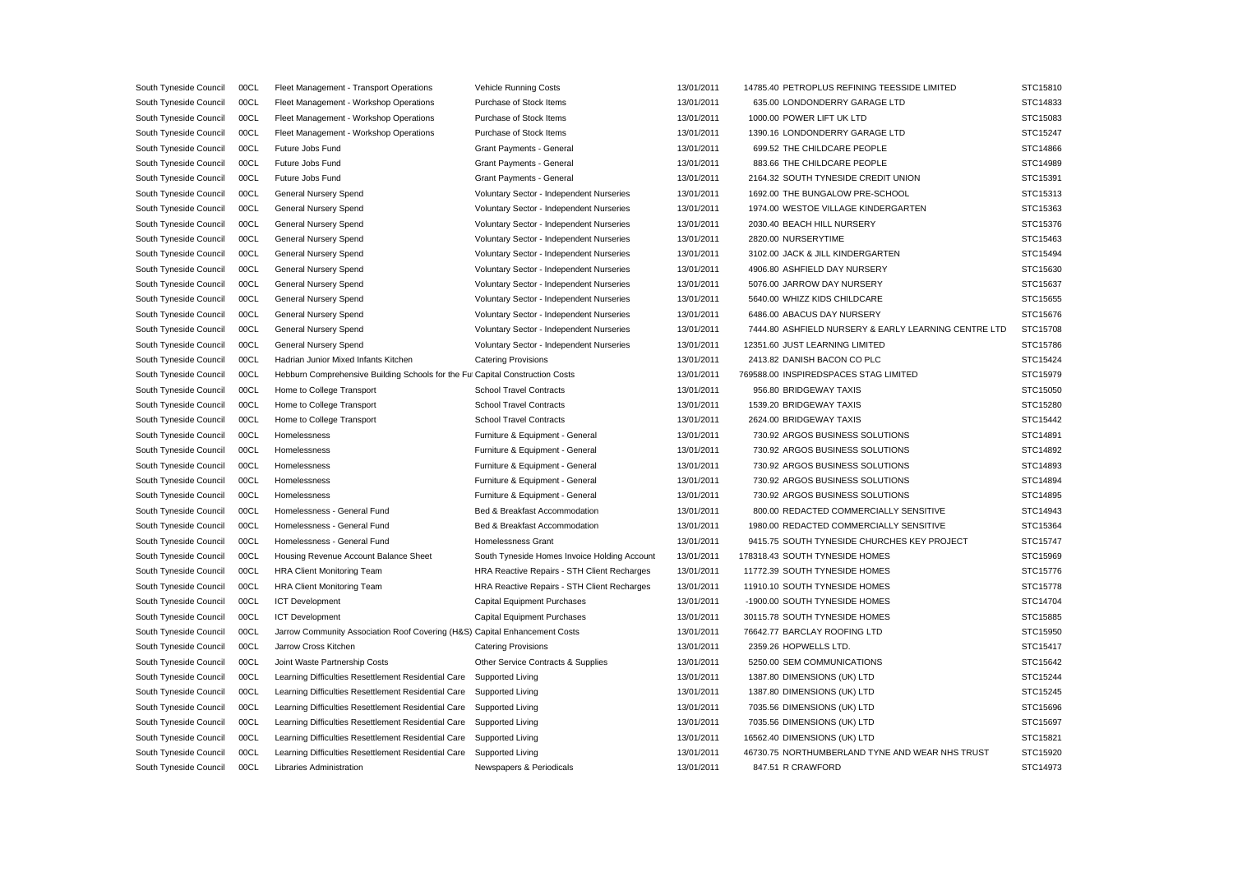| South Tyneside Council | 00CL | Fleet Management - Transport Operations                                       | Vehicle Running Costs                        | 13/01/2011 | 14785.40 PETROPLUS REFINING TEESSIDE LIMITED         | STC15810 |
|------------------------|------|-------------------------------------------------------------------------------|----------------------------------------------|------------|------------------------------------------------------|----------|
| South Tyneside Council | 00CL | Fleet Management - Workshop Operations                                        | Purchase of Stock Items                      | 13/01/2011 | 635.00 LONDONDERRY GARAGE LTD                        | STC14833 |
| South Tyneside Council | 00CL | Fleet Management - Workshop Operations                                        | Purchase of Stock Items                      | 13/01/2011 | 1000.00 POWER LIFT UK LTD                            | STC15083 |
| South Tyneside Council | 00CL | Fleet Management - Workshop Operations                                        | Purchase of Stock Items                      | 13/01/2011 | 1390.16 LONDONDERRY GARAGE LTD                       | STC15247 |
| South Tyneside Council | 00CL | Future Jobs Fund                                                              | Grant Payments - General                     | 13/01/2011 | 699.52 THE CHILDCARE PEOPLE                          | STC14866 |
| South Tyneside Council | 00CL | Future Jobs Fund                                                              | Grant Payments - General                     | 13/01/2011 | 883.66 THE CHILDCARE PEOPLE                          | STC14989 |
| South Tyneside Council | 00CL | Future Jobs Fund                                                              | Grant Payments - General                     | 13/01/2011 | 2164.32 SOUTH TYNESIDE CREDIT UNION                  | STC15391 |
| South Tyneside Council | 00CL | General Nursery Spend                                                         | Voluntary Sector - Independent Nurseries     | 13/01/2011 | 1692.00 THE BUNGALOW PRE-SCHOOL                      | STC15313 |
| South Tyneside Council | 00CL | General Nursery Spend                                                         | Voluntary Sector - Independent Nurseries     | 13/01/2011 | 1974.00 WESTOE VILLAGE KINDERGARTEN                  | STC15363 |
| South Tyneside Council | 00CL | General Nursery Spend                                                         | Voluntary Sector - Independent Nurseries     | 13/01/2011 | 2030.40 BEACH HILL NURSERY                           | STC15376 |
| South Tyneside Council | 00CL | General Nursery Spend                                                         | Voluntary Sector - Independent Nurseries     | 13/01/2011 | 2820.00 NURSERYTIME                                  | STC15463 |
| South Tyneside Council | 00CL | General Nursery Spend                                                         | Voluntary Sector - Independent Nurseries     | 13/01/2011 | 3102.00 JACK & JILL KINDERGARTEN                     | STC15494 |
| South Tyneside Council | 00CL | General Nursery Spend                                                         | Voluntary Sector - Independent Nurseries     | 13/01/2011 | 4906.80 ASHFIELD DAY NURSERY                         | STC15630 |
| South Tyneside Council | 00CL | General Nursery Spend                                                         | Voluntary Sector - Independent Nurseries     | 13/01/2011 | 5076.00 JARROW DAY NURSERY                           | STC15637 |
| South Tyneside Council | 00CL | General Nursery Spend                                                         | Voluntary Sector - Independent Nurseries     | 13/01/2011 | 5640.00 WHIZZ KIDS CHILDCARE                         | STC15655 |
| South Tyneside Council | 00CL | General Nursery Spend                                                         | Voluntary Sector - Independent Nurseries     | 13/01/2011 | 6486.00 ABACUS DAY NURSERY                           | STC15676 |
| South Tyneside Council | 00CL | General Nursery Spend                                                         | Voluntary Sector - Independent Nurseries     | 13/01/2011 | 7444.80 ASHFIELD NURSERY & EARLY LEARNING CENTRE LTD | STC15708 |
| South Tyneside Council | 00CL | General Nursery Spend                                                         | Voluntary Sector - Independent Nurseries     | 13/01/2011 | 12351.60 JUST LEARNING LIMITED                       | STC15786 |
| South Tyneside Council | 00CL | Hadrian Junior Mixed Infants Kitchen                                          | <b>Catering Provisions</b>                   | 13/01/2011 | 2413.82 DANISH BACON CO PLC                          | STC15424 |
| South Tyneside Council | 00CL | Hebburn Comprehensive Building Schools for the Ful Capital Construction Costs |                                              | 13/01/2011 | 769588.00 INSPIREDSPACES STAG LIMITED                | STC15979 |
| South Tyneside Council | 00CL | Home to College Transport                                                     | <b>School Travel Contracts</b>               | 13/01/2011 | 956.80 BRIDGEWAY TAXIS                               | STC15050 |
| South Tyneside Council | 00CL | Home to College Transport                                                     | <b>School Travel Contracts</b>               | 13/01/2011 | 1539.20 BRIDGEWAY TAXIS                              | STC15280 |
| South Tyneside Council | 00CL | Home to College Transport                                                     | <b>School Travel Contracts</b>               | 13/01/2011 | 2624.00 BRIDGEWAY TAXIS                              | STC15442 |
| South Tyneside Council | 00CL | Homelessness                                                                  | Furniture & Equipment - General              | 13/01/2011 | 730.92 ARGOS BUSINESS SOLUTIONS                      | STC14891 |
| South Tyneside Council | 00CL | Homelessness                                                                  | Furniture & Equipment - General              | 13/01/2011 | 730.92 ARGOS BUSINESS SOLUTIONS                      | STC14892 |
| South Tyneside Council | 00CL | Homelessness                                                                  | Furniture & Equipment - General              | 13/01/2011 | 730.92 ARGOS BUSINESS SOLUTIONS                      | STC14893 |
| South Tyneside Council | 00CL | Homelessness                                                                  | Furniture & Equipment - General              | 13/01/2011 | 730.92 ARGOS BUSINESS SOLUTIONS                      | STC14894 |
| South Tyneside Council | 00CL | Homelessness                                                                  | Furniture & Equipment - General              | 13/01/2011 | 730.92 ARGOS BUSINESS SOLUTIONS                      | STC14895 |
| South Tyneside Council | 00CL | Homelessness - General Fund                                                   | Bed & Breakfast Accommodation                | 13/01/2011 | 800.00 REDACTED COMMERCIALLY SENSITIVE               | STC14943 |
| South Tyneside Council | 00CL | Homelessness - General Fund                                                   | Bed & Breakfast Accommodation                | 13/01/2011 | 1980.00 REDACTED COMMERCIALLY SENSITIVE              | STC15364 |
| South Tyneside Council | 00CL | Homelessness - General Fund                                                   | <b>Homelessness Grant</b>                    | 13/01/2011 | 9415.75 SOUTH TYNESIDE CHURCHES KEY PROJECT          | STC15747 |
| South Tyneside Council | 00CL | Housing Revenue Account Balance Sheet                                         | South Tyneside Homes Invoice Holding Account | 13/01/2011 | 178318.43 SOUTH TYNESIDE HOMES                       | STC15969 |
| South Tyneside Council | 00CL | HRA Client Monitoring Team                                                    | HRA Reactive Repairs - STH Client Recharges  | 13/01/2011 | 11772.39 SOUTH TYNESIDE HOMES                        | STC15776 |
| South Tyneside Council | 00CL | <b>HRA Client Monitoring Team</b>                                             | HRA Reactive Repairs - STH Client Recharges  | 13/01/2011 | 11910.10 SOUTH TYNESIDE HOMES                        | STC15778 |
| South Tyneside Council | 00CL | <b>ICT</b> Development                                                        | Capital Equipment Purchases                  | 13/01/2011 | -1900.00 SOUTH TYNESIDE HOMES                        | STC14704 |
| South Tyneside Council | 00CL | <b>ICT</b> Development                                                        | Capital Equipment Purchases                  | 13/01/2011 | 30115.78 SOUTH TYNESIDE HOMES                        | STC15885 |
| South Tyneside Council | 00CL | Jarrow Community Association Roof Covering (H&S) Capital Enhancement Costs    |                                              | 13/01/2011 | 76642.77 BARCLAY ROOFING LTD                         | STC15950 |
| South Tyneside Council | 00CL | Jarrow Cross Kitchen                                                          | <b>Catering Provisions</b>                   | 13/01/2011 | 2359.26 HOPWELLS LTD.                                | STC15417 |
| South Tyneside Council | 00CL | Joint Waste Partnership Costs                                                 | Other Service Contracts & Supplies           | 13/01/2011 | 5250.00 SEM COMMUNICATIONS                           | STC15642 |
| South Tyneside Council | 00CL | Learning Difficulties Resettlement Residential Care                           | Supported Living                             | 13/01/2011 | 1387.80 DIMENSIONS (UK) LTD                          | STC15244 |
| South Tyneside Council | 00CL | Learning Difficulties Resettlement Residential Care                           | Supported Living                             | 13/01/2011 | 1387.80 DIMENSIONS (UK) LTD                          | STC15245 |
| South Tyneside Council | 00CL | Learning Difficulties Resettlement Residential Care                           | Supported Living                             | 13/01/2011 | 7035.56 DIMENSIONS (UK) LTD                          | STC15696 |
| South Tyneside Council | 00CL | Learning Difficulties Resettlement Residential Care                           | Supported Living                             | 13/01/2011 | 7035.56 DIMENSIONS (UK) LTD                          | STC15697 |
| South Tyneside Council | 00CL | Learning Difficulties Resettlement Residential Care                           | Supported Living                             | 13/01/2011 | 16562.40 DIMENSIONS (UK) LTD                         | STC15821 |
| South Tyneside Council | 00CL | Learning Difficulties Resettlement Residential Care                           | Supported Living                             | 13/01/2011 | 46730.75 NORTHUMBERLAND TYNE AND WEAR NHS TRUST      | STC15920 |
| South Tyneside Council | 00CL | Libraries Administration                                                      | Newspapers & Periodicals                     | 13/01/2011 | 847.51 R CRAWFORD                                    | STC14973 |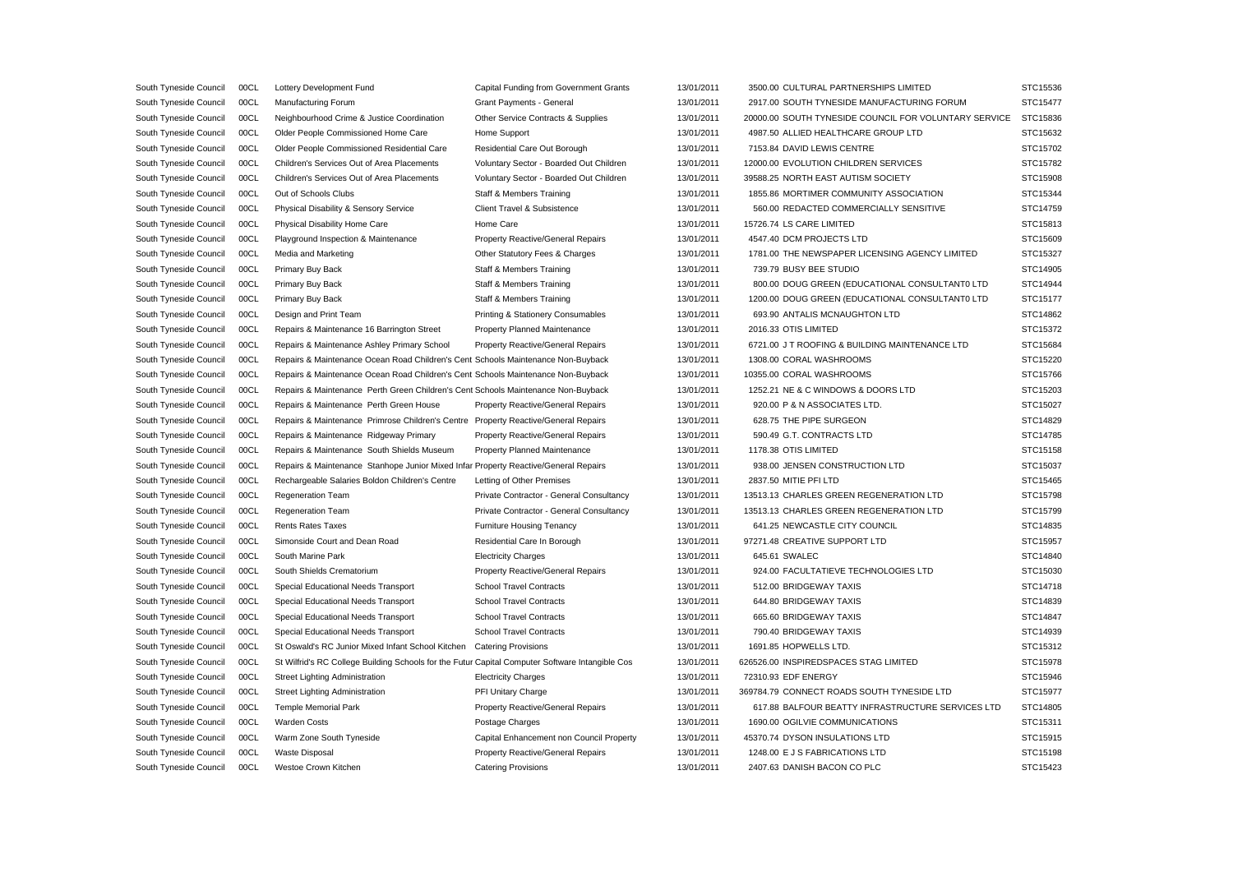| South Tyneside Council | 00CL | Lottery Development Fund                                                                        | Capital Funding from Government Grants   | 13/01/2011 | 3500.00 CULTURAL PARTNERSHIPS LIMITED                 | STC15536 |
|------------------------|------|-------------------------------------------------------------------------------------------------|------------------------------------------|------------|-------------------------------------------------------|----------|
| South Tyneside Council | 00CL | Manufacturing Forum                                                                             | Grant Payments - General                 | 13/01/2011 | 2917.00 SOUTH TYNESIDE MANUFACTURING FORUM            | STC15477 |
| South Tyneside Council | 00CL | Neighbourhood Crime & Justice Coordination                                                      | Other Service Contracts & Supplies       | 13/01/2011 | 20000.00 SOUTH TYNESIDE COUNCIL FOR VOLUNTARY SERVICE | STC15836 |
| South Tyneside Council | 00CL | Older People Commissioned Home Care                                                             | Home Support                             | 13/01/2011 | 4987.50 ALLIED HEALTHCARE GROUP LTD                   | STC15632 |
| South Tyneside Council | 00CL | Older People Commissioned Residential Care                                                      | Residential Care Out Borough             | 13/01/2011 | 7153.84 DAVID LEWIS CENTRE                            | STC15702 |
| South Tyneside Council | 00CL | Children's Services Out of Area Placements                                                      | Voluntary Sector - Boarded Out Children  | 13/01/2011 | 12000.00 EVOLUTION CHILDREN SERVICES                  | STC15782 |
| South Tyneside Council | 00CL | Children's Services Out of Area Placements                                                      | Voluntary Sector - Boarded Out Children  | 13/01/2011 | 39588.25 NORTH EAST AUTISM SOCIETY                    | STC15908 |
| South Tyneside Council | 00CL | Out of Schools Clubs                                                                            | Staff & Members Training                 | 13/01/2011 | 1855.86 MORTIMER COMMUNITY ASSOCIATION                | STC15344 |
| South Tyneside Council | 00CL | Physical Disability & Sensory Service                                                           | Client Travel & Subsistence              | 13/01/2011 | 560.00 REDACTED COMMERCIALLY SENSITIVE                | STC14759 |
| South Tyneside Council | 00CL | Physical Disability Home Care                                                                   | Home Care                                | 13/01/2011 | 15726.74 LS CARE LIMITED                              | STC15813 |
| South Tyneside Council | 00CL | Playground Inspection & Maintenance                                                             | Property Reactive/General Repairs        | 13/01/2011 | 4547.40 DCM PROJECTS LTD                              | STC15609 |
| South Tyneside Council | 00CL | Media and Marketing                                                                             | Other Statutory Fees & Charges           | 13/01/2011 | 1781.00 THE NEWSPAPER LICENSING AGENCY LIMITED        | STC15327 |
| South Tyneside Council | 00CL | Primary Buy Back                                                                                | Staff & Members Training                 | 13/01/2011 | 739.79 BUSY BEE STUDIO                                | STC14905 |
| South Tyneside Council | 00CL | Primary Buy Back                                                                                | Staff & Members Training                 | 13/01/2011 | 800.00 DOUG GREEN (EDUCATIONAL CONSULTANT0 LTD        | STC14944 |
| South Tyneside Council | 00CL | Primary Buy Back                                                                                | Staff & Members Training                 | 13/01/2011 | 1200.00 DOUG GREEN (EDUCATIONAL CONSULTANT0 LTD       | STC15177 |
| South Tyneside Council | 00CL | Design and Print Team                                                                           | Printing & Stationery Consumables        | 13/01/2011 | 693.90 ANTALIS MCNAUGHTON LTD                         | STC14862 |
| South Tyneside Council | 00CL | Repairs & Maintenance 16 Barrington Street                                                      | Property Planned Maintenance             | 13/01/2011 | 2016.33 OTIS LIMITED                                  | STC15372 |
| South Tyneside Council | 00CL | Repairs & Maintenance Ashley Primary School                                                     | Property Reactive/General Repairs        | 13/01/2011 | 6721.00 J T ROOFING & BUILDING MAINTENANCE LTD        | STC15684 |
| South Tyneside Council | 00CL | Repairs & Maintenance Ocean Road Children's Cent Schools Maintenance Non-Buyback                |                                          | 13/01/2011 | 1308.00 CORAL WASHROOMS                               | STC15220 |
| South Tyneside Council | 00CL | Repairs & Maintenance Ocean Road Children's Cent Schools Maintenance Non-Buyback                |                                          | 13/01/2011 | 10355.00 CORAL WASHROOMS                              | STC15766 |
| South Tyneside Council | 00CL | Repairs & Maintenance Perth Green Children's Cent Schools Maintenance Non-Buyback               |                                          | 13/01/2011 | 1252.21 NE & C WINDOWS & DOORS LTD                    | STC15203 |
| South Tyneside Council | 00CL | Repairs & Maintenance Perth Green House                                                         | Property Reactive/General Repairs        | 13/01/2011 | 920.00 P & N ASSOCIATES LTD.                          | STC15027 |
| South Tyneside Council | 00CL | Repairs & Maintenance Primrose Children's Centre Property Reactive/General Repairs              |                                          | 13/01/2011 | 628.75 THE PIPE SURGEON                               | STC14829 |
| South Tyneside Council | 00CL | Repairs & Maintenance Ridgeway Primary                                                          | Property Reactive/General Repairs        | 13/01/2011 | 590.49 G.T. CONTRACTS LTD                             | STC14785 |
| South Tyneside Council | 00CL | Repairs & Maintenance South Shields Museum                                                      | Property Planned Maintenance             | 13/01/2011 | 1178.38 OTIS LIMITED                                  | STC15158 |
| South Tyneside Council | 00CL | Repairs & Maintenance Stanhope Junior Mixed Infar Property Reactive/General Repairs             |                                          | 13/01/2011 | 938.00 JENSEN CONSTRUCTION LTD                        | STC15037 |
| South Tyneside Council | 00CL | Rechargeable Salaries Boldon Children's Centre                                                  | Letting of Other Premises                | 13/01/2011 | 2837.50 MITIE PFI LTD                                 | STC15465 |
| South Tyneside Council | 00CL | <b>Regeneration Team</b>                                                                        | Private Contractor - General Consultancy | 13/01/2011 | 13513.13 CHARLES GREEN REGENERATION LTD               | STC15798 |
| South Tyneside Council | 00CL | Regeneration Team                                                                               | Private Contractor - General Consultancy | 13/01/2011 | 13513.13 CHARLES GREEN REGENERATION LTD               | STC15799 |
| South Tyneside Council | 00CL | <b>Rents Rates Taxes</b>                                                                        | <b>Furniture Housing Tenancy</b>         | 13/01/2011 | 641.25 NEWCASTLE CITY COUNCIL                         | STC14835 |
| South Tyneside Council | 00CL | Simonside Court and Dean Road                                                                   | Residential Care In Borough              | 13/01/2011 | 97271.48 CREATIVE SUPPORT LTD                         | STC15957 |
| South Tyneside Council | 00CL | South Marine Park                                                                               | <b>Electricity Charges</b>               | 13/01/2011 | 645.61 SWALEC                                         | STC14840 |
| South Tyneside Council | 00CL | South Shields Crematorium                                                                       | Property Reactive/General Repairs        | 13/01/2011 | 924.00 FACULTATIEVE TECHNOLOGIES LTD                  | STC15030 |
| South Tyneside Council | 00CL | Special Educational Needs Transport                                                             | <b>School Travel Contracts</b>           | 13/01/2011 | 512.00 BRIDGEWAY TAXIS                                | STC14718 |
| South Tyneside Council | 00CL | Special Educational Needs Transport                                                             | <b>School Travel Contracts</b>           | 13/01/2011 | 644.80 BRIDGEWAY TAXIS                                | STC14839 |
| South Tyneside Council | 00CL | Special Educational Needs Transport                                                             | <b>School Travel Contracts</b>           | 13/01/2011 | 665.60 BRIDGEWAY TAXIS                                | STC14847 |
| South Tyneside Council | 00CL | Special Educational Needs Transport                                                             | <b>School Travel Contracts</b>           | 13/01/2011 | 790.40 BRIDGEWAY TAXIS                                | STC14939 |
| South Tyneside Council | 00CL | St Oswald's RC Junior Mixed Infant School Kitchen                                               | <b>Catering Provisions</b>               | 13/01/2011 | 1691.85 HOPWELLS LTD.                                 | STC15312 |
| South Tyneside Council | 00CL | St Wilfrid's RC College Building Schools for the Futur Capital Computer Software Intangible Cos |                                          | 13/01/2011 | 626526.00 INSPIREDSPACES STAG LIMITED                 | STC15978 |
| South Tyneside Council | 00CL | <b>Street Lighting Administration</b>                                                           | <b>Electricity Charges</b>               | 13/01/2011 | 72310.93 EDF ENERGY                                   | STC15946 |
| South Tyneside Council | 00CL | <b>Street Lighting Administration</b>                                                           | PFI Unitary Charge                       | 13/01/2011 | 369784.79 CONNECT ROADS SOUTH TYNESIDE LTD            | STC15977 |
| South Tyneside Council | 00CL | Temple Memorial Park                                                                            | Property Reactive/General Repairs        | 13/01/2011 | 617.88 BALFOUR BEATTY INFRASTRUCTURE SERVICES LTD     | STC14805 |
| South Tyneside Council | 00CL | Warden Costs                                                                                    | Postage Charges                          | 13/01/2011 | 1690.00 OGILVIE COMMUNICATIONS                        | STC15311 |
| South Tyneside Council | 00CL | Warm Zone South Tyneside                                                                        | Capital Enhancement non Council Property | 13/01/2011 | 45370.74 DYSON INSULATIONS LTD                        | STC15915 |
| South Tyneside Council | 00CL | <b>Waste Disposal</b>                                                                           | Property Reactive/General Repairs        | 13/01/2011 | 1248.00 E J S FABRICATIONS LTD                        | STC15198 |
| South Tyneside Council | 00CL | Westoe Crown Kitchen                                                                            | Catering Provisions                      | 13/01/2011 | 2407.63 DANISH BACON CO PLC                           | STC15423 |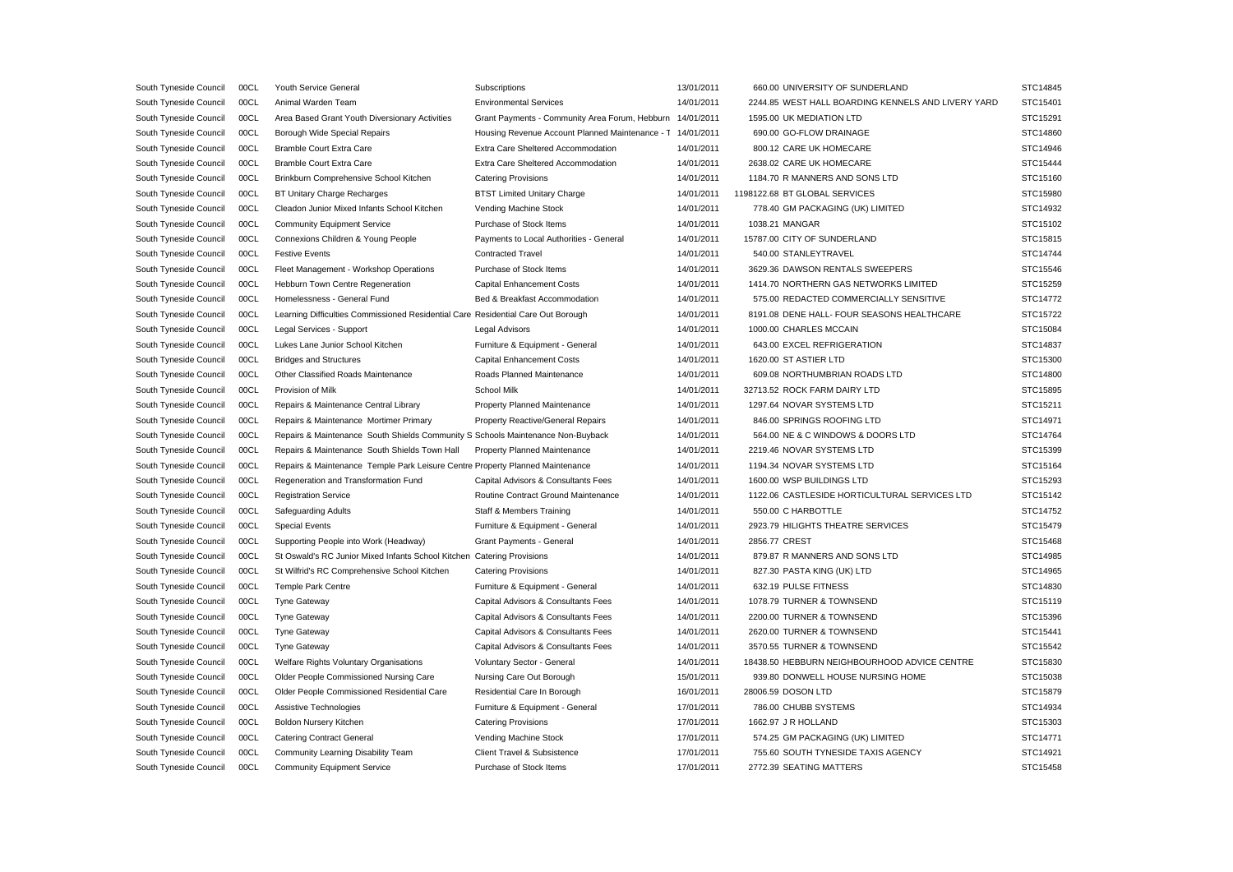| South Tyneside Council | 00CL | Youth Service General                                                            | Subscriptions                                              | 13/01/2011 | 660.00 UNIVERSITY OF SUNDERLAND                    | STC14845 |
|------------------------|------|----------------------------------------------------------------------------------|------------------------------------------------------------|------------|----------------------------------------------------|----------|
| South Tyneside Council | 00CL | Animal Warden Team                                                               | <b>Environmental Services</b>                              | 14/01/2011 | 2244.85 WEST HALL BOARDING KENNELS AND LIVERY YARD | STC15401 |
| South Tyneside Council | 00CL | Area Based Grant Youth Diversionary Activities                                   | Grant Payments - Community Area Forum, Hebburn 14/01/2011  |            | 1595.00 UK MEDIATION LTD                           | STC15291 |
| South Tyneside Council | 00CL | Borough Wide Special Repairs                                                     | Housing Revenue Account Planned Maintenance - 1 14/01/2011 |            | 690.00 GO-FLOW DRAINAGE                            | STC14860 |
| South Tyneside Council | 00CL | <b>Bramble Court Extra Care</b>                                                  | Extra Care Sheltered Accommodation                         | 14/01/2011 | 800.12 CARE UK HOMECARE                            | STC14946 |
| South Tyneside Council | 00CL | <b>Bramble Court Extra Care</b>                                                  | Extra Care Sheltered Accommodation                         | 14/01/2011 | 2638.02 CARE UK HOMECARE                           | STC15444 |
| South Tyneside Council | 00CL | Brinkburn Comprehensive School Kitchen                                           | <b>Catering Provisions</b>                                 | 14/01/2011 | 1184.70 R MANNERS AND SONS LTD                     | STC15160 |
| South Tyneside Council | 00CL | BT Unitary Charge Recharges                                                      | <b>BTST Limited Unitary Charge</b>                         | 14/01/2011 | 1198122.68 BT GLOBAL SERVICES                      | STC15980 |
| South Tyneside Council | 00CL | Cleadon Junior Mixed Infants School Kitchen                                      | Vending Machine Stock                                      | 14/01/2011 | 778.40 GM PACKAGING (UK) LIMITED                   | STC14932 |
| South Tyneside Council | 00CL | <b>Community Equipment Service</b>                                               | Purchase of Stock Items                                    | 14/01/2011 | 1038.21 MANGAR                                     | STC15102 |
| South Tyneside Council | 00CL | Connexions Children & Young People                                               | Payments to Local Authorities - General                    | 14/01/2011 | 15787.00 CITY OF SUNDERLAND                        | STC15815 |
| South Tyneside Council | 00CL | <b>Festive Events</b>                                                            | <b>Contracted Travel</b>                                   | 14/01/2011 | 540.00 STANLEYTRAVEL                               | STC14744 |
| South Tyneside Council | 00CL | Fleet Management - Workshop Operations                                           | Purchase of Stock Items                                    | 14/01/2011 | 3629.36 DAWSON RENTALS SWEEPERS                    | STC15546 |
| South Tyneside Council | 00CL | Hebburn Town Centre Regeneration                                                 | <b>Capital Enhancement Costs</b>                           | 14/01/2011 | 1414.70 NORTHERN GAS NETWORKS LIMITED              | STC15259 |
| South Tyneside Council | 00CL | Homelessness - General Fund                                                      | Bed & Breakfast Accommodation                              | 14/01/2011 | 575.00 REDACTED COMMERCIALLY SENSITIVE             | STC14772 |
| South Tyneside Council | 00CL | Learning Difficulties Commissioned Residential Care Residential Care Out Borough |                                                            | 14/01/2011 | 8191.08 DENE HALL- FOUR SEASONS HEALTHCARE         | STC15722 |
| South Tyneside Council | 00CL | Legal Services - Support                                                         | <b>Legal Advisors</b>                                      | 14/01/2011 | 1000.00 CHARLES MCCAIN                             | STC15084 |
| South Tyneside Council | 00CL | Lukes Lane Junior School Kitchen                                                 | Furniture & Equipment - General                            | 14/01/2011 | 643.00 EXCEL REFRIGERATION                         | STC14837 |
| South Tyneside Council | 00CL | <b>Bridges and Structures</b>                                                    | <b>Capital Enhancement Costs</b>                           | 14/01/2011 | 1620.00 ST ASTIER LTD                              | STC15300 |
| South Tyneside Council | 00CL | Other Classified Roads Maintenance                                               | Roads Planned Maintenance                                  | 14/01/2011 | 609.08 NORTHUMBRIAN ROADS LTD                      | STC14800 |
| South Tyneside Council | 00CL | Provision of Milk                                                                | School Milk                                                | 14/01/2011 | 32713.52 ROCK FARM DAIRY LTD                       | STC15895 |
| South Tyneside Council | 00CL | Repairs & Maintenance Central Library                                            | <b>Property Planned Maintenance</b>                        | 14/01/2011 | 1297.64 NOVAR SYSTEMS LTD                          | STC15211 |
| South Tyneside Council | 00CL | Repairs & Maintenance Mortimer Primary                                           | Property Reactive/General Repairs                          | 14/01/2011 | 846.00 SPRINGS ROOFING LTD                         | STC14971 |
| South Tyneside Council | 00CL | Repairs & Maintenance South Shields Community S Schools Maintenance Non-Buyback  |                                                            | 14/01/2011 | 564.00 NE & C WINDOWS & DOORS LTD                  | STC14764 |
| South Tyneside Council | 00CL | Repairs & Maintenance South Shields Town Hall                                    | <b>Property Planned Maintenance</b>                        | 14/01/2011 | 2219.46 NOVAR SYSTEMS LTD                          | STC15399 |
| South Tyneside Council | 00CL | Repairs & Maintenance Temple Park Leisure Centre Property Planned Maintenance    |                                                            | 14/01/2011 | 1194.34 NOVAR SYSTEMS LTD                          | STC15164 |
| South Tyneside Council | 00CL | Regeneration and Transformation Fund                                             | Capital Advisors & Consultants Fees                        | 14/01/2011 | 1600.00 WSP BUILDINGS LTD                          | STC15293 |
| South Tyneside Council | 00CL | <b>Registration Service</b>                                                      | Routine Contract Ground Maintenance                        | 14/01/2011 | 1122.06 CASTLESIDE HORTICULTURAL SERVICES LTD      | STC15142 |
| South Tyneside Council | 00CL | <b>Safeguarding Adults</b>                                                       | Staff & Members Training                                   | 14/01/2011 | 550.00 C HARBOTTLE                                 | STC14752 |
| South Tyneside Council | 00CL | <b>Special Events</b>                                                            | Furniture & Equipment - General                            | 14/01/2011 | 2923.79 HILIGHTS THEATRE SERVICES                  | STC15479 |
| South Tyneside Council | 00CL | Supporting People into Work (Headway)                                            | Grant Payments - General                                   | 14/01/2011 | 2856.77 CREST                                      | STC15468 |
| South Tyneside Council | 00CL | St Oswald's RC Junior Mixed Infants School Kitchen                               | <b>Catering Provisions</b>                                 | 14/01/2011 | 879.87 R MANNERS AND SONS LTD                      | STC14985 |
| South Tyneside Council | 00CL | St Wilfrid's RC Comprehensive School Kitchen                                     | <b>Catering Provisions</b>                                 | 14/01/2011 | 827.30 PASTA KING (UK) LTD                         | STC14965 |
| South Tyneside Council | 00CL | <b>Temple Park Centre</b>                                                        | Furniture & Equipment - General                            | 14/01/2011 | 632.19 PULSE FITNESS                               | STC14830 |
| South Tyneside Council | 00CL | <b>Tyne Gateway</b>                                                              | Capital Advisors & Consultants Fees                        | 14/01/2011 | 1078.79 TURNER & TOWNSEND                          | STC15119 |
| South Tyneside Council | 00CL | <b>Tyne Gateway</b>                                                              | Capital Advisors & Consultants Fees                        | 14/01/2011 | 2200.00 TURNER & TOWNSEND                          | STC15396 |
| South Tyneside Council | 00CL | <b>Tyne Gateway</b>                                                              | Capital Advisors & Consultants Fees                        | 14/01/2011 | 2620.00 TURNER & TOWNSEND                          | STC15441 |
| South Tyneside Council | 00CL | <b>Tyne Gateway</b>                                                              | Capital Advisors & Consultants Fees                        | 14/01/2011 | 3570.55 TURNER & TOWNSEND                          | STC15542 |
| South Tyneside Council | 00CL | Welfare Rights Voluntary Organisations                                           | Voluntary Sector - General                                 | 14/01/2011 | 18438.50 HEBBURN NEIGHBOURHOOD ADVICE CENTRE       | STC15830 |
| South Tyneside Council | 00CL | Older People Commissioned Nursing Care                                           | Nursing Care Out Borough                                   | 15/01/2011 | 939.80 DONWELL HOUSE NURSING HOME                  | STC15038 |
| South Tyneside Council | 00CL | Older People Commissioned Residential Care                                       | Residential Care In Borough                                | 16/01/2011 | 28006.59 DOSON LTD                                 | STC15879 |
| South Tyneside Council | 00CL | Assistive Technologies                                                           | Furniture & Equipment - General                            | 17/01/2011 | 786.00 CHUBB SYSTEMS                               | STC14934 |
| South Tyneside Council | 00CL | Boldon Nursery Kitchen                                                           | <b>Catering Provisions</b>                                 | 17/01/2011 | 1662.97 J R HOLLAND                                | STC15303 |
| South Tyneside Council | 00CL | <b>Catering Contract General</b>                                                 | Vending Machine Stock                                      | 17/01/2011 | 574.25 GM PACKAGING (UK) LIMITED                   | STC14771 |
| South Tyneside Council | 00CL | Community Learning Disability Team                                               | Client Travel & Subsistence                                | 17/01/2011 | 755.60 SOUTH TYNESIDE TAXIS AGENCY                 | STC14921 |
| South Tyneside Council | 00CL | <b>Community Equipment Service</b>                                               | Purchase of Stock Items                                    | 17/01/2011 | 2772.39 SEATING MATTERS                            | STC15458 |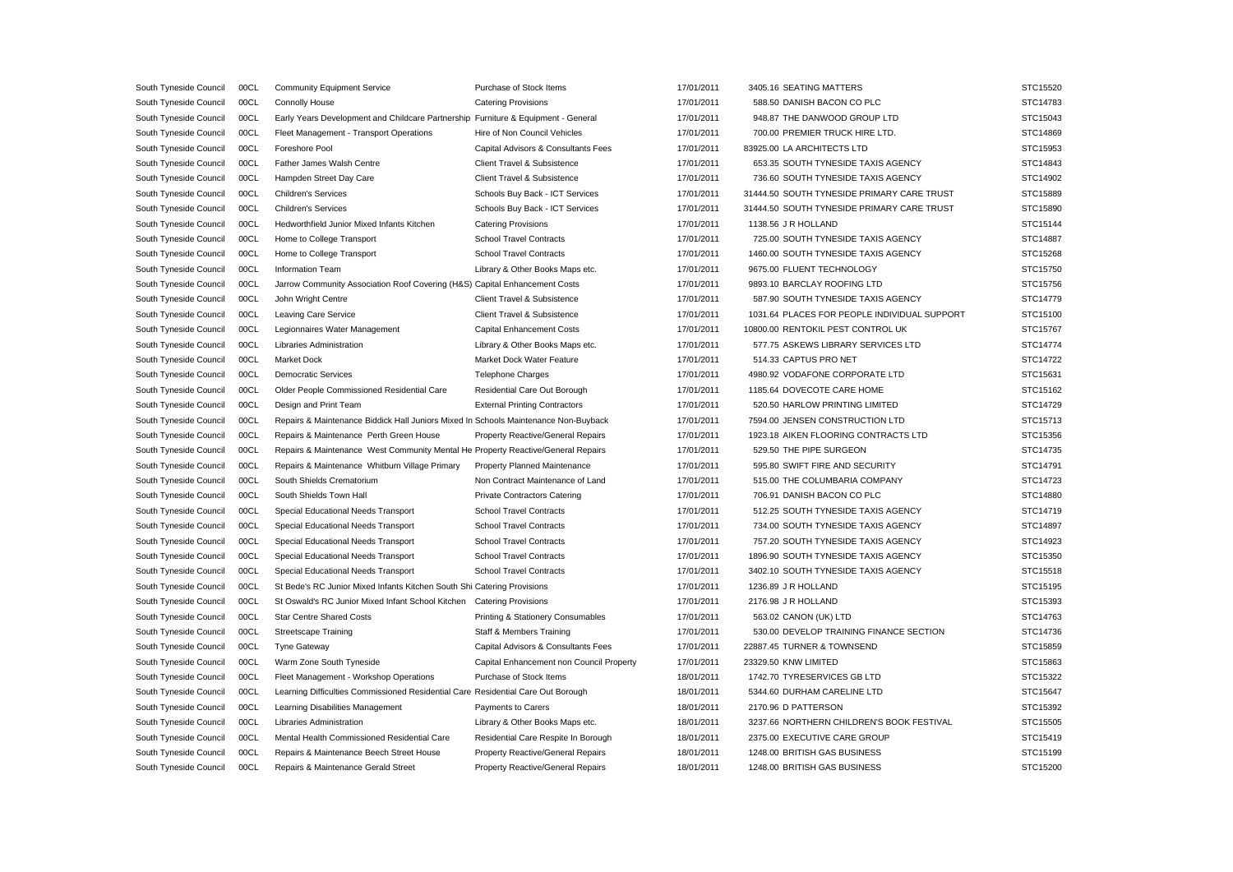| South Tyneside Council | 00CL | <b>Community Equipment Service</b>                                                  | Purchase of Stock Items                  | 17/01/2011 | 3405.16 SEATING MATTERS                      | STC15520 |
|------------------------|------|-------------------------------------------------------------------------------------|------------------------------------------|------------|----------------------------------------------|----------|
| South Tyneside Council | 00CL | <b>Connolly House</b>                                                               | <b>Catering Provisions</b>               | 17/01/2011 | 588.50 DANISH BACON CO PLC                   | STC14783 |
| South Tyneside Council | 00CL | Early Years Development and Childcare Partnership Furniture & Equipment - General   |                                          | 17/01/2011 | 948.87 THE DANWOOD GROUP LTD                 | STC15043 |
| South Tyneside Council | 00CL | Fleet Management - Transport Operations                                             | Hire of Non Council Vehicles             | 17/01/2011 | 700.00 PREMIER TRUCK HIRE LTD.               | STC14869 |
| South Tyneside Council | 00CL | Foreshore Pool                                                                      | Capital Advisors & Consultants Fees      | 17/01/2011 | 83925.00 LA ARCHITECTS LTD                   | STC15953 |
| South Tyneside Council | 00CL | Father James Walsh Centre                                                           | Client Travel & Subsistence              | 17/01/2011 | 653.35 SOUTH TYNESIDE TAXIS AGENCY           | STC14843 |
| South Tyneside Council | 00CL | Hampden Street Day Care                                                             | Client Travel & Subsistence              | 17/01/2011 | 736.60 SOUTH TYNESIDE TAXIS AGENCY           | STC14902 |
| South Tyneside Council | 00CL | <b>Children's Services</b>                                                          | Schools Buy Back - ICT Services          | 17/01/2011 | 31444.50 SOUTH TYNESIDE PRIMARY CARE TRUST   | STC15889 |
| South Tyneside Council | 00CL | <b>Children's Services</b>                                                          | Schools Buy Back - ICT Services          | 17/01/2011 | 31444.50 SOUTH TYNESIDE PRIMARY CARE TRUST   | STC15890 |
| South Tyneside Council | 00CL | Hedworthfield Junior Mixed Infants Kitchen                                          | <b>Catering Provisions</b>               | 17/01/2011 | 1138.56 J R HOLLAND                          | STC15144 |
| South Tyneside Council | 00CL | Home to College Transport                                                           | <b>School Travel Contracts</b>           | 17/01/2011 | 725.00 SOUTH TYNESIDE TAXIS AGENCY           | STC14887 |
| South Tyneside Council | 00CL | Home to College Transport                                                           | <b>School Travel Contracts</b>           | 17/01/2011 | 1460.00 SOUTH TYNESIDE TAXIS AGENCY          | STC15268 |
| South Tyneside Council | 00CL | Information Team                                                                    | Library & Other Books Maps etc.          | 17/01/2011 | 9675.00 FLUENT TECHNOLOGY                    | STC15750 |
| South Tyneside Council | 00CL | Jarrow Community Association Roof Covering (H&S) Capital Enhancement Costs          |                                          | 17/01/2011 | 9893.10 BARCLAY ROOFING LTD                  | STC15756 |
| South Tyneside Council | 00CL | John Wright Centre                                                                  | Client Travel & Subsistence              | 17/01/2011 | 587.90 SOUTH TYNESIDE TAXIS AGENCY           | STC14779 |
| South Tyneside Council | 00CL | <b>Leaving Care Service</b>                                                         | Client Travel & Subsistence              | 17/01/2011 | 1031.64 PLACES FOR PEOPLE INDIVIDUAL SUPPORT | STC15100 |
| South Tyneside Council | 00CL | Legionnaires Water Management                                                       | <b>Capital Enhancement Costs</b>         | 17/01/2011 | 10800.00 RENTOKIL PEST CONTROL UK            | STC15767 |
| South Tyneside Council | 00CL | Libraries Administration                                                            | Library & Other Books Maps etc.          | 17/01/2011 | 577.75 ASKEWS LIBRARY SERVICES LTD           | STC14774 |
| South Tyneside Council | 00CL | <b>Market Dock</b>                                                                  | Market Dock Water Feature                | 17/01/2011 | 514.33 CAPTUS PRO NET                        | STC14722 |
| South Tyneside Council | 00CL | <b>Democratic Services</b>                                                          | <b>Telephone Charges</b>                 | 17/01/2011 | 4980.92 VODAFONE CORPORATE LTD               | STC15631 |
| South Tyneside Council | 00CL | Older People Commissioned Residential Care                                          | Residential Care Out Borough             | 17/01/2011 | 1185.64 DOVECOTE CARE HOME                   | STC15162 |
| South Tyneside Council | 00CL | Design and Print Team                                                               | <b>External Printing Contractors</b>     | 17/01/2011 | 520.50 HARLOW PRINTING LIMITED               | STC14729 |
| South Tyneside Council | 00CL | Repairs & Maintenance Biddick Hall Juniors Mixed In Schools Maintenance Non-Buyback |                                          | 17/01/2011 | 7594.00 JENSEN CONSTRUCTION LTD              | STC15713 |
| South Tyneside Council | 00CL | Repairs & Maintenance Perth Green House                                             | Property Reactive/General Repairs        | 17/01/2011 | 1923.18 AIKEN FLOORING CONTRACTS LTD         | STC15356 |
| South Tyneside Council | 00CL | Repairs & Maintenance West Community Mental He Property Reactive/General Repairs    |                                          | 17/01/2011 | 529.50 THE PIPE SURGEON                      | STC14735 |
| South Tyneside Council | 00CL | Repairs & Maintenance Whitburn Village Primary                                      | Property Planned Maintenance             | 17/01/2011 | 595.80 SWIFT FIRE AND SECURITY               | STC14791 |
| South Tyneside Council | 00CL | South Shields Crematorium                                                           | Non Contract Maintenance of Land         | 17/01/2011 | 515.00 THE COLUMBARIA COMPANY                | STC14723 |
| South Tyneside Council | 00CL | South Shields Town Hall                                                             | <b>Private Contractors Catering</b>      | 17/01/2011 | 706.91 DANISH BACON CO PLC                   | STC14880 |
| South Tyneside Council | 00CL | Special Educational Needs Transport                                                 | <b>School Travel Contracts</b>           | 17/01/2011 | 512.25 SOUTH TYNESIDE TAXIS AGENCY           | STC14719 |
| South Tyneside Council | 00CL | Special Educational Needs Transport                                                 | <b>School Travel Contracts</b>           | 17/01/2011 | 734.00 SOUTH TYNESIDE TAXIS AGENCY           | STC14897 |
| South Tyneside Council | 00CL | Special Educational Needs Transport                                                 | <b>School Travel Contracts</b>           | 17/01/2011 | 757.20 SOUTH TYNESIDE TAXIS AGENCY           | STC14923 |
| South Tyneside Council | 00CL | Special Educational Needs Transport                                                 | <b>School Travel Contracts</b>           | 17/01/2011 | 1896.90 SOUTH TYNESIDE TAXIS AGENCY          | STC15350 |
| South Tyneside Council | 00CL | Special Educational Needs Transport                                                 | <b>School Travel Contracts</b>           | 17/01/2011 | 3402.10 SOUTH TYNESIDE TAXIS AGENCY          | STC15518 |
| South Tyneside Council | 00CL | St Bede's RC Junior Mixed Infants Kitchen South Shi Catering Provisions             |                                          | 17/01/2011 | 1236.89 J R HOLLAND                          | STC15195 |
| South Tyneside Council | 00CL | St Oswald's RC Junior Mixed Infant School Kitchen                                   | <b>Catering Provisions</b>               | 17/01/2011 | 2176.98 J R HOLLAND                          | STC15393 |
| South Tyneside Council | 00CL | <b>Star Centre Shared Costs</b>                                                     | Printing & Stationery Consumables        | 17/01/2011 | 563.02 CANON (UK) LTD                        | STC14763 |
| South Tyneside Council | 00CL | <b>Streetscape Training</b>                                                         | Staff & Members Training                 | 17/01/2011 | 530.00 DEVELOP TRAINING FINANCE SECTION      | STC14736 |
| South Tyneside Council | 00CL | <b>Tyne Gateway</b>                                                                 | Capital Advisors & Consultants Fees      | 17/01/2011 | 22887.45 TURNER & TOWNSEND                   | STC15859 |
| South Tyneside Council | 00CL | Warm Zone South Tyneside                                                            | Capital Enhancement non Council Property | 17/01/2011 | 23329.50 KNW LIMITED                         | STC15863 |
| South Tyneside Council | 00CL | Fleet Management - Workshop Operations                                              | Purchase of Stock Items                  | 18/01/2011 | 1742.70 TYRESERVICES GB LTD                  | STC15322 |
| South Tyneside Council | 00CL | Learning Difficulties Commissioned Residential Care Residential Care Out Borough    |                                          | 18/01/2011 | 5344.60 DURHAM CARELINE LTD                  | STC15647 |
| South Tyneside Council | 00CL | Learning Disabilities Management                                                    | Payments to Carers                       | 18/01/2011 | 2170.96 D PATTERSON                          | STC15392 |
| South Tyneside Council | 00CL | Libraries Administration                                                            | Library & Other Books Maps etc.          | 18/01/2011 | 3237.66 NORTHERN CHILDREN'S BOOK FESTIVAL    | STC15505 |
| South Tyneside Council | 00CL | Mental Health Commissioned Residential Care                                         | Residential Care Respite In Borough      | 18/01/2011 | 2375.00 EXECUTIVE CARE GROUP                 | STC15419 |
| South Tyneside Council | 00CL | Repairs & Maintenance Beech Street House                                            | Property Reactive/General Repairs        | 18/01/2011 | 1248.00 BRITISH GAS BUSINESS                 | STC15199 |
| South Tyneside Council | 00CL | Repairs & Maintenance Gerald Street                                                 | Property Reactive/General Repairs        | 18/01/2011 | 1248.00 BRITISH GAS BUSINESS                 | STC15200 |
|                        |      |                                                                                     |                                          |            |                                              |          |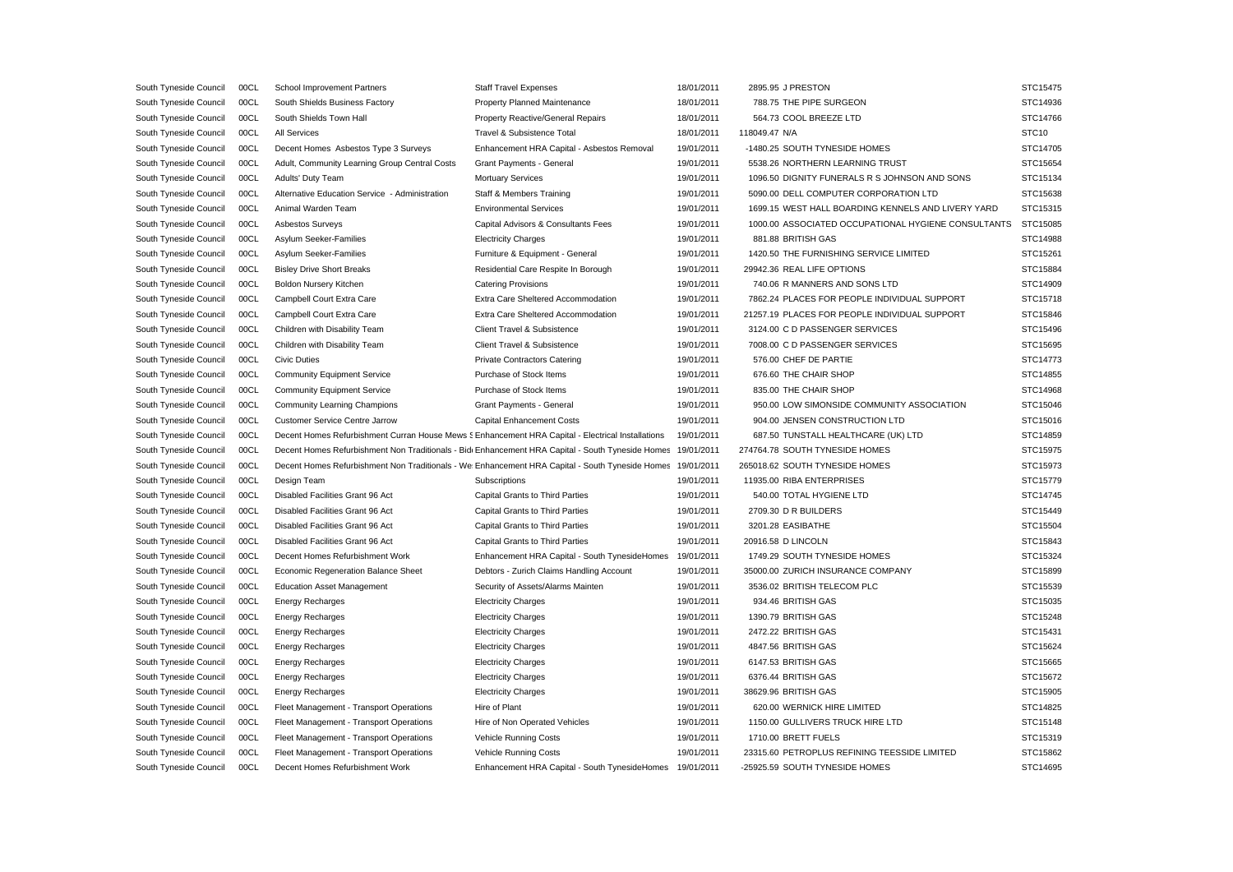| South Tyneside Council | 00CL | School Improvement Partners                    | <b>Staff Travel Expenses</b>                                                                                | 18/01/2011 | 2895.95 J PRESTON                                   | STC15475          |
|------------------------|------|------------------------------------------------|-------------------------------------------------------------------------------------------------------------|------------|-----------------------------------------------------|-------------------|
| South Tyneside Council | 00CL | South Shields Business Factory                 | Property Planned Maintenance                                                                                | 18/01/2011 | 788.75 THE PIPE SURGEON                             | STC14936          |
| South Tyneside Council | 00CL | South Shields Town Hall                        | Property Reactive/General Repairs                                                                           | 18/01/2011 | 564.73 COOL BREEZE LTD                              | STC14766          |
| South Tyneside Council | 00CL | All Services                                   | Travel & Subsistence Total                                                                                  | 18/01/2011 | 118049.47 N/A                                       | STC <sub>10</sub> |
| South Tyneside Council | 00CL | Decent Homes Asbestos Type 3 Surveys           | Enhancement HRA Capital - Asbestos Removal                                                                  | 19/01/2011 | -1480.25 SOUTH TYNESIDE HOMES                       | STC14705          |
| South Tyneside Council | 00CL | Adult, Community Learning Group Central Costs  | Grant Payments - General                                                                                    | 19/01/2011 | 5538.26 NORTHERN LEARNING TRUST                     | STC15654          |
| South Tyneside Council | 00CL | Adults' Duty Team                              | <b>Mortuary Services</b>                                                                                    | 19/01/2011 | 1096.50 DIGNITY FUNERALS R S JOHNSON AND SONS       | STC15134          |
| South Tyneside Council | 00CL | Alternative Education Service - Administration | Staff & Members Training                                                                                    | 19/01/2011 | 5090.00 DELL COMPUTER CORPORATION LTD               | STC15638          |
| South Tyneside Council | 00CL | Animal Warden Team                             | <b>Environmental Services</b>                                                                               | 19/01/2011 | 1699.15 WEST HALL BOARDING KENNELS AND LIVERY YARD  | STC15315          |
| South Tyneside Council | 00CL | <b>Asbestos Surveys</b>                        | Capital Advisors & Consultants Fees                                                                         | 19/01/2011 | 1000.00 ASSOCIATED OCCUPATIONAL HYGIENE CONSULTANTS | STC15085          |
| South Tyneside Council | 00CL | Asylum Seeker-Families                         | <b>Electricity Charges</b>                                                                                  | 19/01/2011 | 881.88 BRITISH GAS                                  | STC14988          |
| South Tyneside Council | 00CL | Asylum Seeker-Families                         | Furniture & Equipment - General                                                                             | 19/01/2011 | 1420.50 THE FURNISHING SERVICE LIMITED              | STC15261          |
| South Tyneside Council | 00CL | <b>Bisley Drive Short Breaks</b>               | Residential Care Respite In Borough                                                                         | 19/01/2011 | 29942.36 REAL LIFE OPTIONS                          | STC15884          |
| South Tyneside Council | 00CL | Boldon Nursery Kitchen                         | <b>Catering Provisions</b>                                                                                  | 19/01/2011 | 740.06 R MANNERS AND SONS LTD                       | STC14909          |
| South Tyneside Council | 00CL | Campbell Court Extra Care                      | Extra Care Sheltered Accommodation                                                                          | 19/01/2011 | 7862.24 PLACES FOR PEOPLE INDIVIDUAL SUPPORT        | STC15718          |
| South Tyneside Council | 00CL | Campbell Court Extra Care                      | Extra Care Sheltered Accommodation                                                                          | 19/01/2011 | 21257.19 PLACES FOR PEOPLE INDIVIDUAL SUPPORT       | STC15846          |
| South Tyneside Council | 00CL | Children with Disability Team                  | Client Travel & Subsistence                                                                                 | 19/01/2011 | 3124.00 C D PASSENGER SERVICES                      | STC15496          |
| South Tyneside Council | 00CL | Children with Disability Team                  | Client Travel & Subsistence                                                                                 | 19/01/2011 | 7008.00 C D PASSENGER SERVICES                      | STC15695          |
| South Tyneside Council | 00CL | <b>Civic Duties</b>                            | <b>Private Contractors Catering</b>                                                                         | 19/01/2011 | 576.00 CHEF DE PARTIE                               | STC14773          |
| South Tyneside Council | 00CL | <b>Community Equipment Service</b>             | Purchase of Stock Items                                                                                     | 19/01/2011 | 676.60 THE CHAIR SHOP                               | STC14855          |
| South Tyneside Council | 00CL | <b>Community Equipment Service</b>             | Purchase of Stock Items                                                                                     | 19/01/2011 | 835.00 THE CHAIR SHOP                               | STC14968          |
| South Tyneside Council | 00CL | <b>Community Learning Champions</b>            | Grant Payments - General                                                                                    | 19/01/2011 | 950.00 LOW SIMONSIDE COMMUNITY ASSOCIATION          | STC15046          |
| South Tyneside Council | 00CL | <b>Customer Service Centre Jarrow</b>          | <b>Capital Enhancement Costs</b>                                                                            | 19/01/2011 | 904.00 JENSEN CONSTRUCTION LTD                      | STC15016          |
| South Tyneside Council | 00CL |                                                | Decent Homes Refurbishment Curran House Mews & Enhancement HRA Capital - Electrical Installations           | 19/01/2011 | 687.50 TUNSTALL HEALTHCARE (UK) LTD                 | STC14859          |
| South Tyneside Council | 00CL |                                                | Decent Homes Refurbishment Non Traditionals - Bid Enhancement HRA Capital - South Tyneside Homes            | 19/01/2011 | 274764.78 SOUTH TYNESIDE HOMES                      | STC15975          |
| South Tyneside Council | 00CL |                                                | Decent Homes Refurbishment Non Traditionals - We: Enhancement HRA Capital - South Tyneside Homes 19/01/2011 |            | 265018.62 SOUTH TYNESIDE HOMES                      | STC15973          |
| South Tyneside Council | 00CL | Design Team                                    | Subscriptions                                                                                               | 19/01/2011 | 11935.00 RIBA ENTERPRISES                           | STC15779          |
| South Tyneside Council | 00CL | Disabled Facilities Grant 96 Act               | Capital Grants to Third Parties                                                                             | 19/01/2011 | 540.00 TOTAL HYGIENE LTD                            | STC14745          |
| South Tyneside Council | 00CL | Disabled Facilities Grant 96 Act               | Capital Grants to Third Parties                                                                             | 19/01/2011 | 2709.30 D R BUILDERS                                | STC15449          |
| South Tyneside Council | 00CL | Disabled Facilities Grant 96 Act               | <b>Capital Grants to Third Parties</b>                                                                      | 19/01/2011 | 3201.28 EASIBATHE                                   | STC15504          |
| South Tyneside Council | 00CL | Disabled Facilities Grant 96 Act               | <b>Capital Grants to Third Parties</b>                                                                      | 19/01/2011 | 20916.58 D LINCOLN                                  | STC15843          |
| South Tyneside Council | 00CL | Decent Homes Refurbishment Work                | Enhancement HRA Capital - South TynesideHomes                                                               | 19/01/2011 | 1749.29 SOUTH TYNESIDE HOMES                        | STC15324          |
| South Tyneside Council | 00CL | Economic Regeneration Balance Sheet            | Debtors - Zurich Claims Handling Account                                                                    | 19/01/2011 | 35000.00 ZURICH INSURANCE COMPANY                   | STC15899          |
| South Tyneside Council | 00CL | <b>Education Asset Management</b>              | Security of Assets/Alarms Mainten                                                                           | 19/01/2011 | 3536.02 BRITISH TELECOM PLC                         | STC15539          |
| South Tyneside Council | 00CL | <b>Energy Recharges</b>                        | <b>Electricity Charges</b>                                                                                  | 19/01/2011 | 934.46 BRITISH GAS                                  | STC15035          |
| South Tyneside Council | 00CL | <b>Energy Recharges</b>                        | <b>Electricity Charges</b>                                                                                  | 19/01/2011 | 1390.79 BRITISH GAS                                 | STC15248          |
| South Tyneside Council | 00CL | <b>Energy Recharges</b>                        | <b>Electricity Charges</b>                                                                                  | 19/01/2011 | 2472.22 BRITISH GAS                                 | STC15431          |
| South Tyneside Council | 00CL | <b>Energy Recharges</b>                        | <b>Electricity Charges</b>                                                                                  | 19/01/2011 | 4847.56 BRITISH GAS                                 | STC15624          |
| South Tyneside Council | 00CL | <b>Energy Recharges</b>                        | <b>Electricity Charges</b>                                                                                  | 19/01/2011 | 6147.53 BRITISH GAS                                 | STC15665          |
| South Tyneside Council | 00CL | <b>Energy Recharges</b>                        | <b>Electricity Charges</b>                                                                                  | 19/01/2011 | 6376.44 BRITISH GAS                                 | STC15672          |
| South Tyneside Council | 00CL | <b>Energy Recharges</b>                        | <b>Electricity Charges</b>                                                                                  | 19/01/2011 | 38629.96 BRITISH GAS                                | STC15905          |
| South Tyneside Council | 00CL | Fleet Management - Transport Operations        | Hire of Plant                                                                                               | 19/01/2011 | 620.00 WERNICK HIRE LIMITED                         | STC14825          |
| South Tyneside Council | 00CL | Fleet Management - Transport Operations        | Hire of Non Operated Vehicles                                                                               | 19/01/2011 | 1150.00 GULLIVERS TRUCK HIRE LTD                    | STC15148          |
| South Tyneside Council | 00CL | Fleet Management - Transport Operations        | Vehicle Running Costs                                                                                       | 19/01/2011 | 1710.00 BRETT FUELS                                 | STC15319          |
| South Tyneside Council | 00CL | Fleet Management - Transport Operations        | Vehicle Running Costs                                                                                       | 19/01/2011 | 23315.60 PETROPLUS REFINING TEESSIDE LIMITED        | STC15862          |
| South Tyneside Council | 00CL | Decent Homes Refurbishment Work                | Enhancement HRA Capital - South TynesideHomes                                                               | 19/01/2011 | -25925.59 SOUTH TYNESIDE HOMES                      | STC14695          |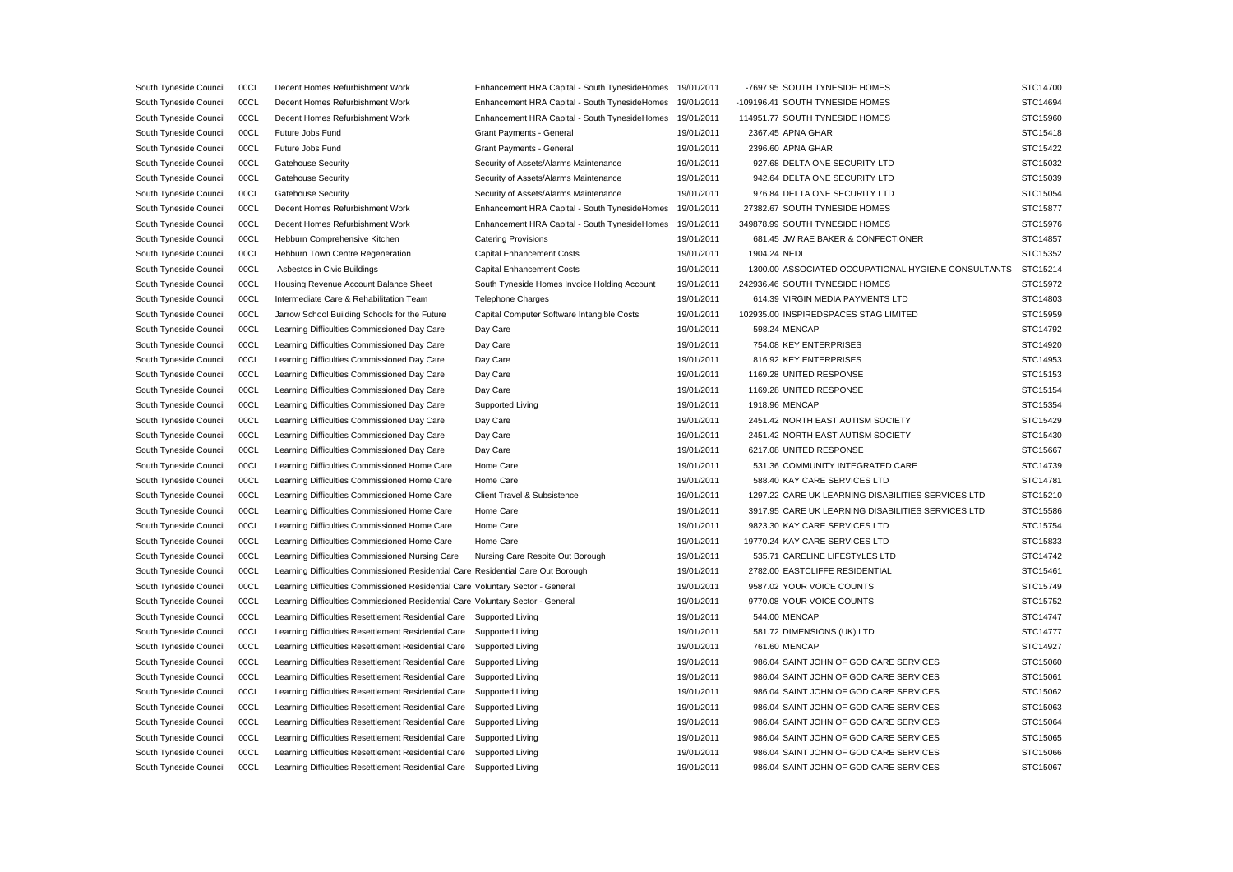| South Tyneside Council | 00CL | Decent Homes Refurbishment Work                                                  | Enhancement HRA Capital - South TynesideHomes | 19/01/2011 | -7697.95 SOUTH TYNESIDE HOMES                       | STC14700 |
|------------------------|------|----------------------------------------------------------------------------------|-----------------------------------------------|------------|-----------------------------------------------------|----------|
| South Tyneside Council | 00CL | Decent Homes Refurbishment Work                                                  | Enhancement HRA Capital - South TynesideHomes | 19/01/2011 | -109196.41 SOUTH TYNESIDE HOMES                     | STC14694 |
| South Tyneside Council | 00CL | Decent Homes Refurbishment Work                                                  | Enhancement HRA Capital - South TynesideHomes | 19/01/2011 | 114951.77 SOUTH TYNESIDE HOMES                      | STC15960 |
| South Tyneside Council | 00CL | Future Jobs Fund                                                                 | Grant Payments - General                      | 19/01/2011 | 2367.45 APNA GHAR                                   | STC15418 |
| South Tyneside Council | 00CL | Future Jobs Fund                                                                 | Grant Payments - General                      | 19/01/2011 | 2396.60 APNA GHAR                                   | STC15422 |
| South Tyneside Council | 00CL | <b>Gatehouse Security</b>                                                        | Security of Assets/Alarms Maintenance         | 19/01/2011 | 927.68 DELTA ONE SECURITY LTD                       | STC15032 |
| South Tyneside Council | 00CL | <b>Gatehouse Security</b>                                                        | Security of Assets/Alarms Maintenance         | 19/01/2011 | 942.64 DELTA ONE SECURITY LTD                       | STC15039 |
| South Tyneside Council | 00CL | Gatehouse Security                                                               | Security of Assets/Alarms Maintenance         | 19/01/2011 | 976.84 DELTA ONE SECURITY LTD                       | STC15054 |
| South Tyneside Council | 00CL | Decent Homes Refurbishment Work                                                  | Enhancement HRA Capital - South TynesideHomes | 19/01/2011 | 27382.67 SOUTH TYNESIDE HOMES                       | STC15877 |
| South Tyneside Council | 00CL | Decent Homes Refurbishment Work                                                  | Enhancement HRA Capital - South TynesideHomes | 19/01/2011 | 349878.99 SOUTH TYNESIDE HOMES                      | STC15976 |
| South Tyneside Council | 00CL | Hebburn Comprehensive Kitchen                                                    | <b>Catering Provisions</b>                    | 19/01/2011 | 681.45 JW RAE BAKER & CONFECTIONER                  | STC14857 |
| South Tyneside Council | 00CL | Hebburn Town Centre Regeneration                                                 | <b>Capital Enhancement Costs</b>              | 19/01/2011 | 1904.24 NEDL                                        | STC15352 |
| South Tyneside Council | 00CL | Asbestos in Civic Buildings                                                      | <b>Capital Enhancement Costs</b>              | 19/01/2011 | 1300.00 ASSOCIATED OCCUPATIONAL HYGIENE CONSULTANTS | STC15214 |
| South Tyneside Council | 00CL | Housing Revenue Account Balance Sheet                                            | South Tyneside Homes Invoice Holding Account  | 19/01/2011 | 242936.46 SOUTH TYNESIDE HOMES                      | STC15972 |
| South Tyneside Council | 00CL | Intermediate Care & Rehabilitation Team                                          | <b>Telephone Charges</b>                      | 19/01/2011 | 614.39 VIRGIN MEDIA PAYMENTS LTD                    | STC14803 |
| South Tyneside Council | 00CL | Jarrow School Building Schools for the Future                                    | Capital Computer Software Intangible Costs    | 19/01/2011 | 102935.00 INSPIREDSPACES STAG LIMITED               | STC15959 |
| South Tyneside Council | 00CL | Learning Difficulties Commissioned Day Care                                      | Day Care                                      | 19/01/2011 | 598.24 MENCAP                                       | STC14792 |
| South Tyneside Council | 00CL | Learning Difficulties Commissioned Day Care                                      | Day Care                                      | 19/01/2011 | 754.08 KEY ENTERPRISES                              | STC14920 |
| South Tyneside Council | 00CL | Learning Difficulties Commissioned Day Care                                      | Day Care                                      | 19/01/2011 | 816.92 KEY ENTERPRISES                              | STC14953 |
| South Tyneside Council | 00CL | Learning Difficulties Commissioned Day Care                                      | Day Care                                      | 19/01/2011 | 1169.28 UNITED RESPONSE                             | STC15153 |
| South Tyneside Council | 00CL | Learning Difficulties Commissioned Day Care                                      | Day Care                                      | 19/01/2011 | 1169.28 UNITED RESPONSE                             | STC15154 |
| South Tyneside Council | 00CL | Learning Difficulties Commissioned Day Care                                      | Supported Living                              | 19/01/2011 | 1918.96 MENCAP                                      | STC15354 |
| South Tyneside Council | 00CL | Learning Difficulties Commissioned Day Care                                      | Day Care                                      | 19/01/2011 | 2451.42 NORTH EAST AUTISM SOCIETY                   | STC15429 |
| South Tyneside Council | 00CL | Learning Difficulties Commissioned Day Care                                      | Day Care                                      | 19/01/2011 | 2451.42 NORTH EAST AUTISM SOCIETY                   | STC15430 |
| South Tyneside Council | 00CL | Learning Difficulties Commissioned Day Care                                      | Day Care                                      | 19/01/2011 | 6217.08 UNITED RESPONSE                             | STC15667 |
| South Tyneside Council | 00CL | Learning Difficulties Commissioned Home Care                                     | Home Care                                     | 19/01/2011 | 531.36 COMMUNITY INTEGRATED CARE                    | STC14739 |
| South Tyneside Council | 00CL | Learning Difficulties Commissioned Home Care                                     | Home Care                                     | 19/01/2011 | 588.40 KAY CARE SERVICES LTD                        | STC14781 |
| South Tyneside Council | 00CL | Learning Difficulties Commissioned Home Care                                     | Client Travel & Subsistence                   | 19/01/2011 | 1297.22 CARE UK LEARNING DISABILITIES SERVICES LTD  | STC15210 |
| South Tyneside Council | 00CL | Learning Difficulties Commissioned Home Care                                     | Home Care                                     | 19/01/2011 | 3917.95 CARE UK LEARNING DISABILITIES SERVICES LTD  | STC15586 |
| South Tyneside Council | 00CL | Learning Difficulties Commissioned Home Care                                     | Home Care                                     | 19/01/2011 | 9823.30 KAY CARE SERVICES LTD                       | STC15754 |
| South Tyneside Council | 00CL | Learning Difficulties Commissioned Home Care                                     | Home Care                                     | 19/01/2011 | 19770.24 KAY CARE SERVICES LTD                      | STC15833 |
| South Tyneside Council | 00CL | Learning Difficulties Commissioned Nursing Care                                  | Nursing Care Respite Out Borough              | 19/01/2011 | 535.71 CARELINE LIFESTYLES LTD                      | STC14742 |
| South Tyneside Council | 00CL | Learning Difficulties Commissioned Residential Care Residential Care Out Borough |                                               | 19/01/2011 | 2782.00 EASTCLIFFE RESIDENTIAL                      | STC15461 |
| South Tyneside Council | 00CL | Learning Difficulties Commissioned Residential Care Voluntary Sector - General   |                                               | 19/01/2011 | 9587.02 YOUR VOICE COUNTS                           | STC15749 |
| South Tyneside Council | 00CL | Learning Difficulties Commissioned Residential Care Voluntary Sector - General   |                                               | 19/01/2011 | 9770.08 YOUR VOICE COUNTS                           | STC15752 |
| South Tyneside Council | 00CL | Learning Difficulties Resettlement Residential Care Supported Living             |                                               | 19/01/2011 | 544.00 MENCAP                                       | STC14747 |
| South Tyneside Council | 00CL | Learning Difficulties Resettlement Residential Care                              | Supported Living                              | 19/01/2011 | 581.72 DIMENSIONS (UK) LTD                          | STC14777 |
| South Tyneside Council | 00CL | Learning Difficulties Resettlement Residential Care                              | Supported Living                              | 19/01/2011 | 761.60 MENCAP                                       | STC14927 |
| South Tyneside Council | 00CL | Learning Difficulties Resettlement Residential Care                              | Supported Living                              | 19/01/2011 | 986.04 SAINT JOHN OF GOD CARE SERVICES              | STC15060 |
| South Tyneside Council | 00CL | Learning Difficulties Resettlement Residential Care                              | Supported Living                              | 19/01/2011 | 986.04 SAINT JOHN OF GOD CARE SERVICES              | STC15061 |
| South Tyneside Council | 00CL | Learning Difficulties Resettlement Residential Care                              | Supported Living                              | 19/01/2011 | 986.04 SAINT JOHN OF GOD CARE SERVICES              | STC15062 |
| South Tyneside Council | 00CL | Learning Difficulties Resettlement Residential Care                              | Supported Living                              | 19/01/2011 | 986.04 SAINT JOHN OF GOD CARE SERVICES              | STC15063 |
| South Tyneside Council | 00CL | Learning Difficulties Resettlement Residential Care                              | Supported Living                              | 19/01/2011 | 986.04 SAINT JOHN OF GOD CARE SERVICES              | STC15064 |
| South Tyneside Council | 00CL | Learning Difficulties Resettlement Residential Care                              | Supported Living                              | 19/01/2011 | 986.04 SAINT JOHN OF GOD CARE SERVICES              | STC15065 |
| South Tyneside Council | 00CL | Learning Difficulties Resettlement Residential Care                              | Supported Living                              | 19/01/2011 | 986.04 SAINT JOHN OF GOD CARE SERVICES              | STC15066 |
| South Tyneside Council | 00CL | Learning Difficulties Resettlement Residential Care                              | Supported Living                              | 19/01/2011 | 986.04 SAINT JOHN OF GOD CARE SERVICES              | STC15067 |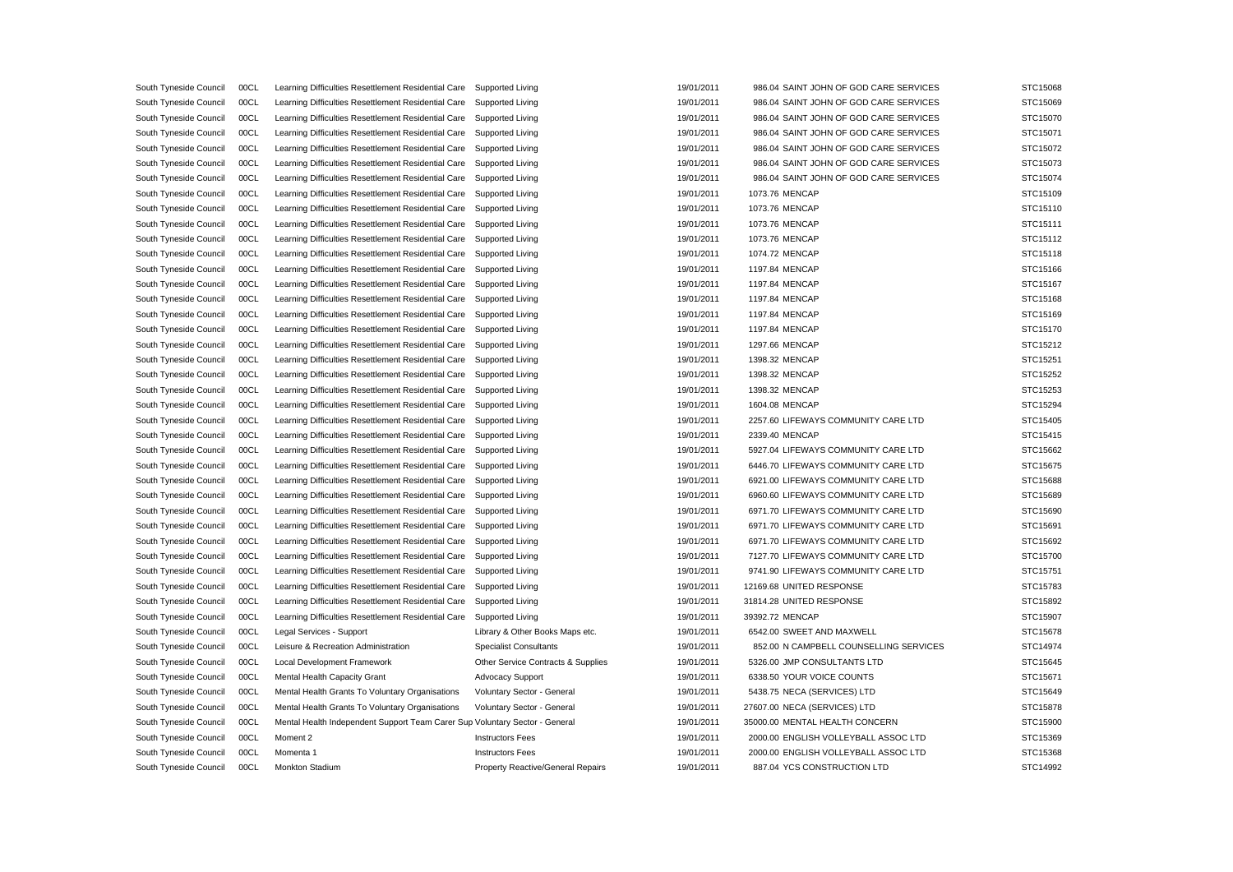| South Tyneside Council | 00CL | Learning Difficulties Resettlement Residential Care                         | Supported Living                     | 19/01/2011 | 986.04 SAINT JOHN OF GOD CARE SERVICES | STC15068 |
|------------------------|------|-----------------------------------------------------------------------------|--------------------------------------|------------|----------------------------------------|----------|
| South Tyneside Council | 00CL | Learning Difficulties Resettlement Residential Care                         | Supported Living                     | 19/01/2011 | 986.04 SAINT JOHN OF GOD CARE SERVICES | STC15069 |
| South Tyneside Council | 00CL | Learning Difficulties Resettlement Residential Care                         | Supported Living                     | 19/01/2011 | 986.04 SAINT JOHN OF GOD CARE SERVICES | STC15070 |
| South Tyneside Council | 00CL | Learning Difficulties Resettlement Residential Care                         | Supported Living                     | 19/01/2011 | 986.04 SAINT JOHN OF GOD CARE SERVICES | STC15071 |
| South Tyneside Council | 00CL | Learning Difficulties Resettlement Residential Care                         | Supported Living                     | 19/01/2011 | 986.04 SAINT JOHN OF GOD CARE SERVICES | STC15072 |
| South Tyneside Council | 00CL | Learning Difficulties Resettlement Residential Care                         | Supported Living                     | 19/01/2011 | 986.04 SAINT JOHN OF GOD CARE SERVICES | STC15073 |
| South Tyneside Council | 00CL | Learning Difficulties Resettlement Residential Care                         | Supported Living                     | 19/01/2011 | 986.04 SAINT JOHN OF GOD CARE SERVICES | STC15074 |
| South Tyneside Council | 00CL | Learning Difficulties Resettlement Residential Care                         | Supported Living                     | 19/01/2011 | 1073.76 MENCAP                         | STC15109 |
| South Tyneside Council | 00CL | Learning Difficulties Resettlement Residential Care                         | Supported Living                     | 19/01/2011 | 1073.76 MENCAP                         | STC15110 |
| South Tyneside Council | 00CL | Learning Difficulties Resettlement Residential Care                         | Supported Living                     | 19/01/2011 | 1073.76 MENCAP                         | STC15111 |
| South Tyneside Council | 00CL | Learning Difficulties Resettlement Residential Care                         | Supported Living                     | 19/01/2011 | 1073.76 MENCAP                         | STC15112 |
| South Tyneside Council | 00CL | Learning Difficulties Resettlement Residential Care                         | Supported Living                     | 19/01/2011 | 1074.72 MENCAP                         | STC15118 |
| South Tyneside Council | 00CL | Learning Difficulties Resettlement Residential Care                         | Supported Living                     | 19/01/2011 | 1197.84 MENCAP                         | STC15166 |
| South Tyneside Council | 00CL | Learning Difficulties Resettlement Residential Care                         | Supported Living                     | 19/01/2011 | 1197.84 MENCAP                         | STC15167 |
| South Tyneside Council | 00CL | Learning Difficulties Resettlement Residential Care                         | Supported Living                     | 19/01/2011 | 1197.84 MENCAP                         | STC15168 |
| South Tyneside Council | 00CL | Learning Difficulties Resettlement Residential Care                         | Supported Living                     | 19/01/2011 | 1197.84 MENCAP                         | STC15169 |
| South Tyneside Council | 00CL | Learning Difficulties Resettlement Residential Care                         | Supported Living                     | 19/01/2011 | 1197.84 MENCAP                         | STC15170 |
| South Tyneside Council | 00CL | Learning Difficulties Resettlement Residential Care                         | Supported Living                     | 19/01/2011 | 1297.66 MENCAP                         | STC15212 |
| South Tyneside Council | 00CL | Learning Difficulties Resettlement Residential Care                         | Supported Living                     | 19/01/2011 | 1398.32 MENCAP                         | STC15251 |
| South Tyneside Council | 00CL | Learning Difficulties Resettlement Residential Care                         | Supported Living                     | 19/01/2011 | 1398.32 MENCAP                         | STC15252 |
| South Tyneside Council | 00CL | Learning Difficulties Resettlement Residential Care                         | Supported Living                     | 19/01/2011 | 1398.32 MENCAP                         | STC15253 |
| South Tyneside Council | 00CL | Learning Difficulties Resettlement Residential Care                         | Supported Living                     | 19/01/2011 | 1604.08 MENCAP                         | STC15294 |
| South Tyneside Council | 00CL | Learning Difficulties Resettlement Residential Care                         | Supported Living                     | 19/01/2011 | 2257.60 LIFEWAYS COMMUNITY CARE LTD    | STC15405 |
| South Tyneside Council | 00CL | Learning Difficulties Resettlement Residential Care                         | Supported Living                     | 19/01/2011 | 2339.40 MENCAP                         | STC15415 |
| South Tyneside Council | 00CL | Learning Difficulties Resettlement Residential Care                         | Supported Living                     | 19/01/2011 | 5927.04 LIFEWAYS COMMUNITY CARE LTD    | STC15662 |
| South Tyneside Council | 00CL | Learning Difficulties Resettlement Residential Care                         |                                      | 19/01/2011 | 6446.70 LIFEWAYS COMMUNITY CARE LTD    | STC15675 |
| South Tyneside Council | 00CL | Learning Difficulties Resettlement Residential Care                         | Supported Living<br>Supported Living | 19/01/2011 | 6921.00 LIFEWAYS COMMUNITY CARE LTD    | STC15688 |
|                        |      |                                                                             |                                      |            |                                        |          |
| South Tyneside Council | 00CL | Learning Difficulties Resettlement Residential Care                         | Supported Living                     | 19/01/2011 | 6960.60 LIFEWAYS COMMUNITY CARE LTD    | STC15689 |
| South Tyneside Council | 00CL | Learning Difficulties Resettlement Residential Care                         | Supported Living                     | 19/01/2011 | 6971.70 LIFEWAYS COMMUNITY CARE LTD    | STC15690 |
| South Tyneside Council | 00CL | Learning Difficulties Resettlement Residential Care                         | Supported Living                     | 19/01/2011 | 6971.70 LIFEWAYS COMMUNITY CARE LTD    | STC15691 |
| South Tyneside Council | 00CL | Learning Difficulties Resettlement Residential Care                         | Supported Living                     | 19/01/2011 | 6971.70 LIFEWAYS COMMUNITY CARE LTD    | STC15692 |
| South Tyneside Council | 00CL | Learning Difficulties Resettlement Residential Care                         | Supported Living                     | 19/01/2011 | 7127.70 LIFEWAYS COMMUNITY CARE LTD    | STC15700 |
| South Tyneside Council | 00CL | Learning Difficulties Resettlement Residential Care                         | Supported Living                     | 19/01/2011 | 9741.90 LIFEWAYS COMMUNITY CARE LTD    | STC15751 |
| South Tyneside Council | 00CL | Learning Difficulties Resettlement Residential Care                         | Supported Living                     | 19/01/2011 | 12169.68 UNITED RESPONSE               | STC15783 |
| South Tyneside Council | 00CL | Learning Difficulties Resettlement Residential Care                         | Supported Living                     | 19/01/2011 | 31814.28 UNITED RESPONSE               | STC15892 |
| South Tyneside Council | 00CL | Learning Difficulties Resettlement Residential Care                         | Supported Living                     | 19/01/2011 | 39392.72 MENCAP                        | STC15907 |
| South Tyneside Council | 00CL | Legal Services - Support                                                    | Library & Other Books Maps etc.      | 19/01/2011 | 6542.00 SWEET AND MAXWELL              | STC15678 |
| South Tyneside Council | 00CL | Leisure & Recreation Administration                                         | <b>Specialist Consultants</b>        | 19/01/2011 | 852.00 N CAMPBELL COUNSELLING SERVICES | STC14974 |
| South Tyneside Council | 00CL | Local Development Framework                                                 | Other Service Contracts & Supplies   | 19/01/2011 | 5326.00 JMP CONSULTANTS LTD            | STC15645 |
| South Tyneside Council | 00CL | <b>Mental Health Capacity Grant</b>                                         | <b>Advocacy Support</b>              | 19/01/2011 | 6338.50 YOUR VOICE COUNTS              | STC15671 |
| South Tyneside Council | 00CL | Mental Health Grants To Voluntary Organisations                             | Voluntary Sector - General           | 19/01/2011 | 5438.75 NECA (SERVICES) LTD            | STC15649 |
| South Tyneside Council | 00CL | Mental Health Grants To Voluntary Organisations                             | Voluntary Sector - General           | 19/01/2011 | 27607.00 NECA (SERVICES) LTD           | STC15878 |
| South Tyneside Council | 00CL | Mental Health Independent Support Team Carer Sup Voluntary Sector - General |                                      | 19/01/2011 | 35000.00 MENTAL HEALTH CONCERN         | STC15900 |
| South Tyneside Council | 00CL | Moment 2                                                                    | <b>Instructors Fees</b>              | 19/01/2011 | 2000.00 ENGLISH VOLLEYBALL ASSOC LTD   | STC15369 |
| South Tyneside Council | 00CL | Momenta 1                                                                   | <b>Instructors Fees</b>              | 19/01/2011 | 2000.00 ENGLISH VOLLEYBALL ASSOC LTD   | STC15368 |
| South Tyneside Council | 00CL | Monkton Stadium                                                             | Property Reactive/General Repairs    | 19/01/2011 | 887.04 YCS CONSTRUCTION LTD            | STC14992 |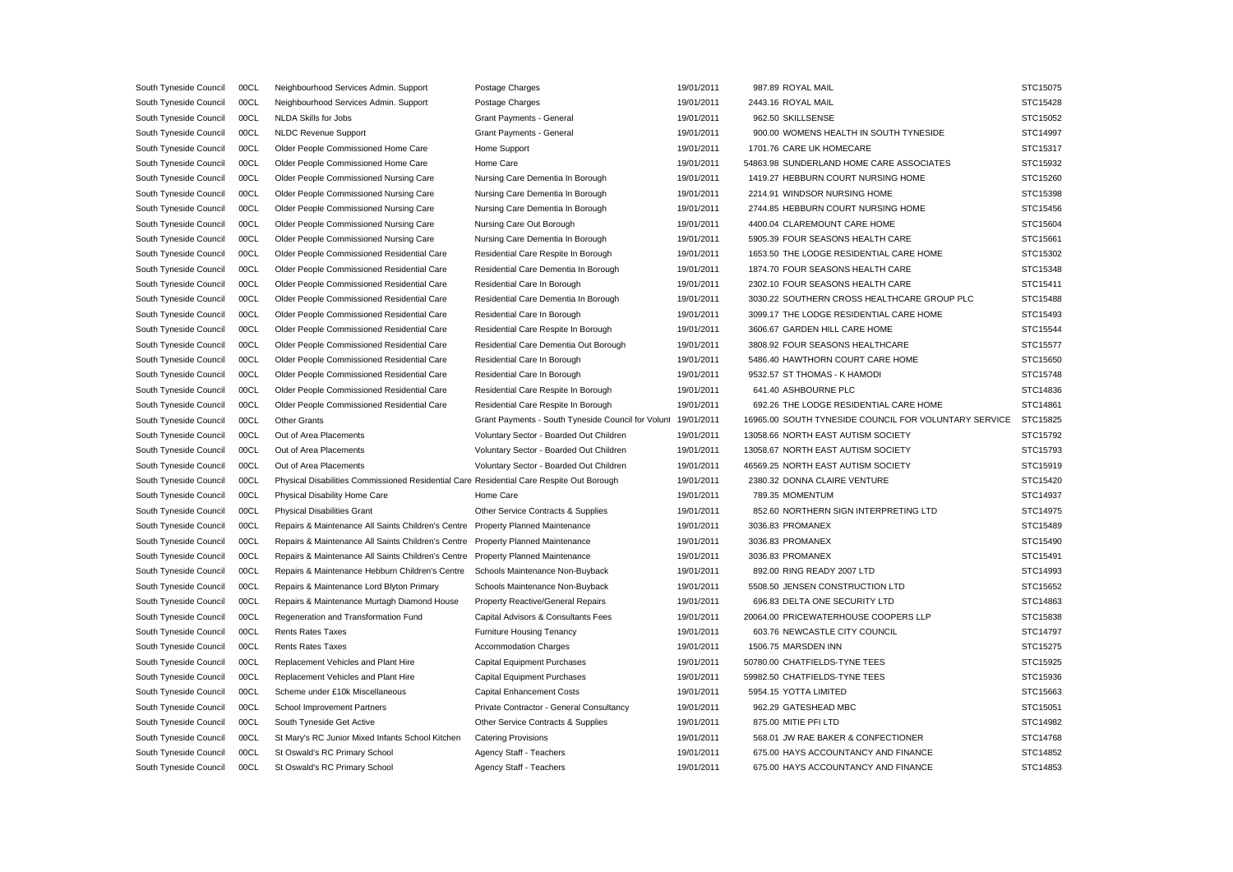| South Tyneside Council | 00CL | Neighbourhood Services Admin. Support                                                    | Postage Charges                                    | 19/01/2011 | 987.89 ROYAL MAIL                                     | STC15075 |
|------------------------|------|------------------------------------------------------------------------------------------|----------------------------------------------------|------------|-------------------------------------------------------|----------|
| South Tyneside Council | 00CL | Neighbourhood Services Admin. Support                                                    | Postage Charges                                    | 19/01/2011 | 2443.16 ROYAL MAIL                                    | STC15428 |
| South Tyneside Council | 00CL | NLDA Skills for Jobs                                                                     | Grant Payments - General                           | 19/01/2011 | 962.50 SKILLSENSE                                     | STC15052 |
| South Tyneside Council | 00CL | <b>NLDC Revenue Support</b>                                                              | Grant Payments - General                           | 19/01/2011 | 900.00 WOMENS HEALTH IN SOUTH TYNESIDE                | STC14997 |
| South Tyneside Council | 00CL | Older People Commissioned Home Care                                                      | Home Support                                       | 19/01/2011 | 1701.76 CARE UK HOMECARE                              | STC15317 |
| South Tyneside Council | 00CL | Older People Commissioned Home Care                                                      | Home Care                                          | 19/01/2011 | 54863.98 SUNDERLAND HOME CARE ASSOCIATES              | STC15932 |
| South Tyneside Council | 00CL | Older People Commissioned Nursing Care                                                   | Nursing Care Dementia In Borough                   | 19/01/2011 | 1419.27 HEBBURN COURT NURSING HOME                    | STC15260 |
| South Tyneside Council | 00CL | Older People Commissioned Nursing Care                                                   | Nursing Care Dementia In Borough                   | 19/01/2011 | 2214.91 WINDSOR NURSING HOME                          | STC15398 |
| South Tyneside Council | 00CL | Older People Commissioned Nursing Care                                                   | Nursing Care Dementia In Borough                   | 19/01/2011 | 2744.85 HEBBURN COURT NURSING HOME                    | STC15456 |
| South Tyneside Council | 00CL | Older People Commissioned Nursing Care                                                   | Nursing Care Out Borough                           | 19/01/2011 | 4400.04 CLAREMOUNT CARE HOME                          | STC15604 |
| South Tyneside Council | 00CL | Older People Commissioned Nursing Care                                                   | Nursing Care Dementia In Borough                   | 19/01/2011 | 5905.39 FOUR SEASONS HEALTH CARE                      | STC15661 |
| South Tyneside Council | 00CL | Older People Commissioned Residential Care                                               | Residential Care Respite In Borough                | 19/01/2011 | 1653.50 THE LODGE RESIDENTIAL CARE HOME               | STC15302 |
| South Tyneside Council | 00CL | Older People Commissioned Residential Care                                               | Residential Care Dementia In Borough               | 19/01/2011 | 1874.70 FOUR SEASONS HEALTH CARE                      | STC15348 |
| South Tyneside Council | 00CL | Older People Commissioned Residential Care                                               | Residential Care In Borough                        | 19/01/2011 | 2302.10 FOUR SEASONS HEALTH CARE                      | STC15411 |
| South Tyneside Council | 00CL | Older People Commissioned Residential Care                                               | Residential Care Dementia In Borough               | 19/01/2011 | 3030.22 SOUTHERN CROSS HEALTHCARE GROUP PLC           | STC15488 |
| South Tyneside Council | 00CL | Older People Commissioned Residential Care                                               | Residential Care In Borough                        | 19/01/2011 | 3099.17 THE LODGE RESIDENTIAL CARE HOME               | STC15493 |
| South Tyneside Council | 00CL | Older People Commissioned Residential Care                                               | Residential Care Respite In Borough                | 19/01/2011 | 3606.67 GARDEN HILL CARE HOME                         | STC15544 |
| South Tyneside Council | 00CL | Older People Commissioned Residential Care                                               | Residential Care Dementia Out Borough              | 19/01/2011 | 3808.92 FOUR SEASONS HEALTHCARE                       | STC15577 |
| South Tyneside Council | 00CL | Older People Commissioned Residential Care                                               | Residential Care In Borough                        | 19/01/2011 | 5486.40 HAWTHORN COURT CARE HOME                      | STC15650 |
| South Tyneside Council | 00CL | Older People Commissioned Residential Care                                               | Residential Care In Borough                        | 19/01/2011 | 9532.57 ST THOMAS - K HAMODI                          | STC15748 |
| South Tyneside Council | 00CL | Older People Commissioned Residential Care                                               | Residential Care Respite In Borough                | 19/01/2011 | 641.40 ASHBOURNE PLC                                  | STC14836 |
| South Tyneside Council | 00CL | Older People Commissioned Residential Care                                               | Residential Care Respite In Borough                | 19/01/2011 | 692.26 THE LODGE RESIDENTIAL CARE HOME                | STC14861 |
| South Tyneside Council | 00CL | Other Grants                                                                             | Grant Payments - South Tyneside Council for Volunt | 19/01/2011 | 16965.00 SOUTH TYNESIDE COUNCIL FOR VOLUNTARY SERVICE | STC15825 |
| South Tyneside Council | 00CL | Out of Area Placements                                                                   | Voluntary Sector - Boarded Out Children            | 19/01/2011 | 13058.66 NORTH EAST AUTISM SOCIETY                    | STC15792 |
| South Tyneside Council | 00CL | Out of Area Placements                                                                   | Voluntary Sector - Boarded Out Children            | 19/01/2011 | 13058.67 NORTH EAST AUTISM SOCIETY                    | STC15793 |
| South Tyneside Council | 00CL | Out of Area Placements                                                                   | Voluntary Sector - Boarded Out Children            | 19/01/2011 | 46569.25 NORTH EAST AUTISM SOCIETY                    | STC15919 |
| South Tyneside Council | 00CL | Physical Disabilities Commissioned Residential Care Residential Care Respite Out Borough |                                                    | 19/01/2011 | 2380.32 DONNA CLAIRE VENTURE                          | STC15420 |
| South Tyneside Council | 00CL | Physical Disability Home Care                                                            | Home Care                                          | 19/01/2011 | 789.35 MOMENTUM                                       | STC14937 |
| South Tyneside Council | 00CL | <b>Physical Disabilities Grant</b>                                                       | Other Service Contracts & Supplies                 | 19/01/2011 | 852.60 NORTHERN SIGN INTERPRETING LTD                 | STC14975 |
| South Tyneside Council | 00CL | Repairs & Maintenance All Saints Children's Centre Property Planned Maintenance          |                                                    | 19/01/2011 | 3036.83 PROMANEX                                      | STC15489 |
| South Tyneside Council | 00CL | Repairs & Maintenance All Saints Children's Centre                                       | <b>Property Planned Maintenance</b>                | 19/01/2011 | 3036.83 PROMANEX                                      | STC15490 |
| South Tyneside Council | 00CL | Repairs & Maintenance All Saints Children's Centre Property Planned Maintenance          |                                                    | 19/01/2011 | 3036.83 PROMANEX                                      | STC15491 |
| South Tyneside Council | 00CL | Repairs & Maintenance Hebburn Children's Centre                                          | Schools Maintenance Non-Buyback                    | 19/01/2011 | 892.00 RING READY 2007 LTD                            | STC14993 |
| South Tyneside Council | 00CL | Repairs & Maintenance Lord Blyton Primary                                                | Schools Maintenance Non-Buyback                    | 19/01/2011 | 5508.50 JENSEN CONSTRUCTION LTD                       | STC15652 |
| South Tyneside Council | 00CL | Repairs & Maintenance Murtagh Diamond House                                              | Property Reactive/General Repairs                  | 19/01/2011 | 696.83 DELTA ONE SECURITY LTD                         | STC14863 |
| South Tyneside Council | 00CL | Regeneration and Transformation Fund                                                     | Capital Advisors & Consultants Fees                | 19/01/2011 | 20064.00 PRICEWATERHOUSE COOPERS LLP                  | STC15838 |
| South Tyneside Council | 00CL | <b>Rents Rates Taxes</b>                                                                 | Furniture Housing Tenancy                          | 19/01/2011 | 603.76 NEWCASTLE CITY COUNCIL                         | STC14797 |
| South Tyneside Council | 00CL | <b>Rents Rates Taxes</b>                                                                 | <b>Accommodation Charges</b>                       | 19/01/2011 | 1506.75 MARSDEN INN                                   | STC15275 |
| South Tyneside Council | 00CL | Replacement Vehicles and Plant Hire                                                      | <b>Capital Equipment Purchases</b>                 | 19/01/2011 | 50780.00 CHATFIELDS-TYNE TEES                         | STC15925 |
| South Tyneside Council | 00CL | Replacement Vehicles and Plant Hire                                                      | Capital Equipment Purchases                        | 19/01/2011 | 59982.50 CHATFIELDS-TYNE TEES                         | STC15936 |
| South Tyneside Council | 00CL | Scheme under £10k Miscellaneous                                                          | <b>Capital Enhancement Costs</b>                   | 19/01/2011 | 5954.15 YOTTA LIMITED                                 | STC15663 |
| South Tyneside Council | 00CL | School Improvement Partners                                                              | Private Contractor - General Consultancy           | 19/01/2011 | 962.29 GATESHEAD MBC                                  | STC15051 |
| South Tyneside Council | 00CL | South Tyneside Get Active                                                                | Other Service Contracts & Supplies                 | 19/01/2011 | 875.00 MITIE PFI LTD                                  | STC14982 |
| South Tyneside Council | 00CL | St Mary's RC Junior Mixed Infants School Kitchen                                         | <b>Catering Provisions</b>                         | 19/01/2011 | 568.01 JW RAE BAKER & CONFECTIONER                    | STC14768 |
| South Tyneside Council | 00CL | St Oswald's RC Primary School                                                            | Agency Staff - Teachers                            | 19/01/2011 | 675.00 HAYS ACCOUNTANCY AND FINANCE                   | STC14852 |
| South Tyneside Council | 00CL | St Oswald's RC Primary School                                                            | Agency Staff - Teachers                            | 19/01/2011 | 675.00 HAYS ACCOUNTANCY AND FINANCE                   | STC14853 |
|                        |      |                                                                                          |                                                    |            |                                                       |          |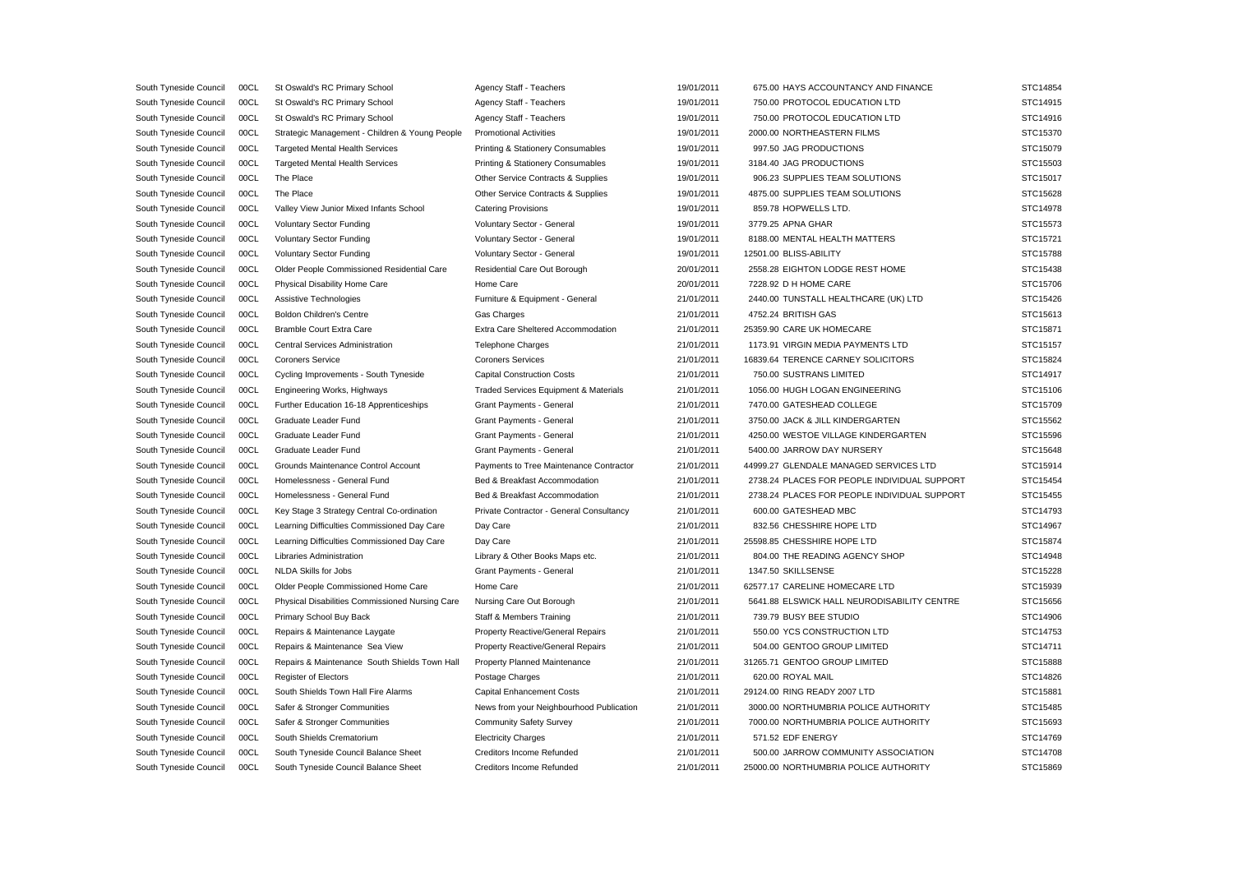| South Tyneside Council | 00CL         | St Oswald's RC Primary School                   | Agency Staff - Teachers                  | 19/01/2011 | 675.00 HAYS ACCOUNTANCY AND FINANCE          | STC14854             |
|------------------------|--------------|-------------------------------------------------|------------------------------------------|------------|----------------------------------------------|----------------------|
| South Tyneside Council | 00CL         | St Oswald's RC Primary School                   | Agency Staff - Teachers                  | 19/01/2011 | 750.00 PROTOCOL EDUCATION LTD                | STC14915             |
| South Tyneside Council | 00CL         | St Oswald's RC Primary School                   | Agency Staff - Teachers                  | 19/01/2011 | 750.00 PROTOCOL EDUCATION LTD                | STC14916             |
| South Tyneside Council | 00CL         | Strategic Management - Children & Young People  | <b>Promotional Activities</b>            | 19/01/2011 | 2000.00 NORTHEASTERN FILMS                   | STC15370             |
| South Tyneside Council | 00CL         | <b>Targeted Mental Health Services</b>          | Printing & Stationery Consumables        | 19/01/2011 | 997.50 JAG PRODUCTIONS                       | STC15079             |
| South Tyneside Council | 00CL         | <b>Targeted Mental Health Services</b>          | Printing & Stationery Consumables        | 19/01/2011 | 3184.40 JAG PRODUCTIONS                      | STC15503             |
| South Tyneside Council | 00CL         | The Place                                       | Other Service Contracts & Supplies       | 19/01/2011 | 906.23 SUPPLIES TEAM SOLUTIONS               | STC15017             |
| South Tyneside Council | 00CL         | The Place                                       | Other Service Contracts & Supplies       | 19/01/2011 | 4875.00 SUPPLIES TEAM SOLUTIONS              | STC15628             |
| South Tyneside Council | 00CL         | Valley View Junior Mixed Infants School         | <b>Catering Provisions</b>               | 19/01/2011 | 859.78 HOPWELLS LTD.                         | STC14978             |
| South Tyneside Council | 00CL         | Voluntary Sector Funding                        | Voluntary Sector - General               | 19/01/2011 | 3779.25 APNA GHAR                            | STC15573             |
| South Tyneside Council | 00CL         | <b>Voluntary Sector Funding</b>                 | Voluntary Sector - General               | 19/01/2011 | 8188.00 MENTAL HEALTH MATTERS                | STC15721             |
| South Tyneside Council | 00CL         | <b>Voluntary Sector Funding</b>                 | Voluntary Sector - General               | 19/01/2011 | 12501.00 BLISS-ABILITY                       | STC15788             |
| South Tyneside Council | 00CL         | Older People Commissioned Residential Care      | Residential Care Out Borough             | 20/01/2011 | 2558.28 EIGHTON LODGE REST HOME              | STC15438             |
| South Tyneside Council | 00CL         | Physical Disability Home Care                   | Home Care                                | 20/01/2011 | 7228.92 D H HOME CARE                        | STC15706             |
| South Tyneside Council | 00CL         | Assistive Technologies                          | Furniture & Equipment - General          | 21/01/2011 | 2440.00 TUNSTALL HEALTHCARE (UK) LTD         | STC15426             |
| South Tyneside Council | 00CL         | <b>Boldon Children's Centre</b>                 | Gas Charges                              | 21/01/2011 | 4752.24 BRITISH GAS                          | STC15613             |
| South Tyneside Council | 00CL         | <b>Bramble Court Extra Care</b>                 | Extra Care Sheltered Accommodation       | 21/01/2011 | 25359.90 CARE UK HOMECARE                    | STC15871             |
| South Tyneside Council | 00CL         | <b>Central Services Administration</b>          | Telephone Charges                        | 21/01/2011 | 1173.91 VIRGIN MEDIA PAYMENTS LTD            | STC15157             |
| South Tyneside Council | 00CL         | <b>Coroners Service</b>                         | <b>Coroners Services</b>                 | 21/01/2011 | 16839.64 TERENCE CARNEY SOLICITORS           | STC15824             |
| South Tyneside Council | 00CL         | Cycling Improvements - South Tyneside           | <b>Capital Construction Costs</b>        | 21/01/2011 | 750.00 SUSTRANS LIMITED                      | STC14917             |
| South Tyneside Council | 00CL         | Engineering Works, Highways                     | Traded Services Equipment & Materials    | 21/01/2011 | 1056.00 HUGH LOGAN ENGINEERING               | STC15106             |
| South Tyneside Council | 00CL         | Further Education 16-18 Apprenticeships         | Grant Payments - General                 | 21/01/2011 | 7470.00 GATESHEAD COLLEGE                    | STC15709             |
| South Tyneside Council | 00CL         | Graduate Leader Fund                            | Grant Payments - General                 | 21/01/2011 | 3750.00 JACK & JILL KINDERGARTEN             | STC15562             |
| South Tyneside Council | 00CL         | Graduate Leader Fund                            | Grant Payments - General                 | 21/01/2011 | 4250.00 WESTOE VILLAGE KINDERGARTEN          | STC15596             |
| South Tyneside Council | 00CL         | Graduate Leader Fund                            | Grant Payments - General                 | 21/01/2011 | 5400.00 JARROW DAY NURSERY                   | STC15648             |
| South Tyneside Council | 00CL         | Grounds Maintenance Control Account             | Payments to Tree Maintenance Contractor  | 21/01/2011 | 44999.27 GLENDALE MANAGED SERVICES LTD       | STC15914             |
| South Tyneside Council | 00CL         | Homelessness - General Fund                     | Bed & Breakfast Accommodation            | 21/01/2011 | 2738.24 PLACES FOR PEOPLE INDIVIDUAL SUPPORT | STC15454             |
| South Tyneside Council | 00CL         | Homelessness - General Fund                     | Bed & Breakfast Accommodation            | 21/01/2011 | 2738.24 PLACES FOR PEOPLE INDIVIDUAL SUPPORT | STC15455             |
| South Tyneside Council | 00CL         | Key Stage 3 Strategy Central Co-ordination      | Private Contractor - General Consultancy | 21/01/2011 | 600.00 GATESHEAD MBC                         | STC14793             |
| South Tyneside Council | 00CL         | Learning Difficulties Commissioned Day Care     | Day Care                                 | 21/01/2011 | 832.56 CHESSHIRE HOPE LTD                    | STC14967             |
| South Tyneside Council | 00CL         | Learning Difficulties Commissioned Day Care     | Day Care                                 | 21/01/2011 | 25598.85 CHESSHIRE HOPE LTD                  | STC15874             |
| South Tyneside Council | 00CL         | Libraries Administration                        | Library & Other Books Maps etc.          | 21/01/2011 | 804.00 THE READING AGENCY SHOP               | STC14948             |
| South Tyneside Council | 00CL         | <b>NLDA Skills for Jobs</b>                     | Grant Payments - General                 | 21/01/2011 | 1347.50 SKILLSENSE                           | STC15228             |
| South Tyneside Council | 00CL         | Older People Commissioned Home Care             | Home Care                                | 21/01/2011 | 62577.17 CARELINE HOMECARE LTD               | STC15939             |
| South Tyneside Council | 00CL         | Physical Disabilities Commissioned Nursing Care | Nursing Care Out Borough                 | 21/01/2011 | 5641.88 ELSWICK HALL NEURODISABILITY CENTRE  | STC15656             |
| South Tyneside Council | 00CL         | Primary School Buy Back                         | Staff & Members Training                 | 21/01/2011 | 739.79 BUSY BEE STUDIO                       | STC14906             |
| South Tyneside Council | 00CL         | Repairs & Maintenance Laygate                   | Property Reactive/General Repairs        | 21/01/2011 | 550.00 YCS CONSTRUCTION LTD                  | STC14753             |
| South Tyneside Council | 00CL         | Repairs & Maintenance Sea View                  | Property Reactive/General Repairs        | 21/01/2011 | 504.00 GENTOO GROUP LIMITED                  | STC14711             |
|                        |              |                                                 |                                          | 21/01/2011 | 31265.71 GENTOO GROUP LIMITED                |                      |
| South Tyneside Council | 00CL<br>00CL | Repairs & Maintenance South Shields Town Hall   | Property Planned Maintenance             | 21/01/2011 | 620.00 ROYAL MAIL                            | STC15888<br>STC14826 |
| South Tyneside Council |              | <b>Register of Electors</b>                     | Postage Charges                          |            |                                              |                      |
| South Tyneside Council | 00CL         | South Shields Town Hall Fire Alarms             | <b>Capital Enhancement Costs</b>         | 21/01/2011 | 29124.00 RING READY 2007 LTD                 | STC15881             |
| South Tyneside Council | 00CL         | Safer & Stronger Communities                    | News from your Neighbourhood Publication | 21/01/2011 | 3000.00 NORTHUMBRIA POLICE AUTHORITY         | STC15485             |
| South Tyneside Council | 00CL         | Safer & Stronger Communities                    | <b>Community Safety Survey</b>           | 21/01/2011 | 7000.00 NORTHUMBRIA POLICE AUTHORITY         | STC15693             |
| South Tyneside Council | 00CL         | South Shields Crematorium                       | <b>Electricity Charges</b>               | 21/01/2011 | 571.52 EDF ENERGY                            | STC14769             |
| South Tyneside Council | 00CL         | South Tyneside Council Balance Sheet            | <b>Creditors Income Refunded</b>         | 21/01/2011 | 500.00 JARROW COMMUNITY ASSOCIATION          | STC14708             |
| South Tyneside Council | 00CL         | South Tyneside Council Balance Sheet            | Creditors Income Refunded                | 21/01/2011 | 25000.00 NORTHUMBRIA POLICE AUTHORITY        | STC15869             |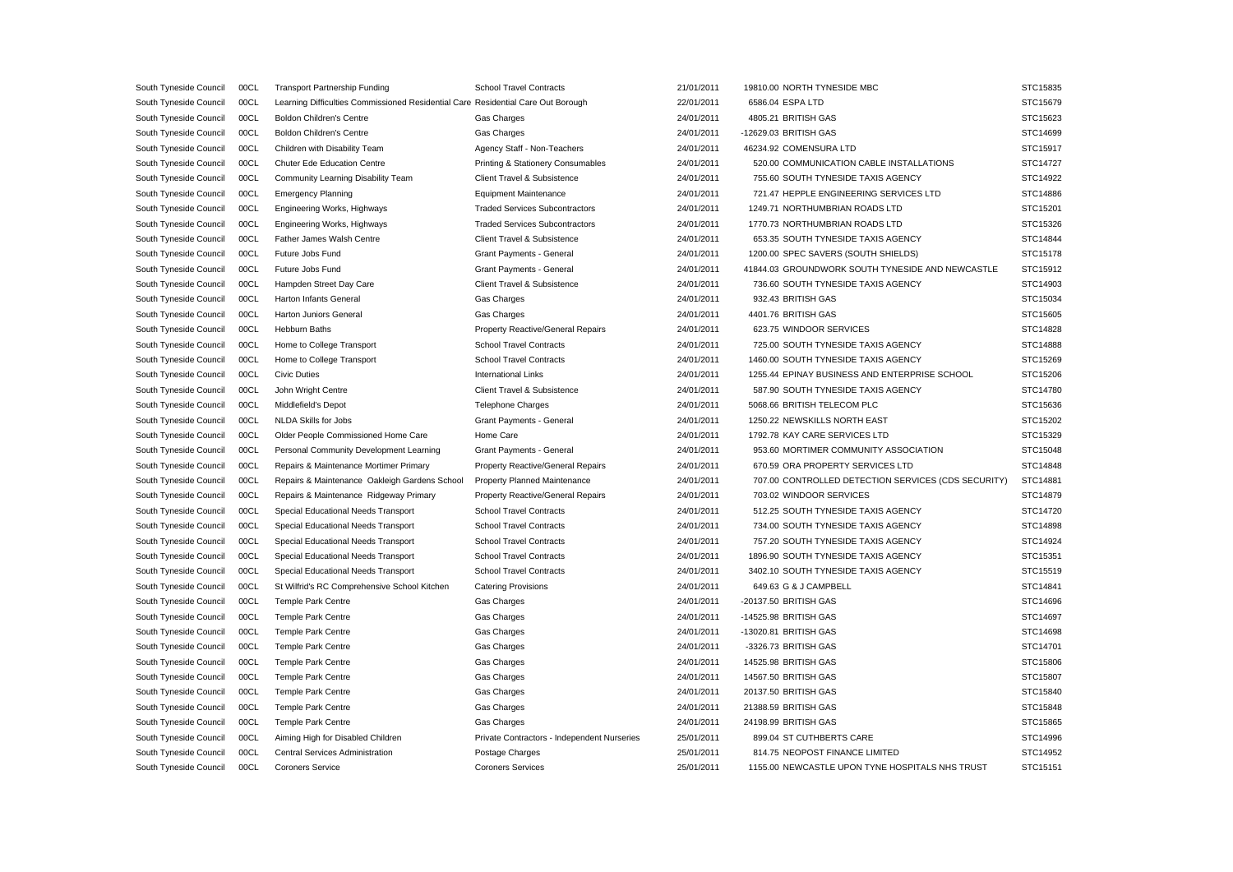| South Tyneside Council | 00CL | <b>Transport Partnership Funding</b>                                             | <b>School Travel Contracts</b>              | 21/01/2011 | 19810.00 NORTH TYNESIDE MBC                         | STC15835 |
|------------------------|------|----------------------------------------------------------------------------------|---------------------------------------------|------------|-----------------------------------------------------|----------|
| South Tyneside Council | 00CL | Learning Difficulties Commissioned Residential Care Residential Care Out Borough |                                             | 22/01/2011 | 6586.04 ESPA LTD                                    | STC15679 |
| South Tyneside Council | 00CL | <b>Boldon Children's Centre</b>                                                  | Gas Charges                                 | 24/01/2011 | 4805.21 BRITISH GAS                                 | STC15623 |
| South Tyneside Council | 00CL | <b>Boldon Children's Centre</b>                                                  | Gas Charges                                 | 24/01/2011 | -12629.03 BRITISH GAS                               | STC14699 |
| South Tyneside Council | 00CL | Children with Disability Team                                                    | Agency Staff - Non-Teachers                 | 24/01/2011 | 46234.92 COMENSURA LTD                              | STC15917 |
| South Tyneside Council | 00CL | Chuter Ede Education Centre                                                      | Printing & Stationery Consumables           | 24/01/2011 | 520.00 COMMUNICATION CABLE INSTALLATIONS            | STC14727 |
| South Tyneside Council | 00CL | Community Learning Disability Team                                               | Client Travel & Subsistence                 | 24/01/2011 | 755.60 SOUTH TYNESIDE TAXIS AGENCY                  | STC14922 |
| South Tyneside Council | 00CL | <b>Emergency Planning</b>                                                        | <b>Equipment Maintenance</b>                | 24/01/2011 | 721.47 HEPPLE ENGINEERING SERVICES LTD              | STC14886 |
| South Tyneside Council | 00CL | Engineering Works, Highways                                                      | <b>Traded Services Subcontractors</b>       | 24/01/2011 | 1249.71 NORTHUMBRIAN ROADS LTD                      | STC15201 |
| South Tyneside Council | 00CL | Engineering Works, Highways                                                      | <b>Traded Services Subcontractors</b>       | 24/01/2011 | 1770.73 NORTHUMBRIAN ROADS LTD                      | STC15326 |
| South Tyneside Council | 00CL | Father James Walsh Centre                                                        | Client Travel & Subsistence                 | 24/01/2011 | 653.35 SOUTH TYNESIDE TAXIS AGENCY                  | STC14844 |
| South Tyneside Council | 00CL | Future Jobs Fund                                                                 | Grant Payments - General                    | 24/01/2011 | 1200.00 SPEC SAVERS (SOUTH SHIELDS)                 | STC15178 |
| South Tyneside Council | 00CL | Future Jobs Fund                                                                 | Grant Payments - General                    | 24/01/2011 | 41844.03 GROUNDWORK SOUTH TYNESIDE AND NEWCASTLE    | STC15912 |
| South Tyneside Council | 00CL | Hampden Street Day Care                                                          | Client Travel & Subsistence                 | 24/01/2011 | 736.60 SOUTH TYNESIDE TAXIS AGENCY                  | STC14903 |
| South Tyneside Council | 00CL | Harton Infants General                                                           | Gas Charges                                 | 24/01/2011 | 932.43 BRITISH GAS                                  | STC15034 |
| South Tyneside Council | 00CL | <b>Harton Juniors General</b>                                                    | Gas Charges                                 | 24/01/2011 | 4401.76 BRITISH GAS                                 | STC15605 |
| South Tyneside Council | 00CL | Hebburn Baths                                                                    | Property Reactive/General Repairs           | 24/01/2011 | 623.75 WINDOOR SERVICES                             | STC14828 |
| South Tyneside Council | 00CL | Home to College Transport                                                        | <b>School Travel Contracts</b>              | 24/01/2011 | 725.00 SOUTH TYNESIDE TAXIS AGENCY                  | STC14888 |
| South Tyneside Council | 00CL | Home to College Transport                                                        | <b>School Travel Contracts</b>              | 24/01/2011 | 1460.00 SOUTH TYNESIDE TAXIS AGENCY                 | STC15269 |
| South Tyneside Council | 00CL | <b>Civic Duties</b>                                                              | <b>International Links</b>                  | 24/01/2011 | 1255.44 EPINAY BUSINESS AND ENTERPRISE SCHOOL       | STC15206 |
| South Tyneside Council | 00CL | John Wright Centre                                                               | Client Travel & Subsistence                 | 24/01/2011 | 587.90 SOUTH TYNESIDE TAXIS AGENCY                  | STC14780 |
| South Tyneside Council | 00CL | Middlefield's Depot                                                              | <b>Telephone Charges</b>                    | 24/01/2011 | 5068.66 BRITISH TELECOM PLC                         | STC15636 |
| South Tyneside Council | 00CL | <b>NLDA Skills for Jobs</b>                                                      | Grant Payments - General                    | 24/01/2011 | 1250.22 NEWSKILLS NORTH EAST                        | STC15202 |
| South Tyneside Council | 00CL | Older People Commissioned Home Care                                              | Home Care                                   | 24/01/2011 | 1792.78 KAY CARE SERVICES LTD                       | STC15329 |
| South Tyneside Council | 00CL | Personal Community Development Learning                                          | Grant Payments - General                    | 24/01/2011 | 953.60 MORTIMER COMMUNITY ASSOCIATION               | STC15048 |
| South Tyneside Council | 00CL | Repairs & Maintenance Mortimer Primary                                           | Property Reactive/General Repairs           | 24/01/2011 | 670.59 ORA PROPERTY SERVICES LTD                    | STC14848 |
| South Tyneside Council | 00CL | Repairs & Maintenance Oakleigh Gardens School                                    | Property Planned Maintenance                | 24/01/2011 | 707.00 CONTROLLED DETECTION SERVICES (CDS SECURITY) | STC14881 |
| South Tyneside Council | 00CL | Repairs & Maintenance Ridgeway Primary                                           | Property Reactive/General Repairs           | 24/01/2011 | 703.02 WINDOOR SERVICES                             | STC14879 |
| South Tyneside Council | 00CL | Special Educational Needs Transport                                              | <b>School Travel Contracts</b>              | 24/01/2011 | 512.25 SOUTH TYNESIDE TAXIS AGENCY                  | STC14720 |
| South Tyneside Council | 00CL | Special Educational Needs Transport                                              | <b>School Travel Contracts</b>              | 24/01/2011 | 734.00 SOUTH TYNESIDE TAXIS AGENCY                  | STC14898 |
| South Tyneside Council | 00CL | Special Educational Needs Transport                                              | <b>School Travel Contracts</b>              | 24/01/2011 | 757.20 SOUTH TYNESIDE TAXIS AGENCY                  | STC14924 |
| South Tyneside Council | 00CL | Special Educational Needs Transport                                              | <b>School Travel Contracts</b>              | 24/01/2011 | 1896.90 SOUTH TYNESIDE TAXIS AGENCY                 | STC15351 |
| South Tyneside Council | 00CL | Special Educational Needs Transport                                              | <b>School Travel Contracts</b>              | 24/01/2011 | 3402.10 SOUTH TYNESIDE TAXIS AGENCY                 | STC15519 |
| South Tyneside Council | 00CL | St Wilfrid's RC Comprehensive School Kitchen                                     | <b>Catering Provisions</b>                  | 24/01/2011 | 649.63 G & J CAMPBELL                               | STC14841 |
| South Tyneside Council | 00CL | Temple Park Centre                                                               | Gas Charges                                 | 24/01/2011 | -20137.50 BRITISH GAS                               | STC14696 |
| South Tyneside Council | 00CL | <b>Temple Park Centre</b>                                                        | Gas Charges                                 | 24/01/2011 | -14525.98 BRITISH GAS                               | STC14697 |
| South Tyneside Council | 00CL | Temple Park Centre                                                               | Gas Charges                                 | 24/01/2011 | -13020.81 BRITISH GAS                               | STC14698 |
| South Tyneside Council | 00CL | <b>Temple Park Centre</b>                                                        | Gas Charges                                 | 24/01/2011 | -3326.73 BRITISH GAS                                | STC14701 |
| South Tyneside Council | 00CL | Temple Park Centre                                                               | Gas Charges                                 | 24/01/2011 | 14525.98 BRITISH GAS                                | STC15806 |
| South Tyneside Council | 00CL | <b>Temple Park Centre</b>                                                        | Gas Charges                                 | 24/01/2011 | 14567.50 BRITISH GAS                                | STC15807 |
| South Tyneside Council | 00CL | Temple Park Centre                                                               | Gas Charges                                 | 24/01/2011 | 20137.50 BRITISH GAS                                | STC15840 |
| South Tyneside Council | 00CL | Temple Park Centre                                                               | Gas Charges                                 | 24/01/2011 | 21388.59 BRITISH GAS                                | STC15848 |
| South Tyneside Council | 00CL | <b>Temple Park Centre</b>                                                        | <b>Gas Charges</b>                          | 24/01/2011 | 24198.99 BRITISH GAS                                | STC15865 |
| South Tyneside Council | 00CL | Aiming High for Disabled Children                                                | Private Contractors - Independent Nurseries | 25/01/2011 | 899.04 ST CUTHBERTS CARE                            | STC14996 |
| South Tyneside Council | 00CL | <b>Central Services Administration</b>                                           | Postage Charges                             | 25/01/2011 | 814.75 NEOPOST FINANCE LIMITED                      | STC14952 |
| South Tyneside Council | 00CL | <b>Coroners Service</b>                                                          | <b>Coroners Services</b>                    | 25/01/2011 | 1155.00 NEWCASTLE UPON TYNE HOSPITALS NHS TRUST     | STC15151 |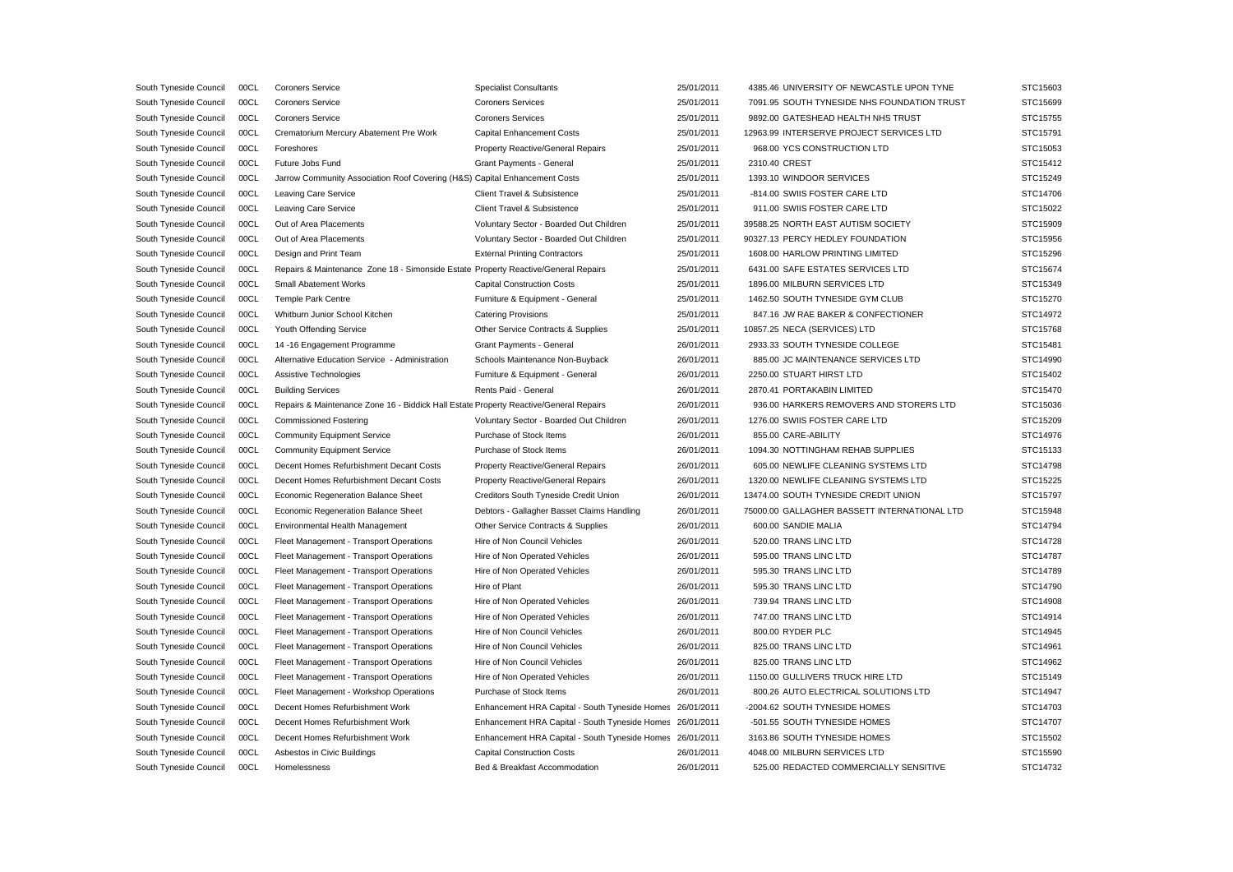| South Tyneside Council | 00CL | <b>Coroners Service</b>                                                               | <b>Specialist Consultants</b>                  | 25/01/2011 | 4385.46 UNIVERSITY OF NEWCASTLE UPON TYNE    | STC15603 |
|------------------------|------|---------------------------------------------------------------------------------------|------------------------------------------------|------------|----------------------------------------------|----------|
| South Tyneside Council | 00CL | <b>Coroners Service</b>                                                               | <b>Coroners Services</b>                       | 25/01/2011 | 7091.95 SOUTH TYNESIDE NHS FOUNDATION TRUST  | STC15699 |
| South Tyneside Council | 00CL | Coroners Service                                                                      | <b>Coroners Services</b>                       | 25/01/2011 | 9892.00 GATESHEAD HEALTH NHS TRUST           | STC15755 |
| South Tyneside Council | 00CL | Crematorium Mercury Abatement Pre Work                                                | <b>Capital Enhancement Costs</b>               | 25/01/2011 | 12963.99 INTERSERVE PROJECT SERVICES LTD     | STC15791 |
| South Tyneside Council | 00CL | Foreshores                                                                            | Property Reactive/General Repairs              | 25/01/2011 | 968.00 YCS CONSTRUCTION LTD                  | STC15053 |
| South Tyneside Council | 00CL | Future Jobs Fund                                                                      | <b>Grant Payments - General</b>                | 25/01/2011 | 2310.40 CREST                                | STC15412 |
| South Tyneside Council | 00CL | Jarrow Community Association Roof Covering (H&S) Capital Enhancement Costs            |                                                | 25/01/2011 | 1393.10 WINDOOR SERVICES                     | STC15249 |
| South Tyneside Council | 00CL | Leaving Care Service                                                                  | Client Travel & Subsistence                    | 25/01/2011 | -814.00 SWIIS FOSTER CARE LTD                | STC14706 |
| South Tyneside Council | 00CL | <b>Leaving Care Service</b>                                                           | Client Travel & Subsistence                    | 25/01/2011 | 911.00 SWIIS FOSTER CARE LTD                 | STC15022 |
| South Tyneside Council | 00CL | Out of Area Placements                                                                | Voluntary Sector - Boarded Out Children        | 25/01/2011 | 39588.25 NORTH EAST AUTISM SOCIETY           | STC15909 |
| South Tyneside Council | 00CL | Out of Area Placements                                                                | Voluntary Sector - Boarded Out Children        | 25/01/2011 | 90327.13 PERCY HEDLEY FOUNDATION             | STC15956 |
| South Tyneside Council | 00CL | Design and Print Team                                                                 | <b>External Printing Contractors</b>           | 25/01/2011 | 1608.00 HARLOW PRINTING LIMITED              | STC15296 |
| South Tyneside Council | 00CL | Repairs & Maintenance Zone 18 - Simonside Estate Property Reactive/General Repairs    |                                                | 25/01/2011 | 6431.00 SAFE ESTATES SERVICES LTD            | STC15674 |
| South Tyneside Council | 00CL | <b>Small Abatement Works</b>                                                          | <b>Capital Construction Costs</b>              | 25/01/2011 | 1896.00 MILBURN SERVICES LTD                 | STC15349 |
| South Tyneside Council | 00CL | Temple Park Centre                                                                    | Furniture & Equipment - General                | 25/01/2011 | 1462.50 SOUTH TYNESIDE GYM CLUB              | STC15270 |
| South Tyneside Council | 00CL | Whitburn Junior School Kitchen                                                        | <b>Catering Provisions</b>                     | 25/01/2011 | 847.16 JW RAE BAKER & CONFECTIONER           | STC14972 |
| South Tyneside Council | 00CL | Youth Offending Service                                                               | Other Service Contracts & Supplies             | 25/01/2011 | 10857.25 NECA (SERVICES) LTD                 | STC15768 |
| South Tyneside Council | 00CL | 14-16 Engagement Programme                                                            | <b>Grant Payments - General</b>                | 26/01/2011 | 2933.33 SOUTH TYNESIDE COLLEGE               | STC15481 |
| South Tyneside Council | 00CL | Alternative Education Service - Administration                                        | Schools Maintenance Non-Buyback                | 26/01/2011 | 885.00 JC MAINTENANCE SERVICES LTD           | STC14990 |
| South Tyneside Council | 00CL | Assistive Technologies                                                                | Furniture & Equipment - General                | 26/01/2011 | 2250.00 STUART HIRST LTD                     | STC15402 |
| South Tyneside Council | 00CL | <b>Building Services</b>                                                              | Rents Paid - General                           | 26/01/2011 | 2870.41 PORTAKABIN LIMITED                   | STC15470 |
| South Tyneside Council | 00CL | Repairs & Maintenance Zone 16 - Biddick Hall Estate Property Reactive/General Repairs |                                                | 26/01/2011 | 936.00 HARKERS REMOVERS AND STORERS LTD      | STC15036 |
| South Tyneside Council | 00CL | <b>Commissioned Fostering</b>                                                         | Voluntary Sector - Boarded Out Children        | 26/01/2011 | 1276.00 SWIIS FOSTER CARE LTD                | STC15209 |
| South Tyneside Council | 00CL | <b>Community Equipment Service</b>                                                    | Purchase of Stock Items                        | 26/01/2011 | 855.00 CARE-ABILITY                          | STC14976 |
| South Tyneside Council | 00CL | <b>Community Equipment Service</b>                                                    | Purchase of Stock Items                        | 26/01/2011 | 1094.30 NOTTINGHAM REHAB SUPPLIES            | STC15133 |
| South Tyneside Council | 00CL | Decent Homes Refurbishment Decant Costs                                               | Property Reactive/General Repairs              | 26/01/2011 | 605.00 NEWLIFE CLEANING SYSTEMS LTD          | STC14798 |
| South Tyneside Council | 00CL | Decent Homes Refurbishment Decant Costs                                               | Property Reactive/General Repairs              | 26/01/2011 | 1320.00 NEWLIFE CLEANING SYSTEMS LTD         | STC15225 |
| South Tyneside Council | 00CL | Economic Regeneration Balance Sheet                                                   | Creditors South Tyneside Credit Union          | 26/01/2011 | 13474.00 SOUTH TYNESIDE CREDIT UNION         | STC15797 |
| South Tyneside Council | 00CL | Economic Regeneration Balance Sheet                                                   | Debtors - Gallagher Basset Claims Handling     | 26/01/2011 | 75000.00 GALLAGHER BASSETT INTERNATIONAL LTD | STC15948 |
| South Tyneside Council | 00CL | Environmental Health Management                                                       | Other Service Contracts & Supplies             | 26/01/2011 | 600.00 SANDIE MALIA                          | STC14794 |
| South Tyneside Council | 00CL | Fleet Management - Transport Operations                                               | Hire of Non Council Vehicles                   | 26/01/2011 | 520.00 TRANS LINC LTD                        | STC14728 |
| South Tyneside Council | 00CL | Fleet Management - Transport Operations                                               | Hire of Non Operated Vehicles                  | 26/01/2011 | 595.00 TRANS LINC LTD                        | STC14787 |
| South Tyneside Council | 00CL | Fleet Management - Transport Operations                                               | Hire of Non Operated Vehicles                  | 26/01/2011 | 595.30 TRANS LINC LTD                        | STC14789 |
| South Tyneside Council | 00CL | Fleet Management - Transport Operations                                               | Hire of Plant                                  | 26/01/2011 | 595.30 TRANS LINC LTD                        | STC14790 |
| South Tyneside Council | 00CL | Fleet Management - Transport Operations                                               | Hire of Non Operated Vehicles                  | 26/01/2011 | 739.94 TRANS LINC LTD                        | STC14908 |
| South Tyneside Council | 00CL | Fleet Management - Transport Operations                                               | Hire of Non Operated Vehicles                  | 26/01/2011 | 747.00 TRANS LINC LTD                        | STC14914 |
| South Tyneside Council | 00CL | Fleet Management - Transport Operations                                               | Hire of Non Council Vehicles                   | 26/01/2011 | 800.00 RYDER PLC                             | STC14945 |
| South Tyneside Council | 00CL | Fleet Management - Transport Operations                                               | Hire of Non Council Vehicles                   | 26/01/2011 | 825.00 TRANS LINC LTD                        | STC14961 |
| South Tyneside Council | 00CL | Fleet Management - Transport Operations                                               | Hire of Non Council Vehicles                   | 26/01/2011 | 825.00 TRANS LINC LTD                        | STC14962 |
| South Tyneside Council | 00CL | Fleet Management - Transport Operations                                               | Hire of Non Operated Vehicles                  | 26/01/2011 | 1150.00 GULLIVERS TRUCK HIRE LTD             | STC15149 |
| South Tyneside Council | 00CL | Fleet Management - Workshop Operations                                                | Purchase of Stock Items                        | 26/01/2011 | 800.26 AUTO ELECTRICAL SOLUTIONS LTD         | STC14947 |
| South Tyneside Council | 00CL | Decent Homes Refurbishment Work                                                       | Enhancement HRA Capital - South Tyneside Homes | 26/01/2011 | -2004.62 SOUTH TYNESIDE HOMES                | STC14703 |
| South Tyneside Council | 00CL | Decent Homes Refurbishment Work                                                       | Enhancement HRA Capital - South Tyneside Homes | 26/01/2011 | -501.55 SOUTH TYNESIDE HOMES                 | STC14707 |
| South Tyneside Council | 00CL | Decent Homes Refurbishment Work                                                       | Enhancement HRA Capital - South Tyneside Homes | 26/01/2011 | 3163.86 SOUTH TYNESIDE HOMES                 | STC15502 |
| South Tyneside Council | 00CL | Asbestos in Civic Buildings                                                           | <b>Capital Construction Costs</b>              | 26/01/2011 | 4048.00 MILBURN SERVICES LTD                 | STC15590 |
| South Tyneside Council | 00CL | Homelessness                                                                          | Bed & Breakfast Accommodation                  | 26/01/2011 | 525.00 REDACTED COMMERCIALLY SENSITIVE       | STC14732 |
|                        |      |                                                                                       |                                                |            |                                              |          |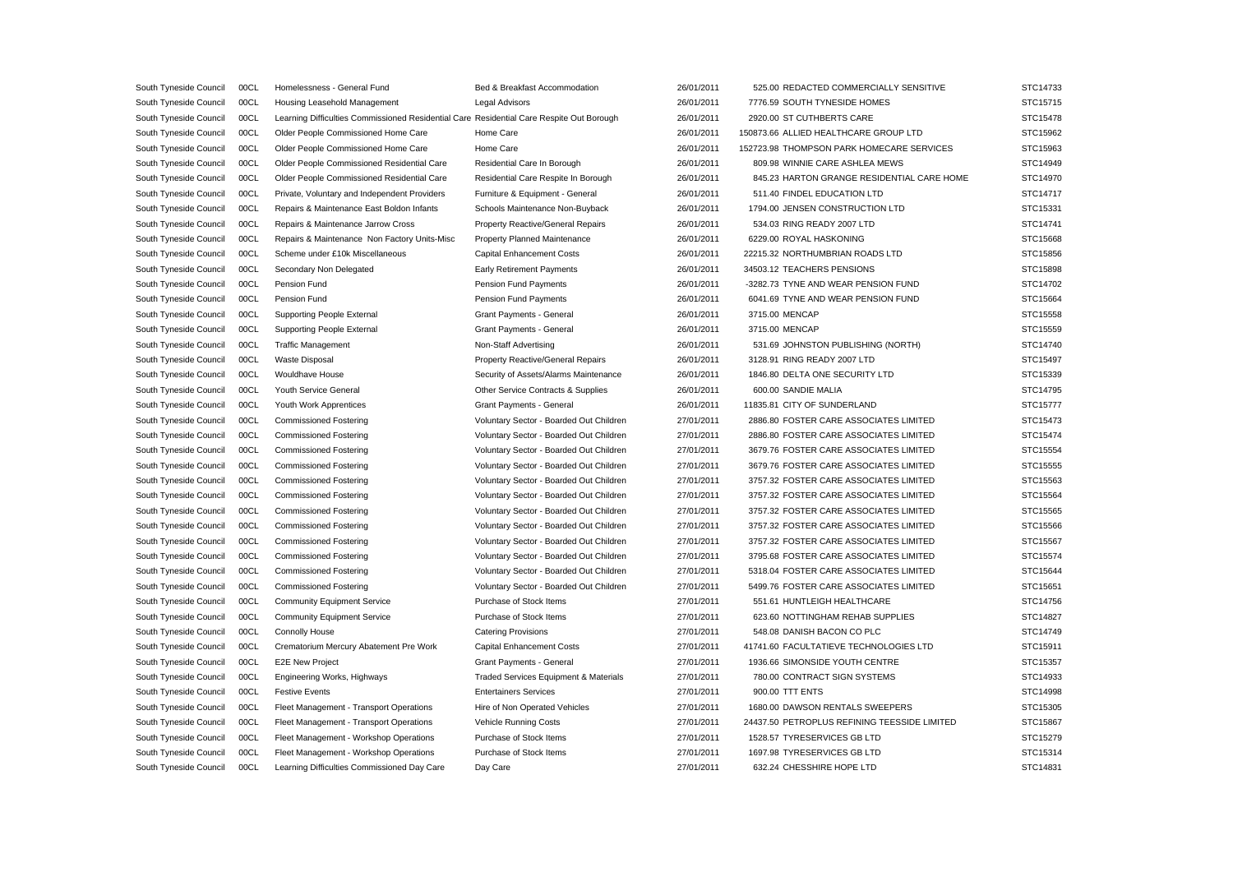| South Tyneside Council | 00CL | Homelessness - General Fund                                                              | Bed & Breakfast Accommodation            | 26/01/2011 | 525.00 REDACTED COMMERCIALLY SENSITIVE       | STC14733 |
|------------------------|------|------------------------------------------------------------------------------------------|------------------------------------------|------------|----------------------------------------------|----------|
| South Tyneside Council | 00CL | Housing Leasehold Management                                                             | <b>Legal Advisors</b>                    | 26/01/2011 | 7776.59 SOUTH TYNESIDE HOMES                 | STC15715 |
| South Tyneside Council | 00CL | Learning Difficulties Commissioned Residential Care Residential Care Respite Out Borough |                                          | 26/01/2011 | 2920.00 ST CUTHBERTS CARE                    | STC15478 |
| South Tyneside Council | 00CL | Older People Commissioned Home Care                                                      | Home Care                                | 26/01/2011 | 150873.66 ALLIED HEALTHCARE GROUP LTD        | STC15962 |
| South Tyneside Council | 00CL | Older People Commissioned Home Care                                                      | Home Care                                | 26/01/2011 | 152723.98 THOMPSON PARK HOMECARE SERVICES    | STC15963 |
| South Tyneside Council | 00CL | Older People Commissioned Residential Care                                               | Residential Care In Borough              | 26/01/2011 | 809.98 WINNIE CARE ASHLEA MEWS               | STC14949 |
| South Tyneside Council | 00CL | Older People Commissioned Residential Care                                               | Residential Care Respite In Borough      | 26/01/2011 | 845.23 HARTON GRANGE RESIDENTIAL CARE HOME   | STC14970 |
| South Tyneside Council | 00CL | Private, Voluntary and Independent Providers                                             | Furniture & Equipment - General          | 26/01/2011 | 511.40 FINDEL EDUCATION LTD                  | STC14717 |
| South Tyneside Council | 00CL | Repairs & Maintenance East Boldon Infants                                                | Schools Maintenance Non-Buyback          | 26/01/2011 | 1794.00 JENSEN CONSTRUCTION LTD              | STC15331 |
| South Tyneside Council | 00CL | Repairs & Maintenance Jarrow Cross                                                       | <b>Property Reactive/General Repairs</b> | 26/01/2011 | 534.03 RING READY 2007 LTD                   | STC14741 |
| South Tyneside Council | 00CL | Repairs & Maintenance Non Factory Units-Misc                                             | Property Planned Maintenance             | 26/01/2011 | 6229.00 ROYAL HASKONING                      | STC15668 |
| South Tyneside Council | 00CL | Scheme under £10k Miscellaneous                                                          | <b>Capital Enhancement Costs</b>         | 26/01/2011 | 22215.32 NORTHUMBRIAN ROADS LTD              | STC15856 |
| South Tyneside Council | 00CL | Secondary Non Delegated                                                                  | <b>Early Retirement Payments</b>         | 26/01/2011 | 34503.12 TEACHERS PENSIONS                   | STC15898 |
| South Tyneside Council | 00CL | Pension Fund                                                                             | Pension Fund Payments                    | 26/01/2011 | -3282.73 TYNE AND WEAR PENSION FUND          | STC14702 |
| South Tyneside Council | 00CL | Pension Fund                                                                             | Pension Fund Payments                    | 26/01/2011 | 6041.69 TYNE AND WEAR PENSION FUND           | STC15664 |
| South Tyneside Council | 00CL | <b>Supporting People External</b>                                                        | Grant Payments - General                 | 26/01/2011 | 3715.00 MENCAP                               | STC15558 |
| South Tyneside Council | 00CL | <b>Supporting People External</b>                                                        | Grant Payments - General                 | 26/01/2011 | 3715.00 MENCAP                               | STC15559 |
| South Tyneside Council | 00CL | <b>Traffic Management</b>                                                                | Non-Staff Advertising                    | 26/01/2011 | 531.69 JOHNSTON PUBLISHING (NORTH)           | STC14740 |
| South Tyneside Council | 00CL | Waste Disposal                                                                           | Property Reactive/General Repairs        | 26/01/2011 | 3128.91 RING READY 2007 LTD                  | STC15497 |
| South Tyneside Council | 00CL | Wouldhave House                                                                          | Security of Assets/Alarms Maintenance    | 26/01/2011 | 1846.80 DELTA ONE SECURITY LTD               | STC15339 |
| South Tyneside Council | 00CL | Youth Service General                                                                    | Other Service Contracts & Supplies       | 26/01/2011 | 600.00 SANDIE MALIA                          | STC14795 |
| South Tyneside Council | 00CL | Youth Work Apprentices                                                                   | Grant Payments - General                 | 26/01/2011 | 11835.81 CITY OF SUNDERLAND                  | STC15777 |
| South Tyneside Council | 00CL | <b>Commissioned Fostering</b>                                                            | Voluntary Sector - Boarded Out Children  | 27/01/2011 | 2886.80 FOSTER CARE ASSOCIATES LIMITED       | STC15473 |
| South Tyneside Council | 00CL | <b>Commissioned Fostering</b>                                                            | Voluntary Sector - Boarded Out Children  | 27/01/2011 | 2886.80 FOSTER CARE ASSOCIATES LIMITED       | STC15474 |
| South Tyneside Council | 00CL | <b>Commissioned Fostering</b>                                                            | Voluntary Sector - Boarded Out Children  | 27/01/2011 | 3679.76 FOSTER CARE ASSOCIATES LIMITED       | STC15554 |
| South Tyneside Council | 00CL | <b>Commissioned Fostering</b>                                                            | Voluntary Sector - Boarded Out Children  | 27/01/2011 | 3679.76 FOSTER CARE ASSOCIATES LIMITED       | STC15555 |
| South Tyneside Council | 00CL | <b>Commissioned Fostering</b>                                                            | Voluntary Sector - Boarded Out Children  | 27/01/2011 | 3757.32 FOSTER CARE ASSOCIATES LIMITED       | STC15563 |
| South Tyneside Council | 00CL | <b>Commissioned Fostering</b>                                                            | Voluntary Sector - Boarded Out Children  | 27/01/2011 | 3757.32 FOSTER CARE ASSOCIATES LIMITED       | STC15564 |
| South Tyneside Council | 00CL | <b>Commissioned Fostering</b>                                                            | Voluntary Sector - Boarded Out Children  | 27/01/2011 | 3757.32 FOSTER CARE ASSOCIATES LIMITED       | STC15565 |
| South Tyneside Council | 00CL | <b>Commissioned Fostering</b>                                                            | Voluntary Sector - Boarded Out Children  | 27/01/2011 | 3757.32 FOSTER CARE ASSOCIATES LIMITED       | STC15566 |
| South Tyneside Council | 00CL | <b>Commissioned Fostering</b>                                                            | Voluntary Sector - Boarded Out Children  | 27/01/2011 | 3757.32 FOSTER CARE ASSOCIATES LIMITED       | STC15567 |
| South Tyneside Council | 00CL | <b>Commissioned Fostering</b>                                                            | Voluntary Sector - Boarded Out Children  | 27/01/2011 | 3795.68 FOSTER CARE ASSOCIATES LIMITED       | STC15574 |
| South Tyneside Council | 00CL | <b>Commissioned Fostering</b>                                                            | Voluntary Sector - Boarded Out Children  | 27/01/2011 | 5318.04 FOSTER CARE ASSOCIATES LIMITED       | STC15644 |
| South Tyneside Council | 00CL | <b>Commissioned Fostering</b>                                                            | Voluntary Sector - Boarded Out Children  | 27/01/2011 | 5499.76 FOSTER CARE ASSOCIATES LIMITED       | STC15651 |
| South Tyneside Council | 00CL | <b>Community Equipment Service</b>                                                       | Purchase of Stock Items                  | 27/01/2011 | 551.61 HUNTLEIGH HEALTHCARE                  | STC14756 |
| South Tyneside Council | 00CL | <b>Community Equipment Service</b>                                                       | Purchase of Stock Items                  | 27/01/2011 | 623.60 NOTTINGHAM REHAB SUPPLIES             | STC14827 |
| South Tyneside Council | 00CL | <b>Connolly House</b>                                                                    | <b>Catering Provisions</b>               | 27/01/2011 | 548.08 DANISH BACON CO PLC                   | STC14749 |
| South Tyneside Council | 00CL | Crematorium Mercury Abatement Pre Work                                                   | Capital Enhancement Costs                | 27/01/2011 | 41741.60 FACULTATIEVE TECHNOLOGIES LTD       | STC15911 |
| South Tyneside Council | 00CL | <b>E2E New Project</b>                                                                   | Grant Payments - General                 | 27/01/2011 | 1936.66 SIMONSIDE YOUTH CENTRE               | STC15357 |
| South Tyneside Council | 00CL | Engineering Works, Highways                                                              | Traded Services Equipment & Materials    | 27/01/2011 | 780.00 CONTRACT SIGN SYSTEMS                 | STC14933 |
| South Tyneside Council | 00CL | <b>Festive Events</b>                                                                    | <b>Entertainers Services</b>             | 27/01/2011 | 900.00 TTT ENTS                              | STC14998 |
| South Tyneside Council | 00CL | Fleet Management - Transport Operations                                                  | Hire of Non Operated Vehicles            | 27/01/2011 | 1680.00 DAWSON RENTALS SWEEPERS              | STC15305 |
| South Tyneside Council | 00CL | Fleet Management - Transport Operations                                                  | Vehicle Running Costs                    | 27/01/2011 | 24437.50 PETROPLUS REFINING TEESSIDE LIMITED | STC15867 |
| South Tyneside Council | 00CL | Fleet Management - Workshop Operations                                                   | Purchase of Stock Items                  | 27/01/2011 | 1528.57 TYRESERVICES GB LTD                  | STC15279 |
| South Tyneside Council | 00CL | Fleet Management - Workshop Operations                                                   | Purchase of Stock Items                  | 27/01/2011 | 1697.98 TYRESERVICES GB LTD                  | STC15314 |
| South Tyneside Council | 00CL | Learning Difficulties Commissioned Day Care                                              | Day Care                                 | 27/01/2011 | 632.24 CHESSHIRE HOPE LTD                    | STC14831 |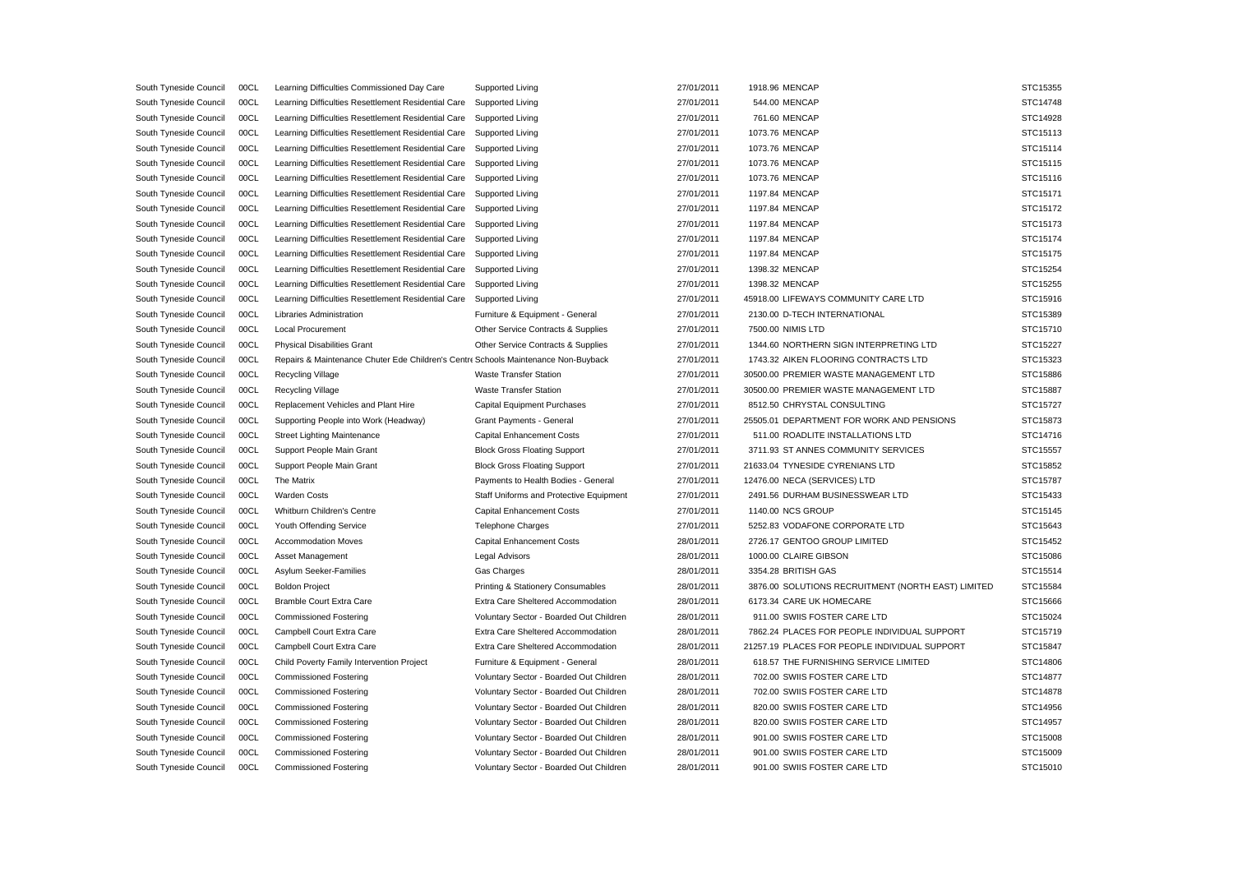| South Tyneside Council | 00CL | Learning Difficulties Commissioned Day Care                                        | Supported Living                        | 27/01/2011 | 1918.96 MENCAP                                     | STC15355 |
|------------------------|------|------------------------------------------------------------------------------------|-----------------------------------------|------------|----------------------------------------------------|----------|
| South Tyneside Council | 00CL | Learning Difficulties Resettlement Residential Care                                | Supported Living                        | 27/01/2011 | 544.00 MENCAP                                      | STC14748 |
| South Tyneside Council | 00CL | Learning Difficulties Resettlement Residential Care                                | Supported Living                        | 27/01/2011 | 761.60 MENCAP                                      | STC14928 |
| South Tyneside Council | 00CL | Learning Difficulties Resettlement Residential Care                                | Supported Living                        | 27/01/2011 | 1073.76 MENCAP                                     | STC15113 |
| South Tyneside Council | 00CL | Learning Difficulties Resettlement Residential Care                                | Supported Living                        | 27/01/2011 | 1073.76 MENCAP                                     | STC15114 |
| South Tyneside Council | 00CL | Learning Difficulties Resettlement Residential Care                                | Supported Living                        | 27/01/2011 | 1073.76 MENCAP                                     | STC15115 |
| South Tyneside Council | 00CL | Learning Difficulties Resettlement Residential Care                                | Supported Living                        | 27/01/2011 | 1073.76 MENCAP                                     | STC15116 |
| South Tyneside Council | 00CL | Learning Difficulties Resettlement Residential Care                                | Supported Living                        | 27/01/2011 | 1197.84 MENCAP                                     | STC15171 |
| South Tyneside Council | 00CL | Learning Difficulties Resettlement Residential Care                                | Supported Living                        | 27/01/2011 | 1197.84 MENCAP                                     | STC15172 |
| South Tyneside Council | 00CL | Learning Difficulties Resettlement Residential Care                                | Supported Living                        | 27/01/2011 | 1197.84 MENCAP                                     | STC15173 |
| South Tyneside Council | 00CL | Learning Difficulties Resettlement Residential Care                                | Supported Living                        | 27/01/2011 | 1197.84 MENCAP                                     | STC15174 |
| South Tyneside Council | 00CL | Learning Difficulties Resettlement Residential Care                                | Supported Living                        | 27/01/2011 | 1197.84 MENCAP                                     | STC15175 |
| South Tyneside Council | 00CL | Learning Difficulties Resettlement Residential Care                                | Supported Living                        | 27/01/2011 | 1398.32 MENCAP                                     | STC15254 |
| South Tyneside Council | 00CL | Learning Difficulties Resettlement Residential Care                                | Supported Living                        | 27/01/2011 | 1398.32 MENCAP                                     | STC15255 |
| South Tyneside Council | 00CL | Learning Difficulties Resettlement Residential Care                                | Supported Living                        | 27/01/2011 | 45918.00 LIFEWAYS COMMUNITY CARE LTD               | STC15916 |
| South Tyneside Council | 00CL | Libraries Administration                                                           | Furniture & Equipment - General         | 27/01/2011 | 2130.00 D-TECH INTERNATIONAL                       | STC15389 |
| South Tyneside Council | 00CL | <b>Local Procurement</b>                                                           | Other Service Contracts & Supplies      | 27/01/2011 | 7500.00 NIMIS LTD                                  | STC15710 |
| South Tyneside Council | 00CL | <b>Physical Disabilities Grant</b>                                                 | Other Service Contracts & Supplies      | 27/01/2011 | 1344.60 NORTHERN SIGN INTERPRETING LTD             | STC15227 |
| South Tyneside Council | 00CL | Repairs & Maintenance Chuter Ede Children's Centre Schools Maintenance Non-Buyback |                                         | 27/01/2011 | 1743.32 AIKEN FLOORING CONTRACTS LTD               | STC15323 |
| South Tyneside Council | 00CL | <b>Recycling Village</b>                                                           | <b>Waste Transfer Station</b>           | 27/01/2011 | 30500.00 PREMIER WASTE MANAGEMENT LTD              | STC15886 |
| South Tyneside Council | 00CL | Recycling Village                                                                  | <b>Waste Transfer Station</b>           | 27/01/2011 | 30500.00 PREMIER WASTE MANAGEMENT LTD              | STC15887 |
| South Tyneside Council | 00CL | Replacement Vehicles and Plant Hire                                                | Capital Equipment Purchases             | 27/01/2011 | 8512.50 CHRYSTAL CONSULTING                        | STC15727 |
| South Tyneside Council | 00CL | Supporting People into Work (Headway)                                              | Grant Payments - General                | 27/01/2011 | 25505.01 DEPARTMENT FOR WORK AND PENSIONS          | STC15873 |
| South Tyneside Council | 00CL | <b>Street Lighting Maintenance</b>                                                 | <b>Capital Enhancement Costs</b>        | 27/01/2011 | 511.00 ROADLITE INSTALLATIONS LTD                  | STC14716 |
| South Tyneside Council | 00CL | Support People Main Grant                                                          | <b>Block Gross Floating Support</b>     | 27/01/2011 | 3711.93 ST ANNES COMMUNITY SERVICES                | STC15557 |
| South Tyneside Council | 00CL | Support People Main Grant                                                          | <b>Block Gross Floating Support</b>     | 27/01/2011 | 21633.04 TYNESIDE CYRENIANS LTD                    | STC15852 |
| South Tyneside Council | 00CL | The Matrix                                                                         | Payments to Health Bodies - General     | 27/01/2011 | 12476.00 NECA (SERVICES) LTD                       | STC15787 |
| South Tyneside Council | 00CL | <b>Warden Costs</b>                                                                | Staff Uniforms and Protective Equipment | 27/01/2011 | 2491.56 DURHAM BUSINESSWEAR LTD                    | STC15433 |
| South Tyneside Council | 00CL | Whitburn Children's Centre                                                         | <b>Capital Enhancement Costs</b>        | 27/01/2011 | 1140.00 NCS GROUP                                  | STC15145 |
| South Tyneside Council | 00CL | Youth Offending Service                                                            | <b>Telephone Charges</b>                | 27/01/2011 | 5252.83 VODAFONE CORPORATE LTD                     | STC15643 |
| South Tyneside Council | 00CL | <b>Accommodation Moves</b>                                                         | <b>Capital Enhancement Costs</b>        | 28/01/2011 | 2726.17 GENTOO GROUP LIMITED                       | STC15452 |
| South Tyneside Council | 00CL | Asset Management                                                                   | Legal Advisors                          | 28/01/2011 | 1000.00 CLAIRE GIBSON                              | STC15086 |
| South Tyneside Council | 00CL | Asylum Seeker-Families                                                             | Gas Charges                             | 28/01/2011 | 3354.28 BRITISH GAS                                | STC15514 |
| South Tyneside Council | 00CL | <b>Boldon Project</b>                                                              | Printing & Stationery Consumables       | 28/01/2011 | 3876.00 SOLUTIONS RECRUITMENT (NORTH EAST) LIMITED | STC15584 |
| South Tyneside Council | 00CL | <b>Bramble Court Extra Care</b>                                                    | Extra Care Sheltered Accommodation      | 28/01/2011 | 6173.34 CARE UK HOMECARE                           | STC15666 |
| South Tyneside Council | 00CL | <b>Commissioned Fostering</b>                                                      | Voluntary Sector - Boarded Out Children | 28/01/2011 | 911.00 SWIIS FOSTER CARE LTD                       | STC15024 |
| South Tyneside Council | 00CL | Campbell Court Extra Care                                                          | Extra Care Sheltered Accommodation      | 28/01/2011 | 7862.24 PLACES FOR PEOPLE INDIVIDUAL SUPPORT       | STC15719 |
| South Tyneside Council | 00CL | Campbell Court Extra Care                                                          | Extra Care Sheltered Accommodation      | 28/01/2011 | 21257.19 PLACES FOR PEOPLE INDIVIDUAL SUPPORT      | STC15847 |
| South Tyneside Council | 00CL | Child Poverty Family Intervention Project                                          | Furniture & Equipment - General         | 28/01/2011 | 618.57 THE FURNISHING SERVICE LIMITED              | STC14806 |
| South Tyneside Council | 00CL | <b>Commissioned Fostering</b>                                                      | Voluntary Sector - Boarded Out Children | 28/01/2011 | 702.00 SWIIS FOSTER CARE LTD                       | STC14877 |
| South Tyneside Council | 00CL | <b>Commissioned Fostering</b>                                                      | Voluntary Sector - Boarded Out Children | 28/01/2011 | 702.00 SWIIS FOSTER CARE LTD                       | STC14878 |
| South Tyneside Council | 00CL | <b>Commissioned Fostering</b>                                                      | Voluntary Sector - Boarded Out Children | 28/01/2011 | 820.00 SWIIS FOSTER CARE LTD                       | STC14956 |
| South Tyneside Council | 00CL | <b>Commissioned Fostering</b>                                                      | Voluntary Sector - Boarded Out Children | 28/01/2011 | 820.00 SWIIS FOSTER CARE LTD                       | STC14957 |
| South Tyneside Council | 00CL | <b>Commissioned Fostering</b>                                                      | Voluntary Sector - Boarded Out Children | 28/01/2011 | 901.00 SWIIS FOSTER CARE LTD                       | STC15008 |
|                        | 00CL |                                                                                    |                                         | 28/01/2011 | 901.00 SWIIS FOSTER CARE LTD                       | STC15009 |
| South Tyneside Council |      | <b>Commissioned Fostering</b>                                                      | Voluntary Sector - Boarded Out Children |            |                                                    |          |
| South Tyneside Council | 00CL | <b>Commissioned Fostering</b>                                                      | Voluntary Sector - Boarded Out Children | 28/01/2011 | 901.00 SWIIS FOSTER CARE LTD                       | STC15010 |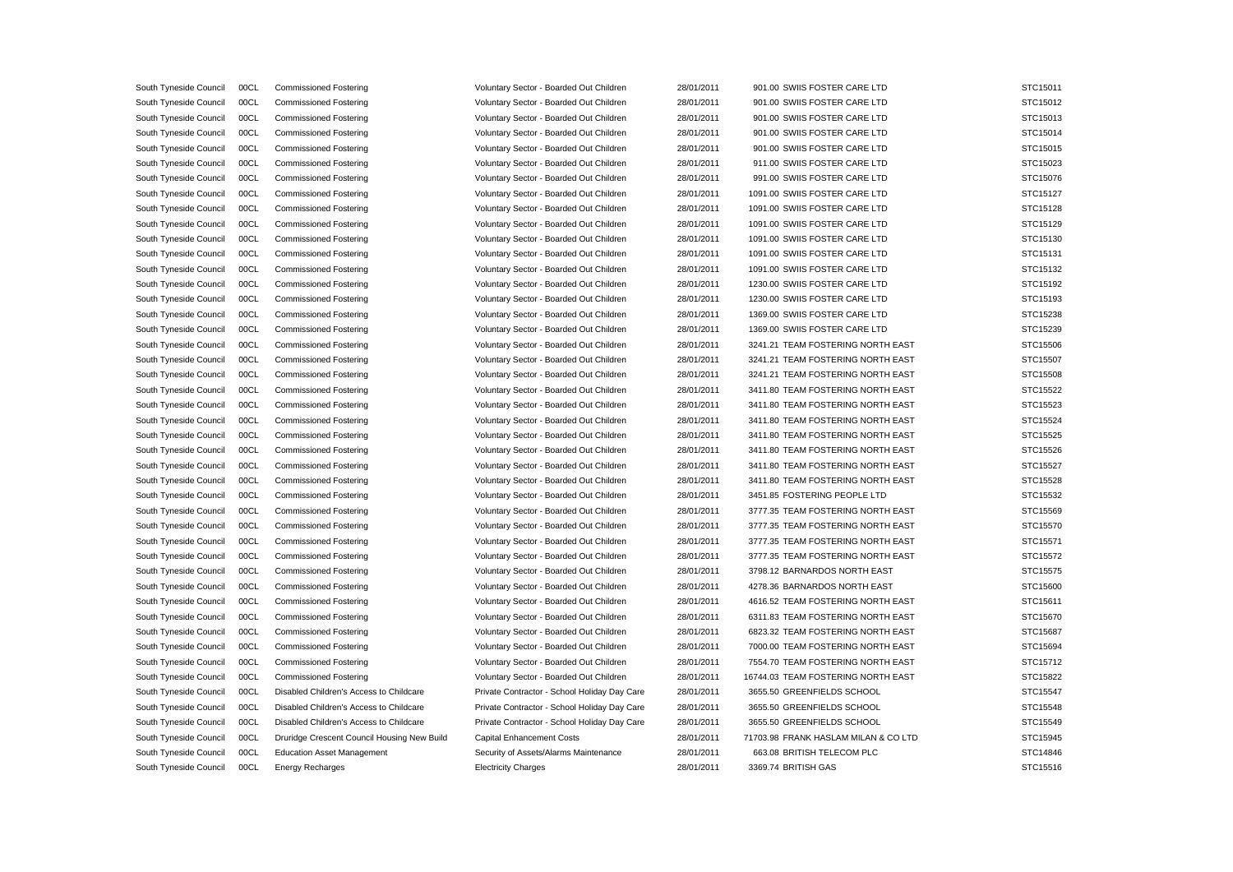| South Tyneside Council | 00CL | <b>Commissioned Fostering</b>               | Voluntary Sector - Boarded Out Children      | 28/01/2011 | 901.00 SWIIS FOSTER CARE LTD         | STC15011 |
|------------------------|------|---------------------------------------------|----------------------------------------------|------------|--------------------------------------|----------|
| South Tyneside Council | 00CL | <b>Commissioned Fostering</b>               | Voluntary Sector - Boarded Out Children      | 28/01/2011 | 901.00 SWIIS FOSTER CARE LTD         | STC15012 |
| South Tyneside Council | 00CL | <b>Commissioned Fostering</b>               | Voluntary Sector - Boarded Out Children      | 28/01/2011 | 901.00 SWIIS FOSTER CARE LTD         | STC15013 |
| South Tyneside Council | 00CL | <b>Commissioned Fostering</b>               | Voluntary Sector - Boarded Out Children      | 28/01/2011 | 901.00 SWIIS FOSTER CARE LTD         | STC15014 |
| South Tyneside Council | 00CL | <b>Commissioned Fostering</b>               | Voluntary Sector - Boarded Out Children      | 28/01/2011 | 901.00 SWIIS FOSTER CARE LTD         | STC15015 |
| South Tyneside Council | 00CL | <b>Commissioned Fostering</b>               | Voluntary Sector - Boarded Out Children      | 28/01/2011 | 911.00 SWIIS FOSTER CARE LTD         | STC15023 |
| South Tyneside Council | 00CL | <b>Commissioned Fostering</b>               | Voluntary Sector - Boarded Out Children      | 28/01/2011 | 991.00 SWIIS FOSTER CARE LTD         | STC15076 |
| South Tyneside Council | 00CL | <b>Commissioned Fostering</b>               | Voluntary Sector - Boarded Out Children      | 28/01/2011 | 1091.00 SWIIS FOSTER CARE LTD        | STC15127 |
| South Tyneside Council | 00CL | <b>Commissioned Fostering</b>               | Voluntary Sector - Boarded Out Children      | 28/01/2011 | 1091.00 SWIIS FOSTER CARE LTD        | STC15128 |
| South Tyneside Council | 00CL | <b>Commissioned Fostering</b>               | Voluntary Sector - Boarded Out Children      | 28/01/2011 | 1091.00 SWIIS FOSTER CARE LTD        | STC15129 |
| South Tyneside Council | 00CL | <b>Commissioned Fostering</b>               | Voluntary Sector - Boarded Out Children      | 28/01/2011 | 1091.00 SWIIS FOSTER CARE LTD        | STC15130 |
| South Tyneside Council | 00CL | <b>Commissioned Fostering</b>               | Voluntary Sector - Boarded Out Children      | 28/01/2011 | 1091.00 SWIIS FOSTER CARE LTD        | STC15131 |
| South Tyneside Council | 00CL | <b>Commissioned Fostering</b>               | Voluntary Sector - Boarded Out Children      | 28/01/2011 | 1091.00 SWIIS FOSTER CARE LTD        | STC15132 |
| South Tyneside Council | 00CL | <b>Commissioned Fostering</b>               | Voluntary Sector - Boarded Out Children      | 28/01/2011 | 1230.00 SWIIS FOSTER CARE LTD        | STC15192 |
| South Tyneside Council | 00CL | <b>Commissioned Fostering</b>               | Voluntary Sector - Boarded Out Children      | 28/01/2011 | 1230.00 SWIIS FOSTER CARE LTD        | STC15193 |
| South Tyneside Council | 00CL | <b>Commissioned Fostering</b>               | Voluntary Sector - Boarded Out Children      | 28/01/2011 | 1369.00 SWIIS FOSTER CARE LTD        | STC15238 |
| South Tyneside Council | 00CL | <b>Commissioned Fostering</b>               | Voluntary Sector - Boarded Out Children      | 28/01/2011 | 1369.00 SWIIS FOSTER CARE LTD        | STC15239 |
| South Tyneside Council | 00CL | <b>Commissioned Fostering</b>               | Voluntary Sector - Boarded Out Children      | 28/01/2011 | 3241.21 TEAM FOSTERING NORTH EAST    | STC15506 |
| South Tyneside Council | 00CL | <b>Commissioned Fostering</b>               | Voluntary Sector - Boarded Out Children      | 28/01/2011 | 3241.21 TEAM FOSTERING NORTH EAST    | STC15507 |
| South Tyneside Council | 00CL | <b>Commissioned Fostering</b>               | Voluntary Sector - Boarded Out Children      | 28/01/2011 | 3241.21 TEAM FOSTERING NORTH EAST    | STC15508 |
| South Tyneside Council | 00CL | <b>Commissioned Fostering</b>               | Voluntary Sector - Boarded Out Children      | 28/01/2011 | 3411.80 TEAM FOSTERING NORTH EAST    | STC15522 |
| South Tyneside Council | 00CL | <b>Commissioned Fostering</b>               | Voluntary Sector - Boarded Out Children      | 28/01/2011 | 3411.80 TEAM FOSTERING NORTH EAST    | STC15523 |
| South Tyneside Council | 00CL | <b>Commissioned Fostering</b>               | Voluntary Sector - Boarded Out Children      | 28/01/2011 | 3411.80 TEAM FOSTERING NORTH EAST    | STC15524 |
| South Tyneside Council | 00CL | <b>Commissioned Fostering</b>               | Voluntary Sector - Boarded Out Children      | 28/01/2011 | 3411.80 TEAM FOSTERING NORTH EAST    | STC15525 |
| South Tyneside Council | 00CL | <b>Commissioned Fostering</b>               | Voluntary Sector - Boarded Out Children      | 28/01/2011 | 3411.80 TEAM FOSTERING NORTH EAST    | STC15526 |
| South Tyneside Council | 00CL | <b>Commissioned Fostering</b>               | Voluntary Sector - Boarded Out Children      | 28/01/2011 | 3411.80 TEAM FOSTERING NORTH EAST    | STC15527 |
| South Tyneside Council | 00CL | <b>Commissioned Fostering</b>               | Voluntary Sector - Boarded Out Children      | 28/01/2011 | 3411.80 TEAM FOSTERING NORTH EAST    | STC15528 |
| South Tyneside Council | 00CL | <b>Commissioned Fostering</b>               | Voluntary Sector - Boarded Out Children      | 28/01/2011 | 3451.85 FOSTERING PEOPLE LTD         | STC15532 |
| South Tyneside Council | 00CL | <b>Commissioned Fostering</b>               | Voluntary Sector - Boarded Out Children      | 28/01/2011 | 3777.35 TEAM FOSTERING NORTH EAST    | STC15569 |
| South Tyneside Council | 00CL | <b>Commissioned Fostering</b>               | Voluntary Sector - Boarded Out Children      | 28/01/2011 | 3777.35 TEAM FOSTERING NORTH EAST    | STC15570 |
| South Tyneside Council | 00CL | <b>Commissioned Fostering</b>               | Voluntary Sector - Boarded Out Children      | 28/01/2011 | 3777.35 TEAM FOSTERING NORTH EAST    | STC15571 |
| South Tyneside Council | 00CL | <b>Commissioned Fostering</b>               | Voluntary Sector - Boarded Out Children      | 28/01/2011 | 3777.35 TEAM FOSTERING NORTH EAST    | STC15572 |
| South Tyneside Council | 00CL | <b>Commissioned Fostering</b>               | Voluntary Sector - Boarded Out Children      | 28/01/2011 | 3798.12 BARNARDOS NORTH EAST         | STC15575 |
| South Tyneside Council | 00CL | <b>Commissioned Fostering</b>               | Voluntary Sector - Boarded Out Children      | 28/01/2011 | 4278.36 BARNARDOS NORTH EAST         | STC15600 |
| South Tyneside Council | 00CL | <b>Commissioned Fostering</b>               | Voluntary Sector - Boarded Out Children      | 28/01/2011 | 4616.52 TEAM FOSTERING NORTH EAST    | STC15611 |
| South Tyneside Council | 00CL | <b>Commissioned Fostering</b>               | Voluntary Sector - Boarded Out Children      | 28/01/2011 | 6311.83 TEAM FOSTERING NORTH EAST    | STC15670 |
| South Tyneside Council | 00CL | <b>Commissioned Fostering</b>               | Voluntary Sector - Boarded Out Children      | 28/01/2011 | 6823.32 TEAM FOSTERING NORTH EAST    | STC15687 |
| South Tyneside Council | 00CL | <b>Commissioned Fostering</b>               | Voluntary Sector - Boarded Out Children      | 28/01/2011 | 7000.00 TEAM FOSTERING NORTH EAST    | STC15694 |
| South Tyneside Council | 00CL | <b>Commissioned Fostering</b>               | Voluntary Sector - Boarded Out Children      | 28/01/2011 | 7554.70 TEAM FOSTERING NORTH EAST    | STC15712 |
| South Tyneside Council | 00CL | <b>Commissioned Fostering</b>               | Voluntary Sector - Boarded Out Children      | 28/01/2011 | 16744.03 TEAM FOSTERING NORTH EAST   | STC15822 |
| South Tyneside Council | 00CL | Disabled Children's Access to Childcare     | Private Contractor - School Holiday Day Care | 28/01/2011 | 3655.50 GREENFIELDS SCHOOL           | STC15547 |
| South Tyneside Council | 00CL | Disabled Children's Access to Childcare     | Private Contractor - School Holiday Day Care | 28/01/2011 | 3655.50 GREENFIELDS SCHOOL           | STC15548 |
| South Tyneside Council | 00CL | Disabled Children's Access to Childcare     | Private Contractor - School Holiday Day Care | 28/01/2011 | 3655.50 GREENFIELDS SCHOOL           | STC15549 |
| South Tyneside Council | 00CL | Druridge Crescent Council Housing New Build | Capital Enhancement Costs                    | 28/01/2011 | 71703.98 FRANK HASLAM MILAN & CO LTD | STC15945 |
| South Tyneside Council | 00CL | <b>Education Asset Management</b>           | Security of Assets/Alarms Maintenance        | 28/01/2011 | 663.08 BRITISH TELECOM PLC           | STC14846 |
| South Tyneside Council | 00CL | <b>Energy Recharges</b>                     | <b>Electricity Charges</b>                   | 28/01/2011 | 3369.74 BRITISH GAS                  | STC15516 |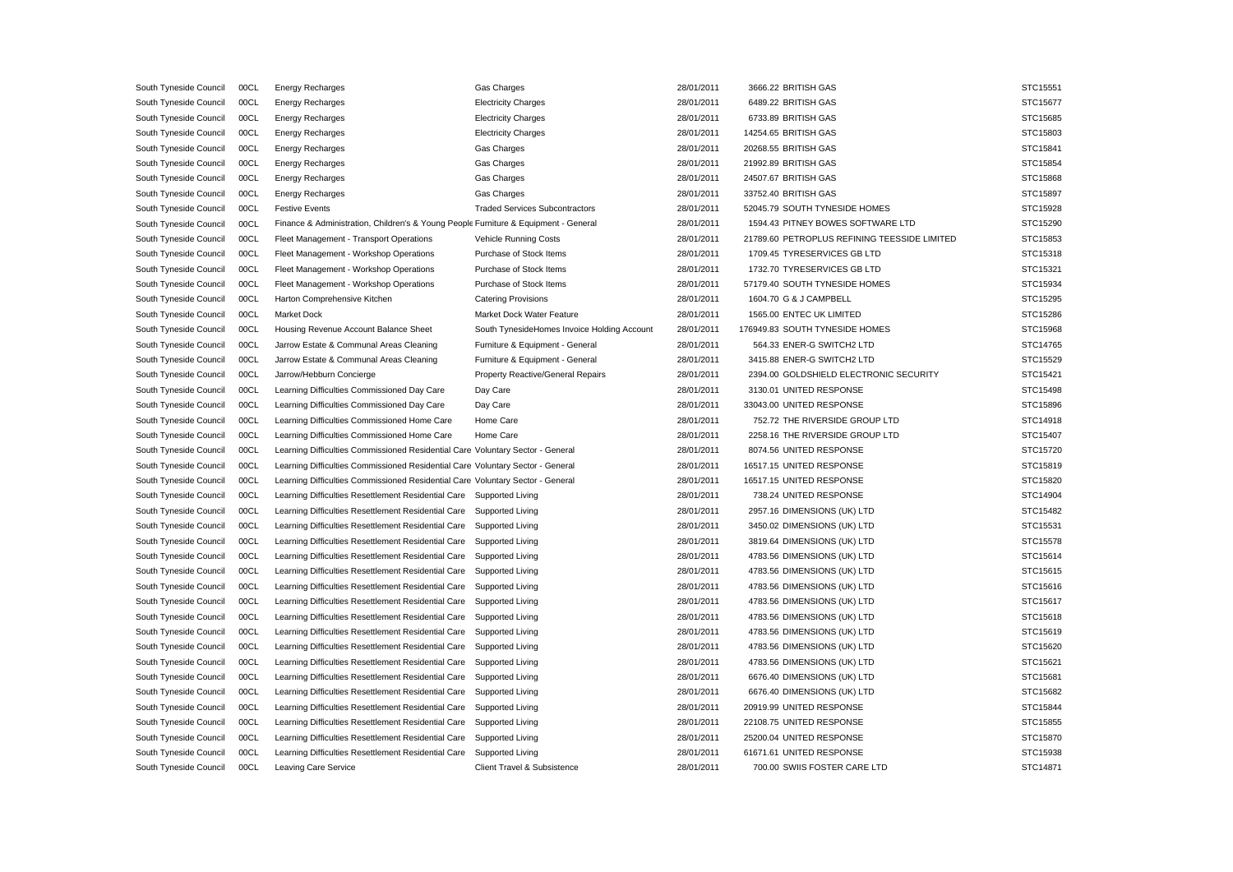| South Tyneside Council                           | 00CL | <b>Energy Recharges</b>                                                                                    | Gas Charges                                 | 28/01/2011 | 3666.22 BRITISH GAS                          | STC15551 |
|--------------------------------------------------|------|------------------------------------------------------------------------------------------------------------|---------------------------------------------|------------|----------------------------------------------|----------|
| South Tyneside Council                           | 00CL | <b>Energy Recharges</b>                                                                                    | <b>Electricity Charges</b>                  | 28/01/2011 | 6489.22 BRITISH GAS                          | STC15677 |
| South Tyneside Council                           | 00CL | <b>Energy Recharges</b>                                                                                    | <b>Electricity Charges</b>                  | 28/01/2011 | 6733.89 BRITISH GAS                          | STC15685 |
| South Tyneside Council                           | 00CL | <b>Energy Recharges</b>                                                                                    | <b>Electricity Charges</b>                  | 28/01/2011 | 14254.65 BRITISH GAS                         | STC15803 |
| South Tyneside Council                           | 00CL | <b>Energy Recharges</b>                                                                                    | Gas Charges                                 | 28/01/2011 | 20268.55 BRITISH GAS                         | STC15841 |
| South Tyneside Council                           | 00CL | <b>Energy Recharges</b>                                                                                    | Gas Charges                                 | 28/01/2011 | 21992.89 BRITISH GAS                         | STC15854 |
| South Tyneside Council                           | 00CL | <b>Energy Recharges</b>                                                                                    | Gas Charges                                 | 28/01/2011 | 24507.67 BRITISH GAS                         | STC15868 |
| South Tyneside Council                           | 00CL | <b>Energy Recharges</b>                                                                                    | Gas Charges                                 | 28/01/2011 | 33752.40 BRITISH GAS                         | STC15897 |
| South Tyneside Council                           | 00CL | <b>Festive Events</b>                                                                                      | <b>Traded Services Subcontractors</b>       | 28/01/2011 | 52045.79 SOUTH TYNESIDE HOMES                | STC15928 |
| South Tyneside Council                           | 00CL | Finance & Administration, Children's & Young People Furniture & Equipment - General                        |                                             | 28/01/2011 | 1594.43 PITNEY BOWES SOFTWARE LTD            | STC15290 |
| South Tyneside Council                           | 00CL | Fleet Management - Transport Operations                                                                    | Vehicle Running Costs                       | 28/01/2011 | 21789.60 PETROPLUS REFINING TEESSIDE LIMITED | STC15853 |
| South Tyneside Council                           | 00CL | Fleet Management - Workshop Operations                                                                     | Purchase of Stock Items                     | 28/01/2011 | 1709.45 TYRESERVICES GB LTD                  | STC15318 |
| South Tyneside Council                           | 00CL | Fleet Management - Workshop Operations                                                                     | Purchase of Stock Items                     | 28/01/2011 | 1732.70 TYRESERVICES GB LTD                  | STC15321 |
| South Tyneside Council                           | 00CL | Fleet Management - Workshop Operations                                                                     | Purchase of Stock Items                     | 28/01/2011 | 57179.40 SOUTH TYNESIDE HOMES                | STC15934 |
| South Tyneside Council                           | 00CL | Harton Comprehensive Kitchen                                                                               | <b>Catering Provisions</b>                  | 28/01/2011 | 1604.70 G & J CAMPBELL                       | STC15295 |
| South Tyneside Council                           | 00CL | <b>Market Dock</b>                                                                                         | Market Dock Water Feature                   | 28/01/2011 | 1565.00 ENTEC UK LIMITED                     | STC15286 |
| South Tyneside Council                           | 00CL | Housing Revenue Account Balance Sheet                                                                      | South TynesideHomes Invoice Holding Account | 28/01/2011 | 176949.83 SOUTH TYNESIDE HOMES               | STC15968 |
| South Tyneside Council                           | 00CL | Jarrow Estate & Communal Areas Cleaning                                                                    | Furniture & Equipment - General             | 28/01/2011 | 564.33 ENER-G SWITCH2 LTD                    | STC14765 |
| South Tyneside Council                           | 00CL | Jarrow Estate & Communal Areas Cleaning                                                                    | Furniture & Equipment - General             | 28/01/2011 | 3415.88 ENER-G SWITCH2 LTD                   | STC15529 |
| South Tyneside Council                           | 00CL | Jarrow/Hebburn Concierge                                                                                   | Property Reactive/General Repairs           | 28/01/2011 | 2394.00 GOLDSHIELD ELECTRONIC SECURITY       | STC15421 |
| South Tyneside Council                           | 00CL | Learning Difficulties Commissioned Day Care                                                                | Day Care                                    | 28/01/2011 | 3130.01 UNITED RESPONSE                      | STC15498 |
| South Tyneside Council                           | 00CL | Learning Difficulties Commissioned Day Care                                                                | Day Care                                    | 28/01/2011 | 33043.00 UNITED RESPONSE                     | STC15896 |
| South Tyneside Council                           | 00CL | Learning Difficulties Commissioned Home Care                                                               | Home Care                                   | 28/01/2011 | 752.72 THE RIVERSIDE GROUP LTD               | STC14918 |
| South Tyneside Council                           | 00CL | Learning Difficulties Commissioned Home Care                                                               | Home Care                                   | 28/01/2011 | 2258.16 THE RIVERSIDE GROUP LTD              | STC15407 |
| South Tyneside Council                           | 00CL | Learning Difficulties Commissioned Residential Care Voluntary Sector - General                             |                                             | 28/01/2011 | 8074.56 UNITED RESPONSE                      | STC15720 |
| South Tyneside Council                           | 00CL | Learning Difficulties Commissioned Residential Care Voluntary Sector - General                             |                                             | 28/01/2011 | 16517.15 UNITED RESPONSE                     | STC15819 |
| South Tyneside Council                           | 00CL | Learning Difficulties Commissioned Residential Care Voluntary Sector - General                             |                                             | 28/01/2011 | 16517.15 UNITED RESPONSE                     | STC15820 |
| South Tyneside Council                           | 00CL | Learning Difficulties Resettlement Residential Care                                                        | Supported Living                            | 28/01/2011 | 738.24 UNITED RESPONSE                       | STC14904 |
| South Tyneside Council                           | 00CL | Learning Difficulties Resettlement Residential Care                                                        | Supported Living                            | 28/01/2011 | 2957.16 DIMENSIONS (UK) LTD                  | STC15482 |
| South Tyneside Council                           | 00CL | Learning Difficulties Resettlement Residential Care                                                        | Supported Living                            | 28/01/2011 | 3450.02 DIMENSIONS (UK) LTD                  | STC15531 |
| South Tyneside Council                           | 00CL | Learning Difficulties Resettlement Residential Care                                                        | Supported Living                            | 28/01/2011 | 3819.64 DIMENSIONS (UK) LTD                  | STC15578 |
| South Tyneside Council                           | 00CL | Learning Difficulties Resettlement Residential Care                                                        | Supported Living                            | 28/01/2011 | 4783.56 DIMENSIONS (UK) LTD                  | STC15614 |
| South Tyneside Council                           | 00CL | Learning Difficulties Resettlement Residential Care                                                        | Supported Living                            | 28/01/2011 | 4783.56 DIMENSIONS (UK) LTD                  | STC15615 |
| South Tyneside Council                           | 00CL | Learning Difficulties Resettlement Residential Care                                                        | Supported Living                            | 28/01/2011 | 4783.56 DIMENSIONS (UK) LTD                  | STC15616 |
| South Tyneside Council                           | 00CL | Learning Difficulties Resettlement Residential Care                                                        | Supported Living                            | 28/01/2011 | 4783.56 DIMENSIONS (UK) LTD                  | STC15617 |
| South Tyneside Council                           | 00CL | Learning Difficulties Resettlement Residential Care                                                        | Supported Living                            | 28/01/2011 | 4783.56 DIMENSIONS (UK) LTD                  | STC15618 |
| South Tyneside Council                           | 00CL | Learning Difficulties Resettlement Residential Care                                                        | Supported Living                            | 28/01/2011 | 4783.56 DIMENSIONS (UK) LTD                  | STC15619 |
| South Tyneside Council                           | 00CL | Learning Difficulties Resettlement Residential Care                                                        | Supported Living                            | 28/01/2011 | 4783.56 DIMENSIONS (UK) LTD                  | STC15620 |
| South Tyneside Council                           | 00CL | Learning Difficulties Resettlement Residential Care                                                        | Supported Living                            | 28/01/2011 | 4783.56 DIMENSIONS (UK) LTD                  | STC15621 |
| South Tyneside Council                           | 00CL | Learning Difficulties Resettlement Residential Care                                                        | Supported Living                            | 28/01/2011 | 6676.40 DIMENSIONS (UK) LTD                  | STC15681 |
| South Tyneside Council                           | 00CL | Learning Difficulties Resettlement Residential Care                                                        | Supported Living                            | 28/01/2011 | 6676.40 DIMENSIONS (UK) LTD                  | STC15682 |
| South Tyneside Council                           | 00CL | Learning Difficulties Resettlement Residential Care                                                        | Supported Living                            | 28/01/2011 | 20919.99 UNITED RESPONSE                     | STC15844 |
|                                                  | 00CL |                                                                                                            | Supported Living                            | 28/01/2011 | 22108.75 UNITED RESPONSE                     | STC15855 |
| South Tyneside Council<br>South Tyneside Council | 00CL | Learning Difficulties Resettlement Residential Care<br>Learning Difficulties Resettlement Residential Care | Supported Living                            | 28/01/2011 | 25200.04 UNITED RESPONSE                     | STC15870 |
|                                                  | 00CL |                                                                                                            |                                             | 28/01/2011 | 61671.61 UNITED RESPONSE                     | STC15938 |
| South Tyneside Council                           |      | Learning Difficulties Resettlement Residential Care                                                        | Supported Living                            |            |                                              |          |
| South Tyneside Council                           | 00CL | Leaving Care Service                                                                                       | <b>Client Travel &amp; Subsistence</b>      | 28/01/2011 | 700.00 SWIIS FOSTER CARE LTD                 | STC14871 |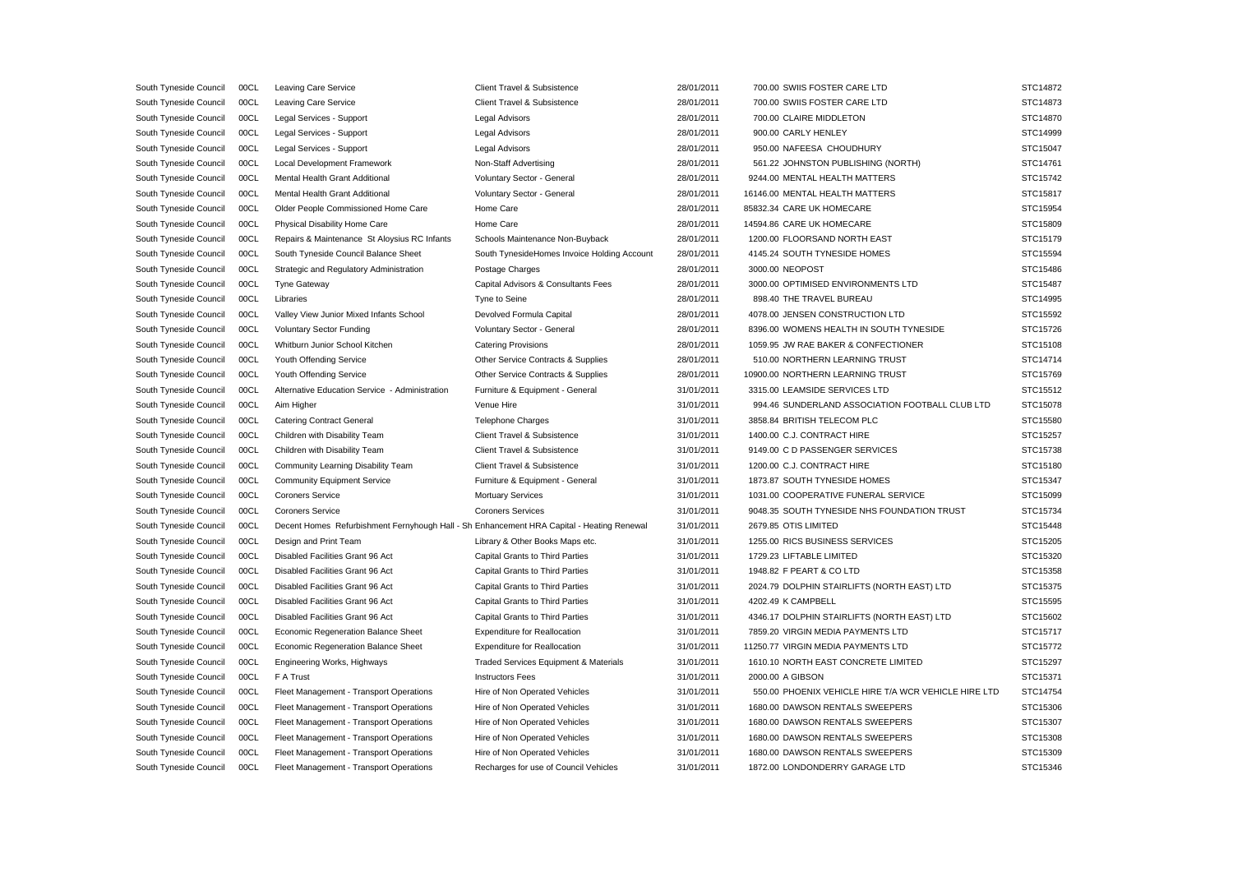| South Tyneside Council | 00CL | <b>Leaving Care Service</b>                                                               | Client Travel & Subsistence                 | 28/01/2011 | 700.00 SWIIS FOSTER CARE LTD                         | STC14872 |
|------------------------|------|-------------------------------------------------------------------------------------------|---------------------------------------------|------------|------------------------------------------------------|----------|
| South Tyneside Council | 00CL | Leaving Care Service                                                                      | Client Travel & Subsistence                 | 28/01/2011 | 700.00 SWIIS FOSTER CARE LTD                         | STC14873 |
| South Tyneside Council | 00CL | Legal Services - Support                                                                  | <b>Legal Advisors</b>                       | 28/01/2011 | 700.00 CLAIRE MIDDLETON                              | STC14870 |
| South Tyneside Council | 00CL | Legal Services - Support                                                                  | <b>Legal Advisors</b>                       | 28/01/2011 | 900.00 CARLY HENLEY                                  | STC14999 |
| South Tyneside Council | 00CL | Legal Services - Support                                                                  | <b>Legal Advisors</b>                       | 28/01/2011 | 950.00 NAFEESA CHOUDHURY                             | STC15047 |
| South Tyneside Council | 00CL | Local Development Framework                                                               | Non-Staff Advertising                       | 28/01/2011 | 561.22 JOHNSTON PUBLISHING (NORTH)                   | STC14761 |
| South Tyneside Council | 00CL | Mental Health Grant Additional                                                            | Voluntary Sector - General                  | 28/01/2011 | 9244.00 MENTAL HEALTH MATTERS                        | STC15742 |
| South Tyneside Council | 00CL | Mental Health Grant Additional                                                            | Voluntary Sector - General                  | 28/01/2011 | 16146.00 MENTAL HEALTH MATTERS                       | STC15817 |
| South Tyneside Council | 00CL | Older People Commissioned Home Care                                                       | Home Care                                   | 28/01/2011 | 85832.34 CARE UK HOMECARE                            | STC15954 |
| South Tyneside Council | 00CL | Physical Disability Home Care                                                             | Home Care                                   | 28/01/2011 | 14594.86 CARE UK HOMECARE                            | STC15809 |
| South Tyneside Council | 00CL | Repairs & Maintenance St Aloysius RC Infants                                              | Schools Maintenance Non-Buyback             | 28/01/2011 | 1200.00 FLOORSAND NORTH EAST                         | STC15179 |
| South Tyneside Council | 00CL | South Tyneside Council Balance Sheet                                                      | South TynesideHomes Invoice Holding Account | 28/01/2011 | 4145.24 SOUTH TYNESIDE HOMES                         | STC15594 |
| South Tyneside Council | 00CL | Strategic and Regulatory Administration                                                   | Postage Charges                             | 28/01/2011 | 3000.00 NEOPOST                                      | STC15486 |
| South Tyneside Council | 00CL | <b>Tyne Gateway</b>                                                                       | Capital Advisors & Consultants Fees         | 28/01/2011 | 3000.00 OPTIMISED ENVIRONMENTS LTD                   | STC15487 |
| South Tyneside Council | 00CL | Libraries                                                                                 | Tyne to Seine                               | 28/01/2011 | 898.40 THE TRAVEL BUREAU                             | STC14995 |
| South Tyneside Council | 00CL | Valley View Junior Mixed Infants School                                                   | Devolved Formula Capital                    | 28/01/2011 | 4078.00 JENSEN CONSTRUCTION LTD                      | STC15592 |
| South Tyneside Council | 00CL | <b>Voluntary Sector Funding</b>                                                           | Voluntary Sector - General                  | 28/01/2011 | 8396.00 WOMENS HEALTH IN SOUTH TYNESIDE              | STC15726 |
| South Tyneside Council | 00CL | Whitburn Junior School Kitchen                                                            | <b>Catering Provisions</b>                  | 28/01/2011 | 1059.95 JW RAE BAKER & CONFECTIONER                  | STC15108 |
| South Tyneside Council | 00CL | Youth Offending Service                                                                   | Other Service Contracts & Supplies          | 28/01/2011 | 510.00 NORTHERN LEARNING TRUST                       | STC14714 |
| South Tyneside Council | 00CL | Youth Offending Service                                                                   | Other Service Contracts & Supplies          | 28/01/2011 | 10900.00 NORTHERN LEARNING TRUST                     | STC15769 |
| South Tyneside Council | 00CL | Alternative Education Service - Administration                                            | Furniture & Equipment - General             | 31/01/2011 | 3315.00 LEAMSIDE SERVICES LTD                        | STC15512 |
| South Tyneside Council | 00CL | Aim Higher                                                                                | Venue Hire                                  | 31/01/2011 | 994.46 SUNDERLAND ASSOCIATION FOOTBALL CLUB LTD      | STC15078 |
| South Tyneside Council | 00CL | <b>Catering Contract General</b>                                                          | <b>Telephone Charges</b>                    | 31/01/2011 | 3858.84 BRITISH TELECOM PLC                          | STC15580 |
| South Tyneside Council | 00CL | Children with Disability Team                                                             | Client Travel & Subsistence                 | 31/01/2011 | 1400.00 C.J. CONTRACT HIRE                           | STC15257 |
| South Tyneside Council | 00CL | Children with Disability Team                                                             | Client Travel & Subsistence                 | 31/01/2011 | 9149.00 C D PASSENGER SERVICES                       | STC15738 |
| South Tyneside Council | 00CL | Community Learning Disability Team                                                        | Client Travel & Subsistence                 | 31/01/2011 | 1200.00 C.J. CONTRACT HIRE                           | STC15180 |
| South Tyneside Council | 00CL | <b>Community Equipment Service</b>                                                        | Furniture & Equipment - General             | 31/01/2011 | 1873.87 SOUTH TYNESIDE HOMES                         | STC15347 |
| South Tyneside Council | 00CL | <b>Coroners Service</b>                                                                   | <b>Mortuary Services</b>                    | 31/01/2011 | 1031.00 COOPERATIVE FUNERAL SERVICE                  | STC15099 |
| South Tyneside Council | 00CL | <b>Coroners Service</b>                                                                   | <b>Coroners Services</b>                    | 31/01/2011 | 9048.35 SOUTH TYNESIDE NHS FOUNDATION TRUST          | STC15734 |
| South Tyneside Council | 00CL | Decent Homes Refurbishment Fernyhough Hall - Sh Enhancement HRA Capital - Heating Renewal |                                             | 31/01/2011 | 2679.85 OTIS LIMITED                                 | STC15448 |
| South Tyneside Council | 00CL | Design and Print Team                                                                     | Library & Other Books Maps etc.             | 31/01/2011 | 1255.00 RICS BUSINESS SERVICES                       | STC15205 |
| South Tyneside Council | 00CL | Disabled Facilities Grant 96 Act                                                          | Capital Grants to Third Parties             | 31/01/2011 | 1729.23 LIFTABLE LIMITED                             | STC15320 |
| South Tyneside Council | 00CL | Disabled Facilities Grant 96 Act                                                          | Capital Grants to Third Parties             | 31/01/2011 | 1948.82 F PEART & CO LTD                             | STC15358 |
| South Tyneside Council | 00CL | Disabled Facilities Grant 96 Act                                                          | Capital Grants to Third Parties             | 31/01/2011 | 2024.79 DOLPHIN STAIRLIFTS (NORTH EAST) LTD          | STC15375 |
| South Tyneside Council | 00CL | Disabled Facilities Grant 96 Act                                                          | Capital Grants to Third Parties             | 31/01/2011 | 4202.49 K CAMPBELL                                   | STC15595 |
| South Tyneside Council | 00CL | Disabled Facilities Grant 96 Act                                                          | Capital Grants to Third Parties             | 31/01/2011 | 4346.17 DOLPHIN STAIRLIFTS (NORTH EAST) LTD          | STC15602 |
| South Tyneside Council | 00CL | Economic Regeneration Balance Sheet                                                       | <b>Expenditure for Reallocation</b>         | 31/01/2011 | 7859.20 VIRGIN MEDIA PAYMENTS LTD                    | STC15717 |
| South Tyneside Council | 00CL | Economic Regeneration Balance Sheet                                                       | <b>Expenditure for Reallocation</b>         | 31/01/2011 | 11250.77 VIRGIN MEDIA PAYMENTS LTD                   | STC15772 |
| South Tyneside Council | 00CL | Engineering Works, Highways                                                               | Traded Services Equipment & Materials       | 31/01/2011 | 1610.10 NORTH EAST CONCRETE LIMITED                  | STC15297 |
| South Tyneside Council | 00CL | F A Trust                                                                                 | <b>Instructors Fees</b>                     | 31/01/2011 | 2000.00 A GIBSON                                     | STC15371 |
| South Tyneside Council | 00CL | Fleet Management - Transport Operations                                                   | Hire of Non Operated Vehicles               | 31/01/2011 | 550.00 PHOENIX VEHICLE HIRE T/A WCR VEHICLE HIRE LTD | STC14754 |
| South Tyneside Council | 00CL | Fleet Management - Transport Operations                                                   | Hire of Non Operated Vehicles               | 31/01/2011 | 1680.00 DAWSON RENTALS SWEEPERS                      | STC15306 |
| South Tyneside Council | 00CL | Fleet Management - Transport Operations                                                   | Hire of Non Operated Vehicles               | 31/01/2011 | 1680.00 DAWSON RENTALS SWEEPERS                      | STC15307 |
| South Tyneside Council | 00CL | Fleet Management - Transport Operations                                                   | Hire of Non Operated Vehicles               | 31/01/2011 | 1680.00 DAWSON RENTALS SWEEPERS                      | STC15308 |
| South Tyneside Council | 00CL | Fleet Management - Transport Operations                                                   | Hire of Non Operated Vehicles               | 31/01/2011 | 1680.00 DAWSON RENTALS SWEEPERS                      | STC15309 |
| South Tyneside Council | 00CL | Fleet Management - Transport Operations                                                   | Recharges for use of Council Vehicles       | 31/01/2011 | 1872.00 LONDONDERRY GARAGE LTD                       | STC15346 |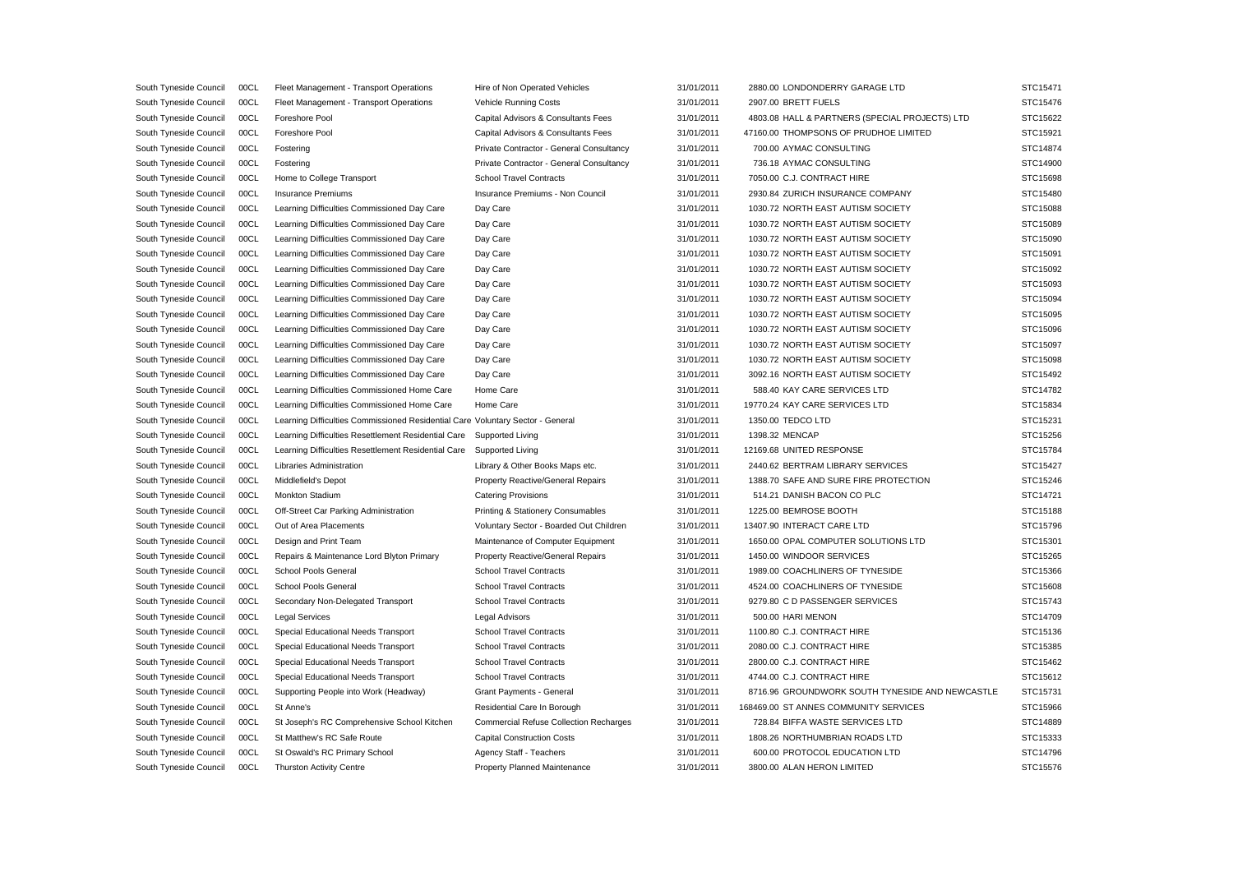| South Tyneside Council | 00CL | Fleet Management - Transport Operations                                        | Hire of Non Operated Vehicles                 | 31/01/2011 | 2880.00 LONDONDERRY GARAGE LTD                  | STC15471 |
|------------------------|------|--------------------------------------------------------------------------------|-----------------------------------------------|------------|-------------------------------------------------|----------|
| South Tyneside Council | 00CL | Fleet Management - Transport Operations                                        | Vehicle Running Costs                         | 31/01/2011 | 2907.00 BRETT FUELS                             | STC15476 |
| South Tyneside Council | 00CL | Foreshore Pool                                                                 | Capital Advisors & Consultants Fees           | 31/01/2011 | 4803.08 HALL & PARTNERS (SPECIAL PROJECTS) LTD  | STC15622 |
| South Tyneside Council | 00CL | Foreshore Pool                                                                 | Capital Advisors & Consultants Fees           | 31/01/2011 | 47160.00 THOMPSONS OF PRUDHOE LIMITED           | STC15921 |
| South Tyneside Council | 00CL | Fostering                                                                      | Private Contractor - General Consultancy      | 31/01/2011 | 700.00 AYMAC CONSULTING                         | STC14874 |
| South Tyneside Council | 00CL | Fostering                                                                      | Private Contractor - General Consultancy      | 31/01/2011 | 736.18 AYMAC CONSULTING                         | STC14900 |
| South Tyneside Council | 00CL | Home to College Transport                                                      | <b>School Travel Contracts</b>                | 31/01/2011 | 7050.00 C.J. CONTRACT HIRE                      | STC15698 |
| South Tyneside Council | 00CL | Insurance Premiums                                                             | Insurance Premiums - Non Council              | 31/01/2011 | 2930.84 ZURICH INSURANCE COMPANY                | STC15480 |
| South Tyneside Council | 00CL | Learning Difficulties Commissioned Day Care                                    | Day Care                                      | 31/01/2011 | 1030.72 NORTH EAST AUTISM SOCIETY               | STC15088 |
| South Tyneside Council | 00CL | Learning Difficulties Commissioned Day Care                                    | Day Care                                      | 31/01/2011 | 1030.72 NORTH EAST AUTISM SOCIETY               | STC15089 |
| South Tyneside Council | 00CL | Learning Difficulties Commissioned Day Care                                    | Day Care                                      | 31/01/2011 | 1030.72 NORTH EAST AUTISM SOCIETY               | STC15090 |
| South Tyneside Council | 00CL | Learning Difficulties Commissioned Day Care                                    | Day Care                                      | 31/01/2011 | 1030.72 NORTH EAST AUTISM SOCIETY               | STC15091 |
| South Tyneside Council | 00CL | Learning Difficulties Commissioned Day Care                                    | Day Care                                      | 31/01/2011 | 1030.72 NORTH EAST AUTISM SOCIETY               | STC15092 |
| South Tyneside Council | 00CL | Learning Difficulties Commissioned Day Care                                    | Day Care                                      | 31/01/2011 | 1030.72 NORTH EAST AUTISM SOCIETY               | STC15093 |
| South Tyneside Council | 00CL | Learning Difficulties Commissioned Day Care                                    | Day Care                                      | 31/01/2011 | 1030.72 NORTH EAST AUTISM SOCIETY               | STC15094 |
| South Tyneside Council | 00CL | Learning Difficulties Commissioned Day Care                                    | Day Care                                      | 31/01/2011 | 1030.72 NORTH EAST AUTISM SOCIETY               | STC15095 |
| South Tyneside Council | 00CL | Learning Difficulties Commissioned Day Care                                    | Day Care                                      | 31/01/2011 | 1030.72 NORTH EAST AUTISM SOCIETY               | STC15096 |
| South Tyneside Council | 00CL | Learning Difficulties Commissioned Day Care                                    | Day Care                                      | 31/01/2011 | 1030.72 NORTH EAST AUTISM SOCIETY               | STC15097 |
| South Tyneside Council | 00CL | Learning Difficulties Commissioned Day Care                                    | Day Care                                      | 31/01/2011 | 1030.72 NORTH EAST AUTISM SOCIETY               | STC15098 |
| South Tyneside Council | 00CL | Learning Difficulties Commissioned Day Care                                    | Day Care                                      | 31/01/2011 | 3092.16 NORTH EAST AUTISM SOCIETY               | STC15492 |
| South Tyneside Council | 00CL | Learning Difficulties Commissioned Home Care                                   | Home Care                                     | 31/01/2011 | 588.40 KAY CARE SERVICES LTD                    | STC14782 |
| South Tyneside Council | 00CL | Learning Difficulties Commissioned Home Care                                   | Home Care                                     | 31/01/2011 | 19770.24 KAY CARE SERVICES LTD                  | STC15834 |
| South Tyneside Council | 00CL | Learning Difficulties Commissioned Residential Care Voluntary Sector - General |                                               | 31/01/2011 | 1350.00 TEDCO LTD                               | STC15231 |
| South Tyneside Council | 00CL | Learning Difficulties Resettlement Residential Care                            | Supported Living                              | 31/01/2011 | 1398.32 MENCAP                                  | STC15256 |
| South Tyneside Council | 00CL | Learning Difficulties Resettlement Residential Care                            | Supported Living                              | 31/01/2011 | 12169.68 UNITED RESPONSE                        | STC15784 |
| South Tyneside Council | 00CL | Libraries Administration                                                       | Library & Other Books Maps etc.               | 31/01/2011 | 2440.62 BERTRAM LIBRARY SERVICES                | STC15427 |
| South Tyneside Council | 00CL | Middlefield's Depot                                                            | Property Reactive/General Repairs             | 31/01/2011 | 1388.70 SAFE AND SURE FIRE PROTECTION           | STC15246 |
| South Tyneside Council | 00CL | <b>Monkton Stadium</b>                                                         | <b>Catering Provisions</b>                    | 31/01/2011 | 514.21 DANISH BACON CO PLC                      | STC14721 |
| South Tyneside Council | 00CL | Off-Street Car Parking Administration                                          | Printing & Stationery Consumables             | 31/01/2011 | 1225.00 BEMROSE BOOTH                           | STC15188 |
| South Tyneside Council | 00CL | Out of Area Placements                                                         | Voluntary Sector - Boarded Out Children       | 31/01/2011 | 13407.90 INTERACT CARE LTD                      | STC15796 |
| South Tyneside Council | 00CL | Design and Print Team                                                          | Maintenance of Computer Equipment             | 31/01/2011 | 1650.00 OPAL COMPUTER SOLUTIONS LTD             | STC15301 |
| South Tyneside Council | 00CL | Repairs & Maintenance Lord Blyton Primary                                      | Property Reactive/General Repairs             | 31/01/2011 | 1450.00 WINDOOR SERVICES                        | STC15265 |
| South Tyneside Council | 00CL | School Pools General                                                           | <b>School Travel Contracts</b>                | 31/01/2011 | 1989.00 COACHLINERS OF TYNESIDE                 | STC15366 |
| South Tyneside Council | 00CL | School Pools General                                                           | <b>School Travel Contracts</b>                | 31/01/2011 | 4524.00 COACHLINERS OF TYNESIDE                 | STC15608 |
| South Tyneside Council | 00CL | Secondary Non-Delegated Transport                                              | <b>School Travel Contracts</b>                | 31/01/2011 | 9279.80 C D PASSENGER SERVICES                  | STC15743 |
| South Tyneside Council | 00CL | <b>Legal Services</b>                                                          | <b>Legal Advisors</b>                         | 31/01/2011 | 500.00 HARI MENON                               | STC14709 |
| South Tyneside Council | 00CL | Special Educational Needs Transport                                            | <b>School Travel Contracts</b>                | 31/01/2011 | 1100.80 C.J. CONTRACT HIRE                      | STC15136 |
| South Tyneside Council | 00CL | Special Educational Needs Transport                                            | <b>School Travel Contracts</b>                | 31/01/2011 | 2080.00 C.J. CONTRACT HIRE                      | STC15385 |
| South Tyneside Council | 00CL | Special Educational Needs Transport                                            | <b>School Travel Contracts</b>                | 31/01/2011 | 2800.00 C.J. CONTRACT HIRE                      | STC15462 |
| South Tyneside Council | 00CL | Special Educational Needs Transport                                            | <b>School Travel Contracts</b>                | 31/01/2011 | 4744.00 C.J. CONTRACT HIRE                      | STC15612 |
| South Tyneside Council | 00CL | Supporting People into Work (Headway)                                          | Grant Payments - General                      | 31/01/2011 | 8716.96 GROUNDWORK SOUTH TYNESIDE AND NEWCASTLE | STC15731 |
| South Tyneside Council | 00CL | St Anne's                                                                      | Residential Care In Borough                   | 31/01/2011 | 168469.00 ST ANNES COMMUNITY SERVICES           | STC15966 |
| South Tyneside Council | 00CL | St Joseph's RC Comprehensive School Kitchen                                    | <b>Commercial Refuse Collection Recharges</b> | 31/01/2011 | 728.84 BIFFA WASTE SERVICES LTD                 | STC14889 |
| South Tyneside Council | 00CL | St Matthew's RC Safe Route                                                     | <b>Capital Construction Costs</b>             | 31/01/2011 | 1808.26 NORTHUMBRIAN ROADS LTD                  | STC15333 |
| South Tyneside Council | 00CL | St Oswald's RC Primary School                                                  | Agency Staff - Teachers                       | 31/01/2011 | 600.00 PROTOCOL EDUCATION LTD                   | STC14796 |
| South Tyneside Council | 00CL | <b>Thurston Activity Centre</b>                                                | <b>Property Planned Maintenance</b>           | 31/01/2011 | 3800.00 ALAN HERON LIMITED                      | STC15576 |
|                        |      |                                                                                |                                               |            |                                                 |          |